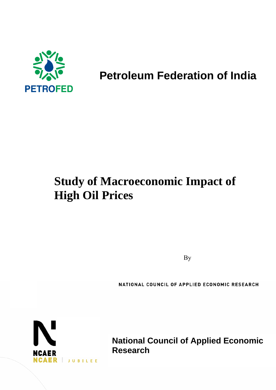

# **Petroleum Federation of India**

# **Study of Macroeconomic Impact of High Oil Prices**

By a structure of the structure of the structure of the structure of the structure of the structure of the structure of the structure of the structure of the structure of the structure of the structure of the structure of

NATIONAL COUNCIL OF APPLIED ECONOMIC RESEARCH



**National Council of Applied Economic Research**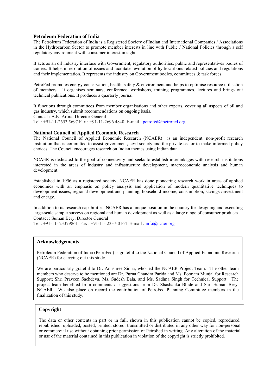#### **Petroleum Federation of India**

The Petroleum Federation of India is a Registered Society of Indian and International Companies / Associations in the Hydrocarbon Sector to promote member interests in line with Public / National Policies through a self regulatory environment with consumer interest in sight.

It acts as an oil industry interface with Government, regulatory authorities, public and representatives bodies of traders. It helps in resolution of issues and facilitates evolution of hydrocarbons related policies and regulations and their implementation. It represents the industry on Government bodies, committees  $\&$  task forces.

PetroFed promotes energy conservation, health, safety & environment and helps to optimise resource utilisation of members. It organises seminars, conference, workshops, training programmes, lectures and brings out technical publications. It produces a quarterly journal.

It functions through committees from member organisations and other experts, covering all aspects of oil and gas industry, which submit recommendations on ongoing basis.

Contact : A.K. Arora, Director General

Tel : +91-11-2653 5697 Fax : +91-11-2696 4840 E-mail : [petrofed@petrofed.org](mailto:petrofed@petrofed.org)

#### **National Council of Applied Economic Research**

The National Council of Applied Economic Research (NCAER) is an independent, non-profit research institution that is committed to assist government, civil society and the private sector to make informed policy choices. The Council encourages research on Indian themes using Indian data.

NCAER is dedicated to the goal of connectivity and seeks to establish interlinkages with research institutions interested in the areas of industry and infrastructure development, macroeconomic analysis and human development.

Established in 1956 as a registered society, NCAER has done pioneering research work in areas of applied economics with an emphasis on policy analysis and application of modern quantitative techniques to development issues, regional development and planning, household income, consumption, savings /investment and energy.

In addition to its research capabilities, NCAER has a unique position in the country for designing and executing large-scale sample surveys on regional and human development as well as a large range of consumer products. Contact : Suman Bery, Director General

Tel : +91-11- 23379861 Fax : +91-11- 2337-0164 E-mail :  $info@ncaer.org$ 

#### **Acknowledgements**

Petroleum Federation of India (PetroFed) is grateful to the National Council of Applied Economic Research (NCAER) for carrying out this study.

We are particularly grateful to Dr. Anushree Sinha, who led the NCAER Project Team. The other team members who deserve to be mentioned are Dr. Purna Chandra Parida and Ms. Poonam Munjal for Research Support; Shri Praveen Sachdeva, Ms. Sudesh Bala, and Ms. Sadhna Singh for Technical Support. The project team benefited from comments / suggestions from Dr. Shashanka Bhide and Shri Suman Bery, NCAER. We also place on record the contribution of PetroFed Planning Committee members in the finalization of this study.

#### **Copyright**

The data or other contents in part or in full, shown in this publication cannot be copied, reproduced, republished, uploaded, posted, printed, stored, transmitted or distributed in any other way for non-personal or commercial use without obtaining prior permission of PetroFed in writing. Any alteration of the material or use of the material contained in this publication in violation of the copyright is strictly prohibited.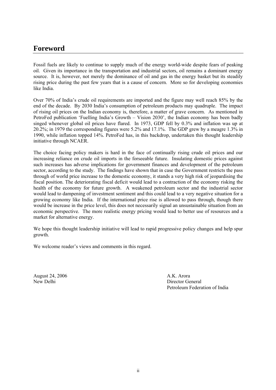## **Foreword**

Fossil fuels are likely to continue to supply much of the energy world-wide despite fears of peaking oil. Given its importance in the transportation and industrial sectors, oil remains a dominant energy source. It is, however, not merely the dominance of oil and gas in the energy basket but its steadily rising price during the past few years that is a cause of concern. More so for developing economies like India.

Over 70% of India's crude oil requirements are imported and the figure may well reach 85% by the end of the decade. By 2030 India's consumption of petroleum products may quadruple. The impact of rising oil prices on the Indian economy is, therefore, a matter of grave concern. As mentioned in PetroFed publication 'Fuelling India's Growth – Vision 2030', the Indian economy has been badly singed whenever global oil prices have flared. In 1973, GDP fell by 0.3% and inflation was up at 20.2%; in 1979 the corresponding figures were 5.2% and 17.1%. The GDP grew by a meagre 1.3% in 1990, while inflation topped 14%. PetroFed has, in this backdrop, undertaken this thought leadership initiative through NCAER.

The choice facing policy makers is hard in the face of continually rising crude oil prices and our increasing reliance on crude oil imports in the forseeable future. Insulating domestic prices against such increases has adverse implications for government finances and development of the petroleum sector, according to the study. The findings have shown that in case the Government restricts the pass through of world price increase to the domestic economy, it stands a very high risk of jeopardising the fiscal position. The deteriorating fiscal deficit would lead to a contraction of the economy risking the health of the economy for future growth. A weakened petroleum sector and the industrial sector would lead to dampening of investment sentiment and this could lead to a very negative situation for a growing economy like India. If the international price rise is allowed to pass through, though there would be increase in the price level, this does not necessarily signal an unsustainable situation from an economic perspective. The more realistic energy pricing would lead to better use of resources and a market for alternative energy.

We hope this thought leadership initiative will lead to rapid progressive policy changes and help spur growth.

We welcome reader's views and comments in this regard.

August 24, 2006 A.K. Arora

New Delhi Director General Petroleum Federation of India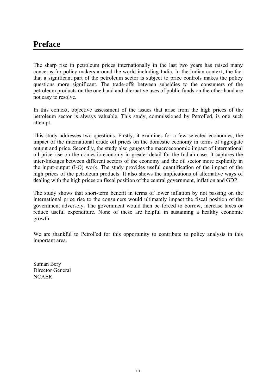The sharp rise in petroleum prices internationally in the last two years has raised many concerns for policy makers around the world including India. In the Indian context, the fact that a significant part of the petroleum sector is subject to price controls makes the policy questions more significant. The trade-offs between subsidies to the consumers of the petroleum products on the one hand and alternative uses of public funds on the other hand are not easy to resolve.

In this context, objective assessment of the issues that arise from the high prices of the petroleum sector is always valuable. This study, commissioned by PetroFed, is one such attempt.

This study addresses two questions. Firstly, it examines for a few selected economies, the impact of the international crude oil prices on the domestic economy in terms of aggregate output and price. Secondly, the study also gauges the macroeconomic impact of international oil price rise on the domestic economy in greater detail for the Indian case. It captures the inter-linkages between different sectors of the economy and the oil sector more explicitly in the input-output (I-O) work. The study provides useful quantification of the impact of the high prices of the petroleum products. It also shows the implications of alternative ways of dealing with the high prices on fiscal position of the central government, inflation and GDP.

The study shows that short-term benefit in terms of lower inflation by not passing on the international price rise to the consumers would ultimately impact the fiscal position of the government adversely. The government would then be forced to borrow, increase taxes or reduce useful expenditure. None of these are helpful in sustaining a healthy economic growth.

We are thankful to PetroFed for this opportunity to contribute to policy analysis in this important area.

Suman Bery Director General **NCAER**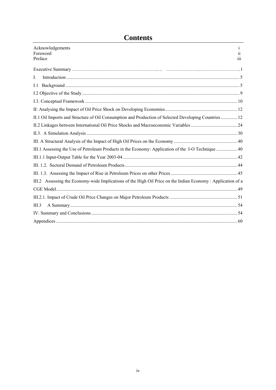# **Contents**

| Acknowledgements<br>Foreword<br>Preface                                                                     | 1<br>11<br>iii |
|-------------------------------------------------------------------------------------------------------------|----------------|
|                                                                                                             |                |
| I.                                                                                                          |                |
| 1.1                                                                                                         |                |
|                                                                                                             |                |
|                                                                                                             |                |
|                                                                                                             |                |
| II.1 Oil Imports and Structure of Oil Consumption and Production of Selected Developing Countries  12       |                |
|                                                                                                             |                |
|                                                                                                             |                |
|                                                                                                             |                |
| III.1 Assessing the Use of Petroleum Products in the Economy: Application of the I-O Technique  40          |                |
|                                                                                                             |                |
|                                                                                                             |                |
|                                                                                                             |                |
| III.2 Assessing the Economy-wide Implications of the High Oil Price on the Indian Economy: Application of a |                |
|                                                                                                             |                |
|                                                                                                             |                |
| III.3                                                                                                       |                |
|                                                                                                             |                |
|                                                                                                             |                |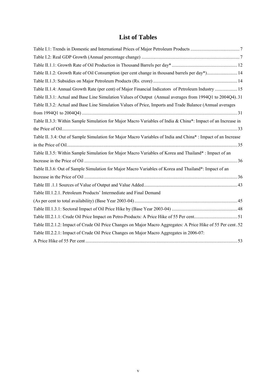## **List of Tables**

| Table II.1.2: Growth Rate of Oil Consumption (per cent change in thousand barrels per day*) 14                |  |
|---------------------------------------------------------------------------------------------------------------|--|
|                                                                                                               |  |
| Table II.1.4: Annual Growth Rate (per cent) of Major Financial Indicators of Petroleum Industry  15           |  |
| Table II.3.1: Actual and Base Line Simulation Values of Output (Annual averages from 1994Q1 to 2004Q4).31     |  |
| Table II.3.2: Actual and Base Line Simulation Values of Price, Imports and Trade Balance (Annual averages     |  |
|                                                                                                               |  |
| Table II.3.3: Within Sample Simulation for Major Macro Variables of India & China*: Impact of an Increase in  |  |
|                                                                                                               |  |
| Table II. 3.4: Out of Sample Simulation for Major Macro Variables of India and China*: Impact of an Increase  |  |
|                                                                                                               |  |
| Table II.3.5: Within Sample Simulation for Major Macro Variables of Korea and Thailand*: Impact of an         |  |
|                                                                                                               |  |
| Table II.3.6: Out of Sample Simulation for Major Macro Variables of Korea and Thailand*: Impact of an         |  |
|                                                                                                               |  |
|                                                                                                               |  |
| Table III.1.2.1. Petroleum Products' Intermediate and Final Demand                                            |  |
|                                                                                                               |  |
|                                                                                                               |  |
|                                                                                                               |  |
| Table III.2.1.2: Impact of Crude Oil Price Changes on Major Macro Aggregates: A Price Hike of 55 Per cent. 52 |  |
| Table III.2.2.1: Impact of Crude Oil Price Changes on Major Macro Aggregates in 2006-07:                      |  |
|                                                                                                               |  |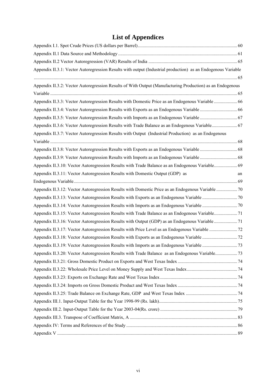# **List of Appendices**

| Appendix II.3.1: Vector Autoregression Results with output (Industrial production) as an Endogenous Variable |    |
|--------------------------------------------------------------------------------------------------------------|----|
|                                                                                                              |    |
| Appendix II.3.2: Vector Autoregression Results of With Output (Manufacturing Production) as an Endogenous    |    |
|                                                                                                              |    |
| Appendix II.3.3: Vector Autoregression Results with Domestic Price as an Endogenous Variable  66             |    |
|                                                                                                              |    |
| Appendix II.3.5: Vector Autoregression Results with Imports as an Endogenous Variable  67                    |    |
| Appendix II.3.6: Vector Autoregression Results with Trade Balance as an Endogenous Variable 67               |    |
| Appendix II.3.7: Vector Autoregression Results with Output (Industrial Production) as an Endogenous          |    |
|                                                                                                              |    |
|                                                                                                              |    |
|                                                                                                              |    |
| Appendix II.3.10: Vector Autoregression Results with Trade Balance as an Endogenous Variable 69              |    |
| Appendix II.3.11: Vector Autoregression Results with Domestic Output (GDP) as                                | an |
|                                                                                                              |    |
|                                                                                                              |    |
|                                                                                                              |    |
|                                                                                                              |    |
| Appendix II.3.15: Vector Autoregression Results with Trade Balance as an Endogenous Variable 71              |    |
|                                                                                                              |    |
|                                                                                                              |    |
|                                                                                                              |    |
|                                                                                                              |    |
| Appendix II.3.20: Vector Autoregression Results with Trade Balance as an Endogenous Variable73               |    |
|                                                                                                              |    |
|                                                                                                              |    |
|                                                                                                              |    |
|                                                                                                              |    |
|                                                                                                              |    |
|                                                                                                              |    |
|                                                                                                              |    |
|                                                                                                              |    |
|                                                                                                              |    |
|                                                                                                              |    |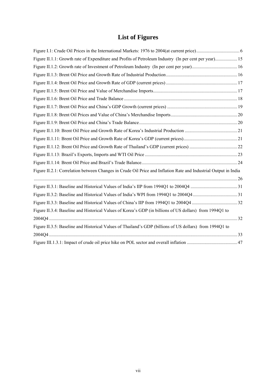## **List of Figures**

| Figure II.1.1: Growth rate of Expenditure and Profits of Petroleum Industry (In per cent per year) 15           |  |
|-----------------------------------------------------------------------------------------------------------------|--|
|                                                                                                                 |  |
|                                                                                                                 |  |
|                                                                                                                 |  |
|                                                                                                                 |  |
|                                                                                                                 |  |
|                                                                                                                 |  |
|                                                                                                                 |  |
|                                                                                                                 |  |
|                                                                                                                 |  |
|                                                                                                                 |  |
|                                                                                                                 |  |
|                                                                                                                 |  |
|                                                                                                                 |  |
| Figure II.2.1: Correlation between Changes in Crude Oil Price and Inflation Rate and Industrial Output in India |  |
| $26$                                                                                                            |  |
|                                                                                                                 |  |
|                                                                                                                 |  |
|                                                                                                                 |  |
| Figure II.3.4: Baseline and Historical Values of Korea's GDP (in billions of US dollars) from 1994Q1 to         |  |
|                                                                                                                 |  |
| Figure II.3.5: Baseline and Historical Values of Thailand's GDP (billions of US dollars) from 1994Q1 to         |  |
|                                                                                                                 |  |
|                                                                                                                 |  |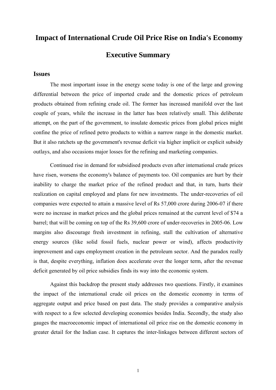## **Impact of International Crude Oil Price Rise on India's Economy**

## **Executive Summary**

## **Issues**

The most important issue in the energy scene today is one of the large and growing differential between the price of imported crude and the domestic prices of petroleum products obtained from refining crude oil. The former has increased manifold over the last couple of years, while the increase in the latter has been relatively small. This deliberate attempt, on the part of the government, to insulate domestic prices from global prices might confine the price of refined petro products to within a narrow range in the domestic market. But it also ratchets up the government's revenue deficit via higher implicit or explicit subsidy outlays, and also occasions major losses for the refining and marketing companies.

Continued rise in demand for subsidised products even after international crude prices have risen, worsens the economy's balance of payments too. Oil companies are hurt by their inability to charge the market price of the refined product and that, in turn, hurts their realization on capital employed and plans for new investments. The under-recoveries of oil companies were expected to attain a massive level of Rs 57,000 crore during 2006-07 if there were no increase in market prices and the global prices remained at the current level of \$74 a barrel; that will be coming on top of the Rs 39,600 crore of under-recoveries in 2005-06. Low margins also discourage fresh investment in refining, stall the cultivation of alternative energy sources (like solid fossil fuels, nuclear power or wind), affects productivity improvement and caps employment creation in the petroleum sector. And the paradox really is that, despite everything, inflation does accelerate over the longer term, after the revenue deficit generated by oil price subsidies finds its way into the economic system.

Against this backdrop the present study addresses two questions. Firstly, it examines the impact of the international crude oil prices on the domestic economy in terms of aggregate output and price based on past data. The study provides a comparative analysis with respect to a few selected developing economies besides India. Secondly, the study also gauges the macroeconomic impact of international oil price rise on the domestic economy in greater detail for the Indian case. It captures the inter-linkages between different sectors of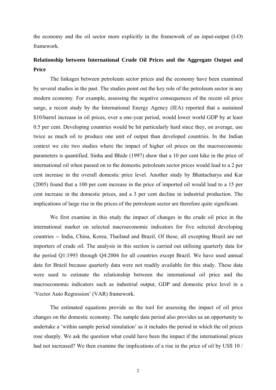the economy and the oil sector more explicitly in the framework of an input-output (I-O) framework.

## **Relationship between International Crude Oil Prices and the Aggregate Output and Price**

The linkages between petroleum sector prices and the economy have been examined by several studies in the past. The studies point out the key role of the petroleum sector in any modern economy. For example, assessing the negative consequences of the recent oil price surge, a recent study by the International Energy Agency (IEA) reported that a sustained \$10/barrel increase in oil prices, over a one-year period, would lower world GDP by at least 0.5 per cent. Developing countries would be hit particularly hard since they, on average, use twice as much oil to produce one unit of output than developed countries. In the Indian context we cite two studies where the impact of higher oil prices on the macroeconomic parameters is quantified. Sinha and Bhide (1997) show that a 10 per cent hike in the price of international oil when passed on to the domestic petroleum sector prices would lead to a 2 per cent increase in the overall domestic price level. Another study by Bhattacharya and Kar (2005) found that a 100 per cent increase in the price of imported oil would lead to a 15 per cent increase in the domestic prices, and a 3 per cent decline in industrial production. The implications of large rise in the prices of the petroleum sector are therefore quite significant.

We first examine in this study the impact of changes in the crude oil price in the international market on selected macroeconomic indicators for five selected developing countries -- India, China, Korea, Thailand and Brazil. Of these, all excepting Brazil are net importers of crude oil. The analysis in this section is carried out utilising quarterly data for the period Q1:1993 through Q4:2004 for all countries except Brazil. We have used annual data for Brazil because quarterly data were not readily available for this study. These data were used to estimate the relationship between the international oil price and the macroeconomic indicators such as industrial output, GDP and domestic price level in a 'Vector Auto Regression' (VAR) framework.

The estimated equations provide us the tool for assessing the impact of oil price changes on the domestic economy. The sample data period also provides us an opportunity to undertake a 'within sample period simulation' as it includes the period in which the oil prices rose sharply. We ask the question what could have been the impact if the international prices had not increased? We then examine the implications of a rise in the price of oil by US\$ 10 /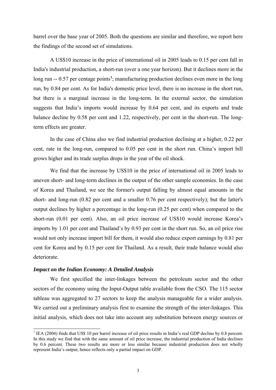<span id="page-10-0"></span>barrel over the base year of 2005. Both the questions are similar and therefore, we report here the findings of the second set of simulations.

A US\$10 increase in the price of international oil in 2005 leads to 0.15 per cent fall in India's industrial production, a short-run (over a one year horizon). But it declines more in the long run -- 0.57 per centage points<sup>[1](#page-10-0)</sup>; manufacturing production declines even more in the long run, by 0.84 per cent. As for India's domestic price level, there is no increase in the short run, but there is a marginal increase in the long-term. In the external sector, the simulation suggests that India's imports would increase by 0.64 per cent, and its exports and trade balance decline by 0.58 per cent and 1.22, respectively, per cent in the short-run. The longterm effects are greater.

In the case of China also we find industrial production declining at a higher, 0.22 per cent, rate in the long-run, compared to 0.05 per cent in the short run. China's import bill grows higher and its trade surplus drops in the year of the oil shock.

We find that the increase by US\$10 in the price of international oil in 2005 leads to uneven short- and long-term declines in the output of the other sample economies. In the case of Korea and Thailand, we see the former's output falling by almost equal amounts in the short- and long-run (0.82 per cent and a smaller 0.76 per cent respectively); but the latter's output declines by higher a percentage in the long-run (0.25 per cent) when compared to the short-run (0.01 per cent). Also, an oil price increase of US\$10 would increase Korea's imports by 1.01 per cent and Thailand's by 0.93 per cent in the short run. So, an oil price rise would not only increase import bill for them, it would also reduce export earnings by 0.81 per cent for Korea and by 0.15 per cent for Thailand. As a result, their trade balance would also deteriorate.

### *Impact on the Indian Economy: A Detailed Analysis*

 $\overline{a}$ 

We first specified the inter-linkages between the petroleum sector and the other sectors of the economy using the Input-Output table available from the CSO. The 115 sector tableau was aggregated to 27 sectors to keep the analysis manageable for a wider analysis. We carried out a preliminary analysis first to examine the strength of the inter-linkages. This initial analysis, which does not take into account any substitution between energy sources or

 $<sup>1</sup>$  IEA (2004) finds that US\$ 10 per barrel increase of oil price results in India's real GDP decline by 0.8 percent.</sup> In this study we find that with the same amount of oil price increase, the industrial production of India declines by 0.6 percent. These two results are more or less similar because industrial production does not wholly represent India's output, hence reflects only a partial impact on GDP.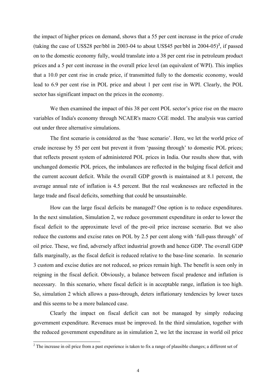<span id="page-11-0"></span>the impact of higher prices on demand, shows that a 55 per cent increase in the price of crude (taking the case of US\$[2](#page-11-0)8 per/bbl in 2003-04 to about US\$45 per/bbl in  $2004-05$ )<sup>2</sup>, if passed on to the domestic economy fully, would translate into a 38 per cent rise in petroleum product prices and a 5 per cent increase in the overall price level (an equivalent of WPI). This implies that a 10.0 per cent rise in crude price, if transmitted fully to the domestic economy, would lead to 6.9 per cent rise in POL price and about 1 per cent rise in WPI. Clearly, the POL sector has significant impact on the prices in the economy.

We then examined the impact of this 38 per cent POL sector's price rise on the macro variables of India's economy through NCAER's macro CGE model. The analysis was carried out under three alternative simulations.

The first scenario is considered as the 'base scenario'. Here, we let the world price of crude increase by 55 per cent but prevent it from 'passing through' to domestic POL prices; that reflects present system of administered POL prices in India. Our results show that, with unchanged domestic POL prices, the imbalances are reflected in the bulging fiscal deficit and the current account deficit. While the overall GDP growth is maintained at 8.1 percent, the average annual rate of inflation is 4.5 percent. But the real weaknesses are reflected in the large trade and fiscal deficits, something that could be unsustainable.

How can the large fiscal deficits be managed? One option is to reduce expenditures. In the next simulation, Simulation 2, we reduce government expenditure in order to lower the fiscal deficit to the approximate level of the pre-oil price increase scenario. But we also reduce the customs and excise rates on POL by 2.5 per cent along with 'full-pass through' of oil price. These, we find, adversely affect industrial growth and hence GDP. The overall GDP falls marginally, as the fiscal deficit is reduced relative to the base-line scenario. In scenario 3 custom and excise duties are not reduced, so prices remain high. The benefit is seen only in reigning in the fiscal deficit. Obviously, a balance between fiscal prudence and inflation is necessary. In this scenario, where fiscal deficit is in acceptable range, inflation is too high. So, simulation 2 which allows a pass-through, deters inflationary tendencies by lower taxes and this seems to be a more balanced case.

Clearly the impact on fiscal deficit can not be managed by simply reducing government expenditure. Revenues must be improved. In the third simulation, together with the reduced government expenditure as in simulation 2, we let the increase in world oil price

<sup>&</sup>lt;sup>2</sup> The increase in oil price from a past experience is taken to fix a range of plausible changes; a different set of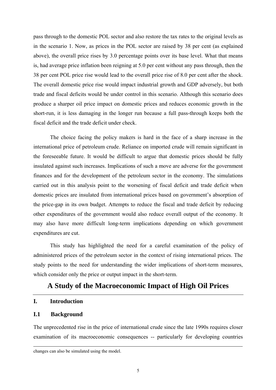<span id="page-12-0"></span>pass through to the domestic POL sector and also restore the tax rates to the original levels as in the scenario 1. Now, as prices in the POL sector are raised by 38 per cent (as explained above), the overall price rises by 3.0 percentage points over its base level. What that means is, had average price inflation been reigning at 5.0 per cent without any pass through, then the 38 per cent POL price rise would lead to the overall price rise of 8.0 per cent after the shock. The overall domestic price rise would impact industrial growth and GDP adversely, but both trade and fiscal deficits would be under control in this scenario. Although this scenario does produce a sharper oil price impact on domestic prices and reduces economic growth in the short-run, it is less damaging in the longer run because a full pass-through keeps both the fiscal deficit and the trade deficit under check.

The choice facing the policy makers is hard in the face of a sharp increase in the international price of petroleum crude. Reliance on imported crude will remain significant in the foreseeable future. It would be difficult to argue that domestic prices should be fully insulated against such increases. Implications of such a move are adverse for the government finances and for the development of the petroleum sector in the economy. The simulations carried out in this analysis point to the worsening of fiscal deficit and trade deficit when domestic prices are insulated from international prices based on government's absorption of the price-gap in its own budget. Attempts to reduce the fiscal and trade deficit by reducing other expenditures of the government would also reduce overall output of the economy. It may also have more difficult long-term implications depending on which government expenditures are cut.

This study has highlighted the need for a careful examination of the policy of administered prices of the petroleum sector in the context of rising international prices. The study points to the need for understanding the wider implications of short-term measures, which consider only the price or output impact in the short-term.

## **A Study of the Macroeconomic Impact of High Oil Prices**

## **I. Introduction**

## **I.1 Background**

l

The unprecedented rise in the price of international crude since the late 1990s requires closer examination of its macroeconomic consequences -- particularly for developing countries

changes can also be simulated using the model.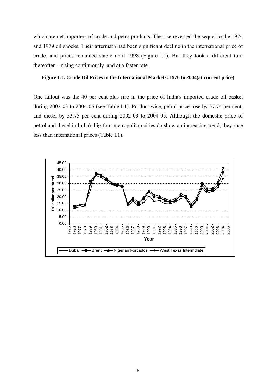<span id="page-13-0"></span>which are net importers of crude and petro products. The rise reversed the sequel to the 1974 and 1979 oil shocks. Their aftermath had been significant decline in the international price of crude, and prices remained stable until 1998 (Figure I.1). But they took a different turn thereafter -- rising continuously, and at a faster rate.

## **Figure I.1: Crude Oil Prices in the International Markets: 1976 to 2004(at current price)**

One fallout was the 40 per cent-plus rise in the price of India's imported crude oil basket during 2002-03 to 2004-05 (see Table I.1). Product wise, petrol price rose by 57.74 per cent, and diesel by 53.75 per cent during 2002-03 to 2004-05. Although the domestic price of petrol and diesel in India's big-four metropolitan cities do show an increasing trend, they rose less than international prices (Table I.1).

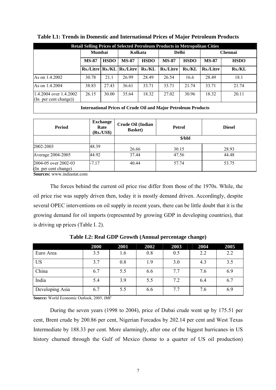| <b>Retail Selling Prices of Selected Petroleum Products in Metropolitan Cities</b> |                             |       |                  |                             |                  |               |                |               |  |  |
|------------------------------------------------------------------------------------|-----------------------------|-------|------------------|-----------------------------|------------------|---------------|----------------|---------------|--|--|
|                                                                                    | <b>Mumbai</b>               |       | Kolkata          |                             | <b>Delhi</b>     |               | <b>Chennai</b> |               |  |  |
|                                                                                    | <b>HSDO</b><br><b>MS-87</b> |       | <b>MS-87</b>     | <b>HSDO</b><br><b>MS-87</b> |                  | <b>HSDO</b>   | <b>MS-87</b>   | <b>HSDO</b>   |  |  |
|                                                                                    | <b>Rs./Litre Rs./KL</b>     |       | <b>Rs./Litre</b> | <b>Rs./KL</b>               | <b>Rs./Litre</b> | <b>Rs./KL</b> | Rs./Litre      | <b>Rs./KL</b> |  |  |
| As on 1.4.2002                                                                     | 30.78                       | 21.1  | 26.99            | 28.49                       | 26.54            | 16.6          | 28.49          | 18.1          |  |  |
| As on 1.4.2004                                                                     | 38.83                       | 27.43 | 36.61            | 33.71                       | 33.71            | 21.74         | 33.71          | 21.74         |  |  |
| 1.4.2004 over $1.4.2002$<br>$(\text{In per cent change})$ )                        | 26.15                       | 30.00 | 35.64            | 18.32                       | 27.02            | 30.96         | 18.32          | 20.11         |  |  |
|                                                                                    |                             |       |                  |                             |                  |               |                |               |  |  |

<span id="page-14-0"></span>**Table I.1: Trends in Domestic and International Prices of Major Petroleum Products** 

#### **International Prices of Crude Oil and Major Petroleum Products**

| <b>Period</b>                                | <b>Exchange</b><br>Rate<br>$(Rs1/US*)$ | Crude Oil (Indian<br><b>Petrol</b><br><b>Basket</b> ) |        | <b>Diesel</b> |
|----------------------------------------------|----------------------------------------|-------------------------------------------------------|--------|---------------|
|                                              |                                        |                                                       | \$/bbl |               |
| 2002-2003                                    | 48.39                                  | 26.66                                                 | 30.15  | 28.93         |
| Average 2004-2005                            | 44.92                                  | 37.44                                                 | 47.56  | 44.48         |
| 2004-05 over 2002-03<br>(In per cent change) | $-7.17$                                | 40.44                                                 | 57.74  | 53.75         |

**Sources:** www.indiastat.com

 The forces behind the current oil price rise differ from those of the 1970s. While, the oil price rise was supply driven then, today it is mostly demand driven. Accordingly, despite several OPEC interventions on oil supply in recent years, there can be little doubt that it is the growing demand for oil imports (represented by growing GDP in developing countries), that is driving up prices (Table I. 2).

|                 | 2000 | 2001 | 2002 | 2003 | 2004 | 2005 |
|-----------------|------|------|------|------|------|------|
| Euro Area       | 3.5  | 1.6  | 0.8  | 0.5  | 2.2  | 2.2  |
| <b>US</b>       | 3.7  | 0.8  | 1.9  | 3.0  | 4.3  | 3.5  |
| China           | 6.7  | 5.5  | 6.6  | 7.7  | 7.6  | 6.9  |
| India           | 5.4  | 3.9  | 5.5  | 7.2  | 6.4  | 6.7  |
| Developing Asia | 6.7  | 5.5  | 6.6  | 7.7  | 7.6  | 6.9  |

**Table I.2: Real GDP Growth (Annual percentage change)** 

**Source:** World Economic Outlook, 2005, *IMF* 

 During the seven years (1998 to 2004), price of Dubai crude went up by 175.51 per cent, Brent crude by 200.86 per cent, Nigerian Forcados by 202.14 per cent and West Texas Intermediate by 188.33 per cent. More alarmingly, after one of the biggest hurricanes in US history churned through the Gulf of Mexico (home to a quarter of US oil production)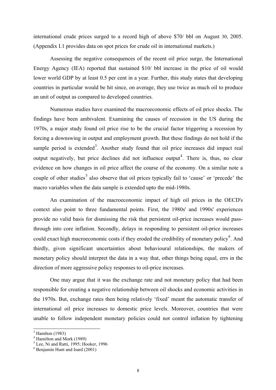<span id="page-15-0"></span>international crude prices surged to a record high of above \$70/ bbl on August 30, 2005. (Appendix I.1 provides data on spot prices for crude oil in international markets.)

 Assessing the negative consequences of the recent oil price surge, the International Energy Agency (IEA) reported that sustained \$10/ bbl increase in the price of oil would lower world GDP by at least 0.5 per cent in a year. Further, this study states that developing countries in particular would be hit since, on average, they use twice as much oil to produce an unit of output as compared to developed countries.

 Numerous studies have examined the macroeconomic effects of oil price shocks. The findings have been ambivalent. Examining the causes of recession in the US during the 1970s, a major study found oil price rise to be the crucial factor triggering a recession by forcing a downswing in output and employment growth. But these findings do not hold if the sample period is extended<sup>[3](#page-15-0)</sup>. Another study found that oil price increases did impact real output negatively, but price declines did not influence output<sup>[4](#page-15-0)</sup>. There is, thus, no clear evidence on how changes in oil price affect the course of the economy. On a similar note a couple of other studies<sup>[5](#page-15-0)</sup> also observe that oil prices typically fail to 'cause' or 'precede' the macro variables when the data sample is extended upto the mid-1980s.

An examination of the macroeconomic impact of high oil prices in the OECD's context also point to three fundamental points. First, the 1980s' and 1990s' experiences provide no valid basis for dismissing the risk that persistent oil-price increases would passthrough into core inflation. Secondly, delays in responding to persistent oil-price increases could exact high macroeconomic costs if they eroded the credibility of monetary policy. And thirdly, given significant uncertainties about behavioural relationships, the makers of monetary policy should interpret the data in a way that, other things being equal, errs in the direction of more aggressive policy responses to oil-price increases.

 One may argue that it was the exchange rate and not monetary policy that had been responsible for creating a negative relationship between oil shocks and economic activities in the 1970s. But, exchange rates then being relatively 'fixed' meant the automatic transfer of international oil price increases to domestic price levels. Moreover, countries that were unable to follow independent monetary policies could not control inflation by tightening

 $\overline{a}$ 

 $3$  Hamlton (1983)

<sup>4</sup> Hamilton and Mork (1989)

<sup>&</sup>lt;sup>5</sup> Lee, Ni and Ratti, 1995; Hooker, 1996

<sup>6</sup> Benjamin Hunt and Isard (2001)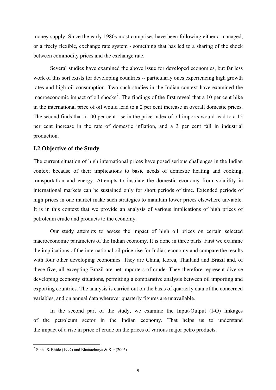<span id="page-16-0"></span>money supply. Since the early 1980s most comprises have been following either a managed, or a freely flexible, exchange rate system - something that has led to a sharing of the shock between commodity prices and the exchange rate.

 Several studies have examined the above issue for developed economies, but far less work of this sort exists for developing countries -- particularly ones experiencing high growth rates and high oil consumption. Two such studies in the Indian context have examined the macroeconomic impact of oil shocks<sup>[7](#page-16-0)</sup>. The findings of the first reveal that a 10 per cent hike in the international price of oil would lead to a 2 per cent increase in overall domestic prices. The second finds that a 100 per cent rise in the price index of oil imports would lead to a 15 per cent increase in the rate of domestic inflation, and a 3 per cent fall in industrial production.

## **I.2 Objective of the Study**

The current situation of high international prices have posed serious challenges in the Indian context because of their implications to basic needs of domestic heating and cooking, transportation and energy. Attempts to insulate the domestic economy from volatility in international markets can be sustained only for short periods of time. Extended periods of high prices in one market make such strategies to maintain lower prices elsewhere unviable. It is in this context that we provide an analysis of various implications of high prices of petroleum crude and products to the economy.

Our study attempts to assess the impact of high oil prices on certain selected macroeconomic parameters of the Indian economy. It is done in three parts. First we examine the implications of the international oil price rise for India's economy and compare the results with four other developing economies. They are China, Korea, Thailand and Brazil and, of these five, all excepting Brazil are net importers of crude. They therefore represent diverse developing economy situations, permitting a comparative analysis between oil importing and exporting countries. The analysis is carried out on the basis of quarterly data of the concerned variables, and on annual data wherever quarterly figures are unavailable.

 In the second part of the study, we examine the Input-Output (I-O) linkages of the petroleum sector in the Indian economy. That helps us to understand the impact of a rise in price of crude on the prices of various major petro products.

 $\overline{a}$ 

<sup>&</sup>lt;sup>7</sup> Sinha & Bhide (1997) and Bhattacharya. & Kar (2005)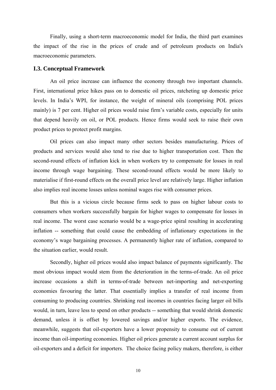<span id="page-17-0"></span>Finally, using a short-term macroeconomic model for India, the third part examines the impact of the rise in the prices of crude and of petroleum products on India's macroeconomic parameters.

## **I.3. Conceptual Framework**

 An oil price increase can influence the economy through two important channels. First, international price hikes pass on to domestic oil prices, ratcheting up domestic price levels. In India's WPI, for instance, the weight of mineral oils (comprising POL prices mainly) is 7 per cent. Higher oil prices would raise firm's variable costs, especially for units that depend heavily on oil, or POL products. Hence firms would seek to raise their own product prices to protect profit margins.

 Oil prices can also impact many other sectors besides manufacturing. Prices of products and services would also tend to rise due to higher transportation cost. Then the second-round effects of inflation kick in when workers try to compensate for losses in real income through wage bargaining. These second-round effects would be more likely to materialise if first-round effects on the overall price level are relatively large. Higher inflation also implies real income losses unless nominal wages rise with consumer prices.

 But this is a vicious circle because firms seek to pass on higher labour costs to consumers when workers successfully bargain for higher wages to compensate for losses in real income. The worst case scenario would be a wage-price spiral resulting in accelerating inflation -- something that could cause the embedding of inflationary expectations in the economy's wage bargaining processes. A permanently higher rate of inflation, compared to the situation earlier, would result.

 Secondly, higher oil prices would also impact balance of payments significantly. The most obvious impact would stem from the deterioration in the terms-of-trade. An oil price increase occasions a shift in terms-of-trade between net-importing and net-exporting economies favouring the latter. That essentially implies a transfer of real income from consuming to producing countries. Shrinking real incomes in countries facing larger oil bills would, in turn, leave less to spend on other products -- something that would shrink domestic demand, unless it is offset by lowered savings and/or higher exports. The evidence, meanwhile, suggests that oil-exporters have a lower propensity to consume out of current income than oil-importing economies. Higher oil prices generate a current account surplus for oil-exporters and a deficit for importers. The choice facing policy makers, therefore, is either

10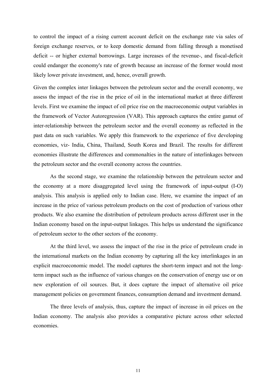to control the impact of a rising current account deficit on the exchange rate via sales of foreign exchange reserves, or to keep domestic demand from falling through a monetised deficit -- or higher external borrowings. Large increases of the revenue-, and fiscal-deficit could endanger the economy's rate of growth because an increase of the former would most likely lower private investment, and, hence, overall growth.

Given the complex inter linkages between the petroleum sector and the overall economy, we assess the impact of the rise in the price of oil in the international market at three different levels. First we examine the impact of oil price rise on the macroeconomic output variables in the framework of Vector Autoregression (VAR). This approach captures the entire gamut of inter-relationship between the petroleum sector and the overall economy as reflected in the past data on such variables. We apply this framework to the experience of five developing economies, viz- India, China, Thailand, South Korea and Brazil. The results for different economies illustrate the differences and commonalties in the nature of interlinkages between the petroleum sector and the overall economy across the countries.

 As the second stage, we examine the relationship between the petroleum sector and the economy at a more disaggregated level using the framework of input-output (I-O) analysis. This analysis is applied only to Indian case. Here, we examine the impact of an increase in the price of various petroleum products on the cost of production of various other products. We also examine the distribution of petroleum products across different user in the Indian economy based on the input-output linkages. This helps us understand the significance of petroleum sector to the other sectors of the economy.

At the third level, we assess the impact of the rise in the price of petroleum crude in the international markets on the Indian economy by capturing all the key interlinkages in an explicit macroeconomic model. The model captures the short-term impact and not the longterm impact such as the influence of various changes on the conservation of energy use or on new exploration of oil sources. But, it does capture the impact of alternative oil price management policies on government finances, consumption demand and investment demand.

The three levels of analysis, thus, capture the impact of increase in oil prices on the Indian economy. The analysis also provides a comparative picture across other selected economies.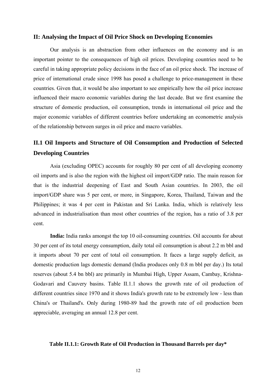## <span id="page-19-0"></span>**II: Analysing the Impact of Oil Price Shock on Developing Economies**

Our analysis is an abstraction from other influences on the economy and is an important pointer to the consequences of high oil prices. Developing countries need to be careful in taking appropriate policy decisions in the face of an oil price shock. The increase of price of international crude since 1998 has posed a challenge to price-management in these countries. Given that, it would be also important to see empirically how the oil price increase influenced their macro economic variables during the last decade. But we first examine the structure of domestic production, oil consumption, trends in international oil price and the major economic variables of different countries before undertaking an econometric analysis of the relationship between surges in oil price and macro variables.

## **II.1 Oil Imports and Structure of Oil Consumption and Production of Selected Developing Countries**

Asia (excluding OPEC) accounts for roughly 80 per cent of all developing economy oil imports and is also the region with the highest oil import/GDP ratio. The main reason for that is the industrial deepening of East and South Asian countries. In 2003, the oil import/GDP share was 5 per cent, or more, in Singapore, Korea, Thailand, Taiwan and the Philippines; it was 4 per cent in Pakistan and Sri Lanka. India, which is relatively less advanced in industrialisation than most other countries of the region, has a ratio of 3.8 per cent.

**India:** India ranks amongst the top 10 oil-consuming countries. Oil accounts for about 30 per cent of its total energy consumption, daily total oil consumption is about 2.2 m bbl and it imports about 70 per cent of total oil consumption. It faces a large supply deficit, as domestic production lags domestic demand (India produces only 0.8 m bbl per day.) Its total reserves (about 5.4 bn bbl) are primarily in Mumbai High, Upper Assam, Cambay, Krishna-Godavari and Cauvery basins. Table II.1.1 shows the growth rate of oil production of different countries since 1970 and it shows India's growth rate to be extremely low - less than China's or Thailand's. Only during 1980-89 had the growth rate of oil production been appreciable, averaging an annual 12.8 per cent.

#### **Table II.1.1: Growth Rate of Oil Production in Thousand Barrels per day\***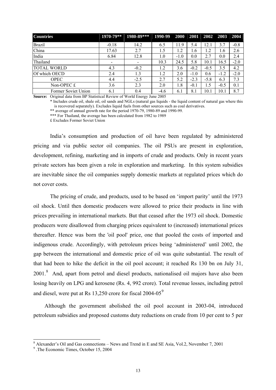<span id="page-20-0"></span>

| <b>Countries</b>    | 1970-79** | 1980-89*** | 1990-99 | 2000   | 2001   | 2002   | 2003   | 2004   |
|---------------------|-----------|------------|---------|--------|--------|--------|--------|--------|
| <b>Brazil</b>       | $-0.18$   | 14.2       | 6.5     | 11.9   | 5.4    | 12.1   | 3.7    | $-0.8$ |
| China               | 17.63     | 2.7        | 1.5     | 1.2    | 1.6    | 1.2    | 1.6    | 2.6    |
| India               | 6.84      | 12.8       | 1.0     | $-1.0$ | 0.0    | 2.7    | 0.0    | 2.4    |
| Thailand            |           | $\,$       | 10.3    | 24.5   | 5.8    | 10.1   | 16.5   | $-2.0$ |
| <b>TOTAL WORLD</b>  | 4.3       | $-0.2$     | 1.2     | 3.6    | $-0.2$ | $-0.5$ | 3.5    | 4.2    |
| Of which OECD       | 2.4       | 1.3        | 1.2     | 2.0    | $-1.0$ | 0.6    | $-1.2$ | $-2.0$ |
| <b>OPEC</b>         | 4.4       | $-2.5$     | 2.7     | 5.2    | $-2.3$ | $-5.8$ | 6.3    | 7.3    |
| Non-OPEC $f$        | 3.6       | 2.3        | 2.0     | 1.8    | $-0.1$ | 1.5    | $-0.5$ | 0.1    |
| Former Soviet Union | 6.1       | 0.4        | $-4.6$  | 6.1    | 8.1    | 10.1   | 10.1   | 8.7    |

**Source:** Original data from BP Statistical Review of World Energy June 2005

\* Includes crude oil, shale oil, oil sands and NGLs (natural gas liquids - the liquid content of natural gas where this is recovered separately). Excludes liquid fuels from other sources such as coal derivatives.

\*\* average of annual growth rate for the period 1970-79, 1980-89 and 1990-99.

\*\*\* For Thailand, the average has been calculated from 1982 to 1989

£ Excludes Former Soviet Union

 India's consumption and production of oil have been regulated by administered pricing and via public sector oil companies. The oil PSUs are present in exploration, development, refining, marketing and in imports of crude and products. Only in recent years private sectors has been given a role in exploration and marketing. In this system subsidies are inevitable since the oil companies supply domestic markets at regulated prices which do not cover costs.

 The pricing of crude, and products, used to be based on 'import parity' until the 1973 oil shock. Until then domestic producers were allowed to price their products in line with prices prevailing in international markets. But that ceased after the 1973 oil shock. Domestic producers were disallowed from charging prices equivalent to (increased) international prices thereafter. Hence was born the 'oil pool' price, one that pooled the costs of imported and indigenous crude. Accordingly, with petroleum prices being 'administered' until 2002, the gap between the international and domestic price of oil was quite substantial. The result of that had been to hike the deficit in the oil pool account; it reached Rs 130 bn on July 31, 2001.<sup>[8](#page-20-0)</sup> And, apart from petrol and diesel products, nationalised oil majors have also been losing heavily on LPG and kerosene (Rs. 4, 992 crore). Total revenue losses, including petrol and diesel, were put at Rs  $13,250$  crore for fiscal  $2004-05^9$  $2004-05^9$ 

 Although the government abolished the oil pool account in 2003-04, introduced petroleum subsidies and proposed customs duty reductions on crude from 10 per cent to 5 per

<sup>&</sup>lt;sup>8</sup> Alexander's Oil and Gas connections – News and Trend in E and SE Asia, Vol.2, November 7, 2001

<sup>9</sup> .The Economic Times, October 15, 2004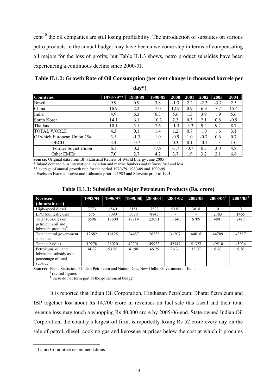<span id="page-21-0"></span>cent<sup>[10](#page-21-0)</sup> the oil companies are still losing profitability. The introduction of subsidies on various petro products in the annual budget may have been a welcome step in terms of compensating oil majors for the loss of profits, but Table II.1.3 shows, petro product subsidies have been experiencing a continuous decline since 2000-01.

**Table II.1.2: Growth Rate of Oil Consumption (per cent change in thousand barrels per day\*)** 

| <b>Countries</b>            | 1970-79** | 1980-89 | 1990-99 | 2000   | 2001   | $\vert 2002 \vert$ | 2003   | 2004   |
|-----------------------------|-----------|---------|---------|--------|--------|--------------------|--------|--------|
| <b>Brazil</b>               | 9.9       | 0.9     | 3.8     | $-1.3$ | 2.2    | $-2.3$             | $-3.7$ | 2.5    |
| China                       | 16.9      | 2.2     | 7.0     | 12.9   | 0.9    | 6.9                | 7.7    | 15.4   |
| India                       | 4.9       | 6.3     | 6.3     | 5.6    | 1.3    | 3.9                | 1.9    | 5.6    |
| South Korea                 | 14.1      | 6.1     | 10.3    | 2.3    | 0.3    | 2.1                | 0.8    | $-0.9$ |
| Thailand                    | 10.1      | 5.1     | 7.6     | $-1.3$ | $-3.3$ | 9.2                | 9.2    | 8.7    |
| <b>TOTAL WORLD</b>          | 4.3       | 0.1     | 1.4     | 1.2    | 0.7    | 1.0                | 1.6    | 3.1    |
| Of which European Union 25# | 3.1       | $-1.3$  | 1.0     | $-0.9$ | 1.0    | $-0.7$             | 0.6    | 0.7    |
| <b>OECD</b>                 | 3.4       | $-0.7$  | 1.5     | 0.3    | 0.1    | $-0.1$             | 1.3    | 1.0    |
| Former Soviet Union         | 6.1       | 0.2     | $-7.8$  | $-3.7$ | $-0.7$ | 0.3                | 3.0    | 4.8    |
| Other EMEs                  | 7.0       | 2.7     | 4.2     | 3.7    | .9     | 3.2                | 2.1    | 6.8    |

**Source:** Original data from BP Statistical Review of World Energy June 2005

\* Inland demand plus international aviation and marine bunkers and refinery fuel and loss.

\*\* average of annual growth rate for the period 1970-79, 1980-89 and 1990-99.

# Excludes Estonia, Latvia and Lithuania prior to 1985 and Slovenia prior to 1991

| <b>Kerosene</b>                 | 1993/94 | 1996/97 | 1999/00 | 2000/01 | 2001/02 | 2002/03 | $2003/04^a$ | $2004/05^a$ |
|---------------------------------|---------|---------|---------|---------|---------|---------|-------------|-------------|
| (domestic use)                  |         |         |         |         |         |         |             |             |
| High-speed diesel               | 3773    | 6540    | 8151    | 7522    | 5310    | 3018    | 0           |             |
| LPG (domestic use)              | 575     | 8090    | 5070    | 8845    |         |         | 2783        | 1465        |
| Total subsidies on              | 6596    | 18600   | 17714   | 23091   | 11140   | 6709    | 4801        | 2417        |
| petroleum oil and               |         |         |         |         |         |         |             |             |
| lubricant products <sup>b</sup> |         |         |         |         |         |         |             |             |
| Total central government        | 12682   | 16125   | 24487   | 26838   | 31207   | 44618   | 44709       | 43517       |
| subsidies                       |         |         |         |         |         |         |             |             |
| Total subsidies                 | 19278   | 26020   | 42201   | 49933   | 42347   | 51327   | 49510       | 45934       |
| Petroleum, oil, and             | 34.22   | 53.56   | 41.98   | 46.25   | 26.31   | 13.07   | 9.70        | 5.26        |
| lubricants subsidy as a         |         |         |         |         |         |         |             |             |
| percentage of total             |         |         |         |         |         |         |             |             |
| subsidy                         |         |         |         |         |         |         |             |             |

#### **Table II.1.3: Subsidies on Major Petroleum Products (Rs. crore)**

**Source:** Basic Statistics of Indian Petroleum and Natural Gas, New Delhi, Government of India. <sup>a</sup> revised figures

<sup>b</sup> these do not form part of the government budget

 It is reported that Indian Oil Corporation, Hindustan Petroleum, Bharat Petroleum and IBP together lost about Rs 14,700 crore in revenues on fuel sale this fiscal and their total revenue loss may touch a whopping Rs 40,000 crore by 2005-06-end. State-owned Indian Oil Corporation, the country's largest oil firm, is reportedly losing Rs 52 crore every day on the sale of petrol, diesel, cooking gas and kerosene at prices below the cost at which it procures

 $\overline{a}$ 

<sup>10</sup> Lahiri Committee recommendations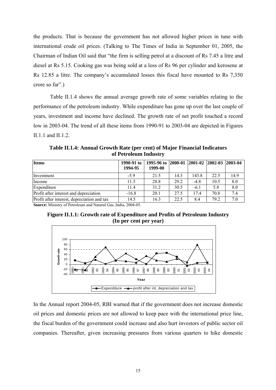<span id="page-22-0"></span>the products. That is because the government has not allowed higher prices in tune with international crude oil prices. (Talking to The Times of India in September 01, 2005, the Chairman of Indian Oil said that "the firm is selling petrol at a discount of Rs 7.45 a litre and diesel at Rs 5.15. Cooking gas was being sold at a loss of Rs 96 per cylinder and kerosene at Rs 12.85 a litre. The company's accumulated losses this fiscal have mounted to Rs 7,350 crore so far".)

 Table II.1.4 shows the annual average growth rate of some variables relating to the performance of the petroleum industry. While expenditure has gone up over the last couple of years, investment and income have declined. The growth rate of net profit touched a record low in 2003-04. The trend of all these items from 1990-91 to 2003-04 are depicted in Figures II.1.1 and II.1.2.

**Table II.1.4: Annual Growth Rate (per cent) of Major Financial Indicators of Petroleum Industry** 

| <b>Items</b>                                | 1990-91 to<br>1994-95 | 1995-96 to 2000-01<br>1999-00 |      | $ 2001-02   2002-03 $ |      | $12003 - 04$ |
|---------------------------------------------|-----------------------|-------------------------------|------|-----------------------|------|--------------|
| Investment                                  | $-5.9$                | 21.5                          | 14.3 | 143.8                 | 22.5 | 14.9         |
| Income                                      | 11.5                  | 28.8                          | 29.2 | $-4.8$                | 10.5 | 8.0          |
| Expenditure                                 | 114                   | 31.2                          | 30.5 | $-6.1$                | 5.8  | 8.0          |
| Profit after interest and depreciation      | $-16.8$               | 20.1                          | 27.5 | 174                   | 70.8 | 7.4          |
| Profit after interest, depreciation and tax | 14.5                  | 16.3                          | 22.5 | 8.4                   | 79.2 | 7.0          |

**Source:** Ministry of Petroleum and Natural Gas, India, 2004-05.





In the Annual report 2004-05, RBI warned that if the government does not increase domestic oil prices and domestic prices are not allowed to keep pace with the international price line, the fiscal burden of the government could increase and also hurt investors of public sector oil companies. Thereafter, given increasing pressures from various quarters to hike domestic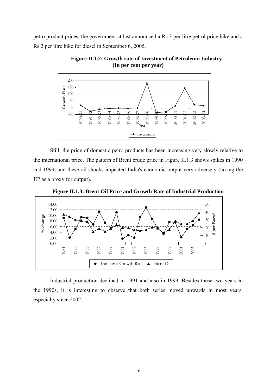<span id="page-23-0"></span>petro product prices, the government at last announced a Rs 3 per litre petrol price hike and a Rs 2 per litre hike for diesel in September 6, 2005.



**Figure II.1.2: Growth rate of Investment of Petroleum Industry (In per cent per year)** 

 Still, the price of domestic petro products has been increasing very slowly relative to the international price. The pattern of Brent crude price in Figure II.1.3 shows spikes in 1990 and 1999, and these oil shocks impacted India's economic output very adversely (taking the IIP as a proxy for output).



**Figure II.1.3: Brent Oil Price and Growth Rate of Industrial Production** 

Industrial production declined in 1991 and also in 1999. Besides these two years in the 1990s, it is interesting to observe that both series moved upwards in most years, especially since 2002.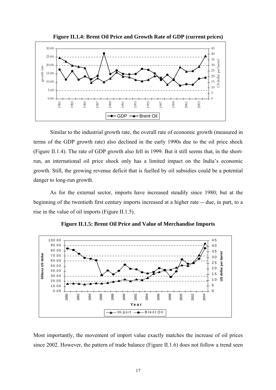<span id="page-24-0"></span>

**Figure II.1.4: Brent Oil Price and Growth Rate of GDP (current prices)** 

 Similar to the industrial growth rate, the overall rate of economic growth (measured in terms of the GDP growth rate) also declined in the early 1990s due to the oil price shock (Figure II.1.4). The rate of GDP growth also fell in 1999. But it still seems that, in the shortrun, an international oil price shock only has a limited impact on the India's economic growth. Still, the growing revenue deficit that is fuelled by oil subsidies could be a potential danger to long-run growth.

 As for the external sector, imports have increased steadily since 1980; but at the beginning of the twentieth first century imports increased at a higher rate -- due, in part, to a rise in the value of oil imports (Figure II.1.5).



**Figure II.1.5: Brent Oil Price and Value of Merchandise Imports** 

Most importantly, the movement of import value exactly matches the increase of oil prices since 2002. However, the pattern of trade balance (Figure II.1.6) does not follow a trend seen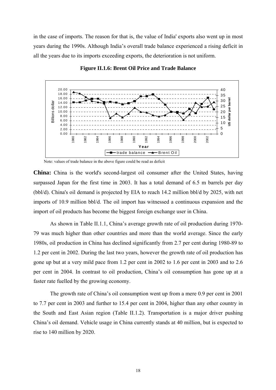<span id="page-25-0"></span>in the case of imports. The reason for that is, the value of India' exports also went up in most years during the 1990s. Although India's overall trade balance experienced a rising deficit in all the years due to its imports exceeding exports, the deterioration is not uniform.



**Figure II.1.6: Brent Oil Price and Trade Balance** 

Note: values of trade balance in the above figure could be read as deficit

**China:** China is the world's second-largest oil consumer after the United States, having surpassed Japan for the first time in 2003. It has a total demand of 6.5 m barrels per day (bbl/d). China's oil demand is projected by EIA to reach 14.2 million bbl/d by 2025, with net imports of 10.9 million bbl/d. The oil import has witnessed a continuous expansion and the import of oil products has become the biggest foreign exchange user in China.

 As shown in Table II.1.1, China's average growth rate of oil production during 1970- 79 was much higher than other countries and more than the world average. Since the early 1980s, oil production in China has declined significantly from 2.7 per cent during 1980-89 to 1.2 per cent in 2002. During the last two years, however the growth rate of oil production has gone up but at a very mild pace from 1.2 per cent in 2002 to 1.6 per cent in 2003 and to 2.6 per cent in 2004. In contrast to oil production, China's oil consumption has gone up at a faster rate fuelled by the growing economy.

 The growth rate of China's oil consumption went up from a mere 0.9 per cent in 2001 to 7.7 per cent in 2003 and further to 15.4 per cent in 2004, higher than any other country in the South and East Asian region (Table II.1.2). Transportation is a major driver pushing China's oil demand. Vehicle usage in China currently stands at 40 million, but is expected to rise to 140 million by 2020.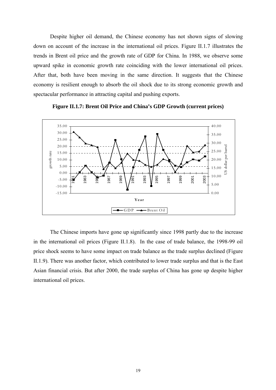<span id="page-26-0"></span> Despite higher oil demand, the Chinese economy has not shown signs of slowing down on account of the increase in the international oil prices. Figure II.1.7 illustrates the trends in Brent oil price and the growth rate of GDP for China. In 1988, we observe some upward spike in economic growth rate coinciding with the lower international oil prices. After that, both have been moving in the same direction. It suggests that the Chinese economy is resilient enough to absorb the oil shock due to its strong economic growth and spectacular performance in attracting capital and pushing exports.



**Figure II.1.7: Brent Oil Price and China's GDP Growth (current prices)** 

The Chinese imports have gone up significantly since 1998 partly due to the increase in the international oil prices (Figure II.1.8). In the case of trade balance, the 1998-99 oil price shock seems to have some impact on trade balance as the trade surplus declined (Figure II.1.9). There was another factor, which contributed to lower trade surplus and that is the East Asian financial crisis. But after 2000, the trade surplus of China has gone up despite higher international oil prices.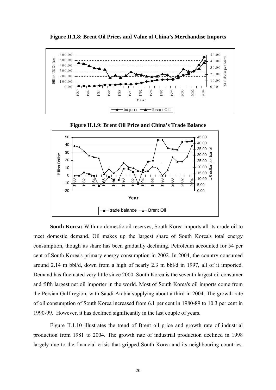<span id="page-27-0"></span>

**Figure II.1.8: Brent Oil Prices and Value of China's Merchandise Imports** 

**Figure II.1.9: Brent Oil Price and China's Trade Balance** 



**South Korea:** With no domestic oil reserves, South Korea imports all its crude oil to meet domestic demand. Oil makes up the largest share of South Korea's total energy consumption, though its share has been gradually declining. Petroleum accounted for 54 per cent of South Korea's primary energy consumption in 2002. In 2004, the country consumed around 2.14 m bbl/d, down from a high of nearly 2.3 m bbl/d in 1997, all of it imported. Demand has fluctuated very little since 2000. South Korea is the seventh largest oil consumer and fifth largest net oil importer in the world. Most of South Korea's oil imports come from the Persian Gulf region, with Saudi Arabia supplying about a third in 2004. The growth rate of oil consumption of South Korea increased from 6.1 per cent in 1980-89 to 10.3 per cent in 1990-99. However, it has declined significantly in the last couple of years.

 Figure II.1.10 illustrates the trend of Brent oil price and growth rate of industrial production from 1981 to 2004. The growth rate of industrial production declined in 1998 largely due to the financial crisis that gripped South Korea and its neighbouring countries.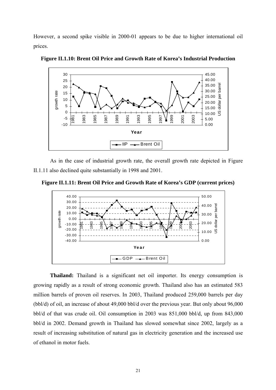<span id="page-28-0"></span>However, a second spike visible in 2000-01 appears to be due to higher international oil prices.



**Figure II.1.10: Brent Oil Price and Growth Rate of Korea's Industrial Production** 

As in the case of industrial growth rate, the overall growth rate depicted in Figure II.1.11 also declined quite substantially in 1998 and 2001.

**Figure II.1.11: Brent Oil Price and Growth Rate of Korea's GDP (current prices)** 



**Thailand:** Thailand is a significant net oil importer. Its energy consumption is growing rapidly as a result of strong economic growth. Thailand also has an estimated 583 million barrels of proven oil reserves. In 2003, Thailand produced 259,000 barrels per day (bbl/d) of oil, an increase of about 49,000 bbl/d over the previous year. But only about 96,000 bbl/d of that was crude oil. Oil consumption in 2003 was 851,000 bbl/d, up from 843,000 bbl/d in 2002. Demand growth in Thailand has slowed somewhat since 2002, largely as a result of increasing substitution of natural gas in electricity generation and the increased use of ethanol in motor fuels.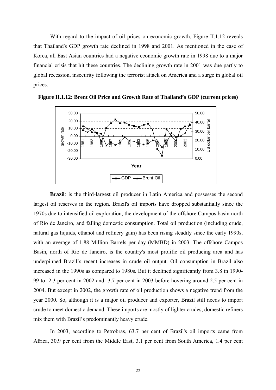<span id="page-29-0"></span> With regard to the impact of oil prices on economic growth, Figure II.1.12 reveals that Thailand's GDP growth rate declined in 1998 and 2001. As mentioned in the case of Korea, all East Asian countries had a negative economic growth rate in 1998 due to a major financial crisis that hit these countries. The declining growth rate in 2001 was due partly to global recession, insecurity following the terrorist attack on America and a surge in global oil prices.



**Figure II.1.12: Brent Oil Price and Growth Rate of Thailand's GDP (current prices)** 

**Brazil**: is the third-largest oil producer in Latin America and possesses the second largest oil reserves in the region. Brazil's oil imports have dropped substantially since the 1970s due to intensified oil exploration, the development of the offshore Campos basin north of Rio de Janeiro, and falling domestic consumption. Total oil production (including crude, natural gas liquids, ethanol and refinery gain) has been rising steadily since the early 1990s, with an average of 1.88 Million Barrels per day (MMBD) in 2003. The offshore Campos Basin, north of Rio de Janeiro, is the country's most prolific oil producing area and has underpinned Brazil's recent increases in crude oil output. Oil consumption in Brazil also increased in the 1990s as compared to 1980s. But it declined significantly from 3.8 in 1990- 99 to -2.3 per cent in 2002 and -3.7 per cent in 2003 before hovering around 2.5 per cent in 2004. But except in 2002, the growth rate of oil production shows a negative trend from the year 2000. So, although it is a major oil producer and exporter, Brazil still needs to import crude to meet domestic demand. These imports are mostly of lighter crudes; domestic refiners mix them with Brazil's predominantly heavy crude.

 In 2003, according to Petrobras, 63.7 per cent of Brazil's oil imports came from Africa, 30.9 per cent from the Middle East, 3.1 per cent from South America, 1.4 per cent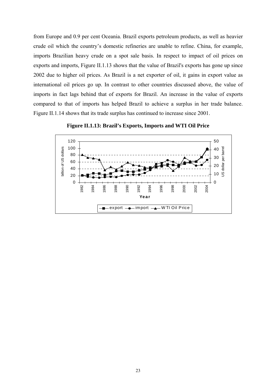<span id="page-30-0"></span>from Europe and 0.9 per cent Oceania. Brazil exports petroleum products, as well as heavier crude oil which the country's domestic refineries are unable to refine. China, for example, imports Brazilian heavy crude on a spot sale basis. In respect to impact of oil prices on exports and imports, Figure II.1.13 shows that the value of Brazil's exports has gone up since 2002 due to higher oil prices. As Brazil is a net exporter of oil, it gains in export value as international oil prices go up. In contrast to other countries discussed above, the value of imports in fact lags behind that of exports for Brazil. An increase in the value of exports compared to that of imports has helped Brazil to achieve a surplus in her trade balance. Figure II.1.14 shows that its trade surplus has continued to increase since 2001.



**Figure II.1.13: Brazil's Exports, Imports and WTI Oil Price**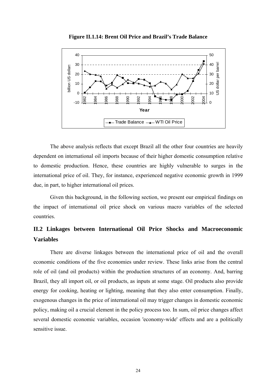<span id="page-31-0"></span>

**Figure II.1.14: Brent Oil Price and Brazil's Trade Balance** 

 The above analysis reflects that except Brazil all the other four countries are heavily dependent on international oil imports because of their higher domestic consumption relative to domestic production. Hence, these countries are highly vulnerable to surges in the international price of oil. They, for instance, experienced negative economic growth in 1999 due, in part, to higher international oil prices.

 Given this background, in the following section, we present our empirical findings on the impact of international oil price shock on various macro variables of the selected countries.

## **II.2 Linkages between International Oil Price Shocks and Macroeconomic Variables**

 There are diverse linkages between the international price of oil and the overall economic conditions of the five economies under review. These links arise from the central role of oil (and oil products) within the production structures of an economy. And, barring Brazil, they all import oil, or oil products, as inputs at some stage. Oil products also provide energy for cooking, heating or lighting, meaning that they also enter consumption. Finally, exogenous changes in the price of international oil may trigger changes in domestic economic policy, making oil a crucial element in the policy process too. In sum, oil price changes affect several domestic economic variables, occasion 'economy-wide' effects and are a politically sensitive issue.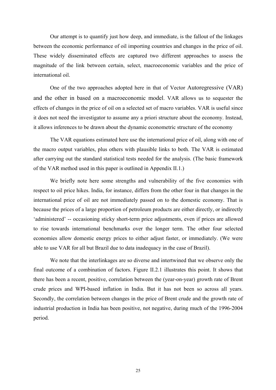Our attempt is to quantify just how deep, and immediate, is the fallout of the linkages between the economic performance of oil importing countries and changes in the price of oil. These widely disseminated effects are captured two different approaches to assess the magnitude of the link between certain, select, macroeconomic variables and the price of international oil.

One of the two approaches adopted here in that of Vector Autoregressive (VAR) and the other in based on a macroeconomic model. VAR allows us to sequester the effects of changes in the price of oil on a selected set of macro variables. VAR is useful since it does not need the investigator to assume any a priori structure about the economy. Instead, it allows inferences to be drawn about the dynamic econometric structure of the economy

 The VAR equations estimated here use the international price of oil, along with one of the macro output variables, plus others with plausible links to both. The VAR is estimated after carrying out the standard statistical tests needed for the analysis. (The basic framework of the VAR method used in this paper is outlined in Appendix II.1.)

We briefly note here some strengths and vulnerability of the five economies with respect to oil price hikes. India, for instance, differs from the other four in that changes in the international price of oil are not immediately passed on to the domestic economy. That is because the prices of a large proportion of petroleum products are either directly, or indirectly 'administered' -- occasioning sticky short-term price adjustments, even if prices are allowed to rise towards international benchmarks over the longer term. The other four selected economies allow domestic energy prices to either adjust faster, or immediately. (We were able to use VAR for all but Brazil due to data inadequacy in the case of Brazil).

 We note that the interlinkages are so diverse and intertwined that we observe only the final outcome of a combination of factors. Figure II.2.1 illustrates this point. It shows that there has been a recent, positive, correlation between the (year-on-year) growth rate of Brent crude prices and WPI-based inflation in India. But it has not been so across all years. Secondly, the correlation between changes in the price of Brent crude and the growth rate of industrial production in India has been positive, not negative, during much of the 1996-2004 period.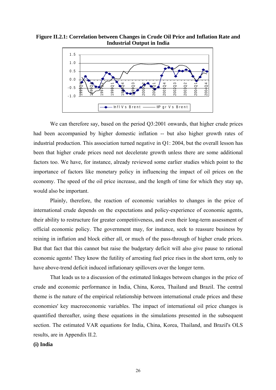<span id="page-33-0"></span>**Figure II.2.1: Correlation between Changes in Crude Oil Price and Inflation Rate and Industrial Output in India** 



We can therefore say, based on the period Q3:2001 onwards, that higher crude prices had been accompanied by higher domestic inflation -- but also higher growth rates of industrial production. This association turned negative in Q1: 2004, but the overall lesson has been that higher crude prices need not decelerate growth unless there are some additional factors too. We have, for instance, already reviewed some earlier studies which point to the importance of factors like monetary policy in influencing the impact of oil prices on the economy. The speed of the oil price increase, and the length of time for which they stay up, would also be important.

 Plainly, therefore, the reaction of economic variables to changes in the price of international crude depends on the expectations and policy-experience of economic agents, their ability to restructure for greater competitiveness, and even their long-term assessment of official economic policy. The government may, for instance, seek to reassure business by reining in inflation and block either all, or much of the pass-through of higher crude prices. But that fact that this cannot but raise the budgetary deficit will also give pause to rational economic agents! They know the futility of arresting fuel price rises in the short term, only to have above-trend deficit induced inflationary spillovers over the longer term.

 That leads us to a discussion of the estimated linkages between changes in the price of crude and economic performance in India, China, Korea, Thailand and Brazil. The central theme is the nature of the empirical relationship between international crude prices and these economies' key macroeconomic variables. The impact of international oil price changes is quantified thereafter, using these equations in the simulations presented in the subsequent section. The estimated VAR equations for India, China, Korea, Thailand, and Brazil's OLS results, are in Appendix II.2.

### **(i) India**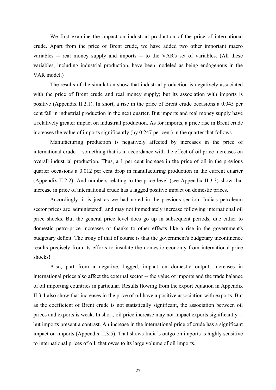We first examine the impact on industrial production of the price of international crude. Apart from the price of Brent crude, we have added two other important macro variables -- real money supply and imports -- to the VAR's set of variables. (All these variables, including industrial production, have been modeled as being endogenous in the VAR model.)

 The results of the simulation show that industrial production is negatively associated with the price of Brent crude and real money supply; but its association with imports is positive (Appendix II.2.1). In short, a rise in the price of Brent crude occasions a 0.045 per cent fall in industrial production in the next quarter. But imports and real money supply have a relatively greater impact on industrial production. As for imports, a price rise in Brent crude increases the value of imports significantly (by 0.247 per cent) in the quarter that follows.

 Manufacturing production is negatively affected by increases in the price of international crude -- something that is in accordance with the effect of oil price increases on overall industrial production. Thus, a 1 per cent increase in the price of oil in the previous quarter occasions a 0.012 per cent drop in manufacturing production in the current quarter (Appendix II.2.2). And numbers relating to the price level (see Appendix II.3.3) show that increase in price of international crude has a lagged positive impact on domestic prices.

 Accordingly, it is just as we had noted in the previous section: India's petroleum sector prices are 'administered', and may not immediately increase following international oil price shocks. But the general price level does go up in subsequent periods, due either to domestic petro-price increases or thanks to other effects like a rise in the government's budgetary deficit. The irony of that of course is that the government's budgetary incontinence results precisely from its efforts to insulate the domestic economy from international price shocks!

 Also, part from a negative, lagged, impact on domestic output, increases in international prices also affect the external sector -- the value of imports and the trade balance of oil importing countries in particular. Results flowing from the export equation in Appendix II.3.4 also show that increases in the price of oil have a positive association with exports. But as the coefficient of Brent crude is not statistically significant, the association between oil prices and exports is weak. In short, oil price increase may not impact exports significantly - but imports present a contrast. An increase in the international price of crude has a significant impact on imports (Appendix II.3.5). That shows India's outgo on imports is highly sensitive to international prices of oil; that owes to its large volume of oil imports.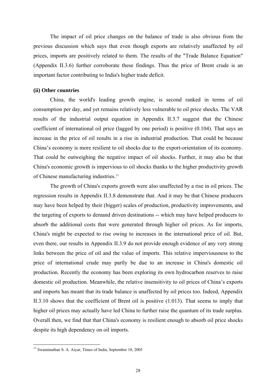<span id="page-35-0"></span> The impact of oil price changes on the balance of trade is also obvious from the previous discussion which says that even though exports are relatively unaffected by oil prices, imports are positively related to them. The results of the "Trade Balance Equation" (Appendix II.3.6) further corroborate these findings. Thus the price of Brent crude is an important factor contributing to India's higher trade deficit.

## **(ii) Other countries**

 China, the world's leading growth engine, is second ranked in terms of oil consumption per day, and yet remains relatively less vulnerable to oil price shocks. The VAR results of the industrial output equation in Appendix II.3.7 suggest that the Chinese coefficient of international oil price (lagged by one period) is positive (0.104). That says an increase in the price of oil results in a rise in industrial production. That could be because China's economy is more resilient to oil shocks due to the export-orientation of its economy. That could be outweighing the negative impact of oil shocks. Further, it may also be that China's economic growth is impervious to oil shocks thanks to the higher productivity growth of Chinese manufacturing industries.<sup>[1](#page-35-0)1</sup>

 The growth of China's exports growth were also unaffected by a rise in oil prices. The regression results in Appendix II.3.8 demonstrate that. And it may be that Chinese producers may have been helped by their (bigger) scales of production, productivity improvements, and the targeting of exports to demand driven destinations -- which may have helped producers to absorb the additional costs that were generated through higher oil prices. As for imports, China's might be expected to rise owing to increases in the international price of oil. But, even there, our results in Appendix II.3.9 do not provide enough evidence of any very strong links between the price of oil and the value of imports. This relative imperviousness to the price of international crude may partly be due to an increase in China's domestic oil production. Recently the economy has been exploring its own hydrocarbon reserves to raise domestic oil production. Meanwhile, the relative insensitivity to oil prices of China's exports and imports has meant that its trade balance is unaffected by oil prices too. Indeed, Appendix II.3.10 shows that the coefficient of Brent oil is positive (1.013). That seems to imply that higher oil prices may actually have led China to further raise the quantum of its trade surplus. Overall then, we find that that China's economy is resilient enough to absorb oil price shocks despite its high dependency on oil imports.

 $\overline{a}$ 

 $11$  Swaminathan S. A. Aiyar, Times of India, September 18, 2005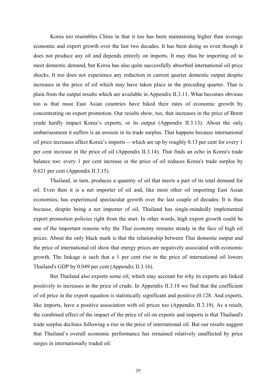Korea too resembles China in that it too has been maintaining higher than average economic and export growth over the last two decades. It has been doing so even though it does not produce any oil and depends entirely on imports. It may thus be importing oil to meet domestic demand, but Korea has also quite successfully absorbed international oil price shocks. It too does not experience any reduction in current quarter domestic output despite increases in the price of oil which may have taken place in the preceding quarter. That is plain from the output results which are available in Appendix II.3.11. What becomes obvious too is that most East Asian countries have hiked their rates of economic growth by concentrating on export promotion. Our results show, too, that increases in the price of Brent crude hardly impact Korea's exports, or its output (Appendix II.3.13). About the only embarrassment it suffers is an erosion in its trade surplus. That happens because international oil price increases affect Korea's imports -- which are up by roughly 0.13 per cent for every 1 per cent increase in the price of oil (Appendix II.3.14). That finds an echo in Korea's trade balance too: every 1 per cent increase in the price of oil reduces Korea's trade surplus by 0.621 per cent (Appendix II.3.15).

 Thailand, in turn, produces a quantity of oil that meets a part of its total demand for oil. Even then it is a net importer of oil and, like most other oil importing East Asian economies, has experienced spectacular growth over the last couple of decades. It is thus because, despite being a net importer of oil, Thailand has single-mindedly implemented export promotion policies right from the start. In other words, high export growth could be one of the important reasons why the Thai economy remains steady in the face of high oil prices. About the only black mark is that the relationship between Thai domestic output and the price of international oil show that energy prices are negatively associated with economic growth. The linkage is such that a 1 per cent rise in the price of international oil lowers Thailand's GDP by 0.049 per cent (Appendix II.3.16).

 But Thailand also exports some oil, which may account for why its exports are linked positively to increases in the price of crude. In Appendix II.3.18 we find that the coefficient of oil price in the export equation is statistically significant and positive (0.128. And exports, like imports, have a positive association with oil prices too (Appendix II.3.19). As a result, the combined effect of the impact of the price of oil on exports and imports is that Thailand's trade surplus declines following a rise in the price of international oil. But our results suggest that Thailand's overall economic performance has remained relatively unaffected by price surges in internationally traded oil.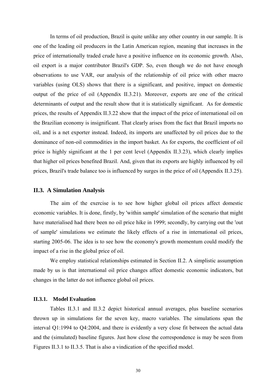In terms of oil production, Brazil is quite unlike any other country in our sample. It is one of the leading oil producers in the Latin American region, meaning that increases in the price of internationally traded crude have a positive influence on its economic growth. Also, oil export is a major contributor Brazil's GDP. So, even though we do not have enough observations to use VAR, our analysis of the relationship of oil price with other macro variables (using OLS) shows that there is a significant, and positive, impact on domestic output of the price of oil (Appendix II.3.21). Moreover, exports are one of the critical determinants of output and the result show that it is statistically significant. As for domestic prices, the results of Appendix II.3.22 show that the impact of the price of international oil on the Brazilian economy is insignificant. That clearly arises from the fact that Brazil imports no oil, and is a net exporter instead. Indeed, its imports are unaffected by oil prices due to the dominance of non-oil commodities in the import basket. As for exports, the coefficient of oil price is highly significant at the 1 per cent level (Appendix II.3.23), which clearly implies that higher oil prices benefited Brazil. And, given that its exports are highly influenced by oil prices, Brazil's trade balance too is influenced by surges in the price of oil (Appendix II.3.25).

### **II.3. A Simulation Analysis**

The aim of the exercise is to see how higher global oil prices affect domestic economic variables. It is done, firstly, by 'within sample' simulation of the scenario that might have materialised had there been no oil price hike in 1999; secondly, by carrying out the 'out of sample' simulations we estimate the likely effects of a rise in international oil prices, starting 2005-06. The idea is to see how the economy's growth momentum could modify the impact of a rise in the global price of oil.

 We employ statistical relationships estimated in Section II.2. A simplistic assumption made by us is that international oil price changes affect domestic economic indicators, but changes in the latter do not influence global oil prices.

### **II.3.1. Model Evaluation**

Tables II.3.1 and II.3.2 depict historical annual averages, plus baseline scenarios thrown up in simulations for the seven key, macro variables. The simulations span the interval Q1:1994 to Q4:2004, and there is evidently a very close fit between the actual data and the (simulated) baseline figures. Just how close the correspondence is may be seen from Figures II.3.1 to II.3.5. That is also a vindication of the specified model.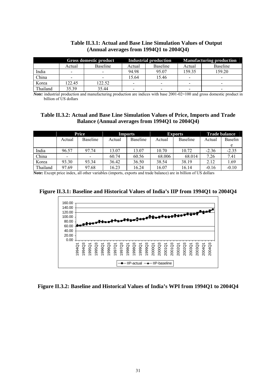|          | Gross domestic product   |          |        | Industrial production | <b>Manufacturing production</b> |                          |
|----------|--------------------------|----------|--------|-----------------------|---------------------------------|--------------------------|
|          | Actual                   | Baseline | Actual | Baseline              | Actual                          | <b>Baseline</b>          |
| India    | $\overline{\phantom{0}}$ |          | 94.98  | 95.07                 | 159.35                          | 159.20                   |
| China    |                          |          | 5.64   | 15.46                 | ۰                               | $\,$                     |
| Korea    | 122.45                   | 22.52    | -      | -                     |                                 | $\overline{\phantom{0}}$ |
| Thailand | 35.39                    | 35.44    | -      |                       |                                 | $\overline{\phantom{0}}$ |

## **Table II.3.1: Actual and Base Line Simulation Values of Output (Annual averages from 1994Q1 to 2004Q4)**

*Note:* industrial production and manufacturing production are indices with base 2001-02=100 and gross domestic product in billion of US dollars

## **Table II.3.2: Actual and Base Line Simulation Values of Price, Imports and Trade Balance (Annual averages from 1994Q1 to 2004Q4)**

|          | Price  |                          | <b>Imports</b> |                 | <b>Exports</b> |                 | <b>Trade balance</b> |         |
|----------|--------|--------------------------|----------------|-----------------|----------------|-----------------|----------------------|---------|
|          | Actual | Baseline                 | Actual         | <b>Baseline</b> | Actual         | <b>Baseline</b> | Actual               | Baselin |
|          |        |                          |                |                 |                |                 |                      |         |
| India    | 96.57  | 97.74                    | 13.07          | 13.07           | 10.70          | 10.72           | $-2.36$              | $-2.35$ |
| China    | -      | $\overline{\phantom{a}}$ | 60.74          | 60.56           | 68.006         | 68.014          | 7.26                 | 7.41    |
| Korea    | 93.30  | 93.34                    | 36.42          | 36.50           | 38.54          | 38.19           | 2.12                 | 1.69    |
| Thailand | 97.69  | 97.68                    | 16.23          | 16.24           | 16.07          | 16.14           | $-0.16$              | $-0.10$ |

**Note:** Except price index, all other variables (imports, exports and trade balance) are in billion of US dollars





## **Figure II.3.2: Baseline and Historical Values of India's WPI from 1994Q1 to 2004Q4**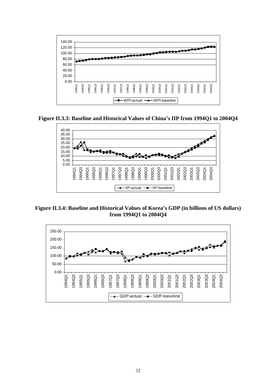

**Figure II.3.3: Baseline and Historical Values of China's IIP from 1994Q1 to 2004Q4** 



**Figure II.3.4: Baseline and Historical Values of Korea's GDP (in billions of US dollars) from 1994Q1 to 2004Q4** 

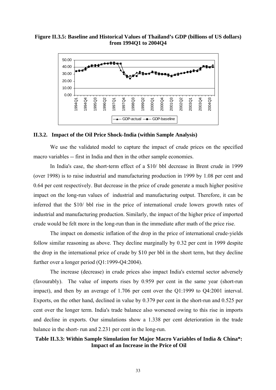### **Figure II.3.5: Baseline and Historical Values of Thailand's GDP (billions of US dollars) from 1994Q1 to 2004Q4**



### **II.3.2. Impact of the Oil Price Shock-India (within Sample Analysis)**

 We use the validated model to capture the impact of crude prices on the specified macro variables -- first in India and then in the other sample economies.

 In India's case, the short-term effect of a \$10/ bbl decrease in Brent crude in 1999 (over 1998) is to raise industrial and manufacturing production in 1999 by 1.08 per cent and 0.64 per cent respectively. But decrease in the price of crude generate a much higher positive impact on the long-run values of industrial and manufacturing output. Therefore, it can be inferred that the \$10/ bbl rise in the price of international crude lowers growth rates of industrial and manufacturing production. Similarly, the impact of the higher price of imported crude would be felt more in the long-run than in the immediate after math of the price rise.

 The impact on domestic inflation of the drop in the price of international crude-yields follow similar reasoning as above. They decline marginally by 0.32 per cent in 1999 despite the drop in the international price of crude by \$10 per bbl in the short term, but they decline further over a longer period (Q1:1999-Q4:2004).

 The increase (decrease) in crude prices also impact India's external sector adversely (favourably). The value of imports rises by 0.959 per cent in the same year (short-run impact), and then by an average of 1.706 per cent over the Q1:1999 to Q4:2001 interval. Exports, on the other hand, declined in value by 0.379 per cent in the short-run and 0.525 per cent over the longer term. India's trade balance also worsened owing to this rise in imports and decline in exports. Our simulations show a 1.338 per cent deterioration in the trade balance in the short- run and 2.231 per cent in the long-run.

## **Table II.3.3: Within Sample Simulation for Major Macro Variables of India & China\*: Impact of an Increase in the Price of Oil**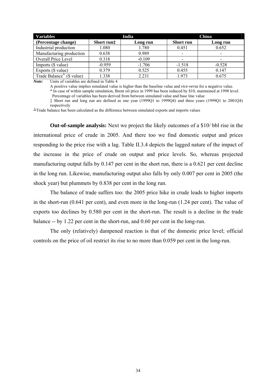| <b>Variables</b>                      |            | India    | China            |                          |  |
|---------------------------------------|------------|----------|------------------|--------------------------|--|
| (Percentage change)                   | Short run# | Long run | <b>Short</b> run | Long run                 |  |
| Industrial production                 | 1.080      | 1.780    | 0.451            | 0.652                    |  |
| Manufacturing production              | 0.638      | 0.989    |                  | $\overline{\phantom{0}}$ |  |
| Overall Price Level                   | 0.318      | $-0.109$ |                  | $\overline{\phantom{a}}$ |  |
| Imports (\$ value)                    | $-0.959$   | $-1.706$ | $-1.518$         | $-0.528$                 |  |
| Exports (\$ value)                    | 0.379      | 0.525    | 0.455            | 0.147                    |  |
| Trade Balance <sup>+</sup> (\$ value) | 1.338      | 2.231    | 1.973            | 0.675                    |  |

*Note:* Units of variables are defined in Table 4

A positive value implies simulated value is higher than the baseline value and *vice-versa* for a negative value.

\* In case of within sample simulation, Brent oil price in 1999 has been reduced by \$10, maintained at 1998 level. Percentage of variables has been derived from between simulated value and base line value

‡ Short run and long run are defined as one year (1999Q1 to 1999Q4) and three years (1999Q1 to 2001Q4) respectively

┴Trade balance has been calculated as the difference between simulated exports and imports values

**Out-of-sample analysis:** Next we project the likely outcomes of a \$10/ bbl rise in the international price of crude in 2005. And there too we find domestic output and prices responding to the price rise with a lag. Table II.3.4 depicts the lagged nature of the impact of the increase in the price of crude on output and price levels. So, whereas projected manufacturing output falls by 0.147 per cent in the short run, there is a 0.621 per cent decline in the long run. Likewise, manufacturing output also falls by only 0.007 per cent in 2005 (the shock year) but plummets by 0.838 per cent in the long run.

 The balance of trade suffers too: the 2005 price hike in crude leads to higher imports in the short-run (0.641 per cent), and even more in the long-run (1.24 per cent). The value of exports too declines by 0.580 per cent in the short-run. The result is a decline in the trade balance -- by 1.22 per cent in the short-run, and 0.60 per cent in the long-run.

 The only (relatively) dampened reaction is that of the domestic price level; official controls on the price of oil restrict its rise to no more than 0.059 per cent in the long-run.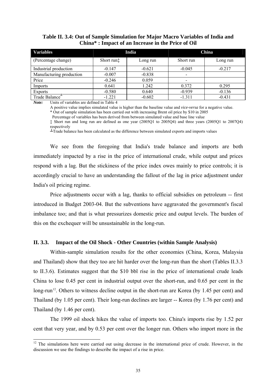| <b>Variables</b>         |            | India    | China     |          |  |
|--------------------------|------------|----------|-----------|----------|--|
| (Percentage change)      | Short run‡ | Long run | Short run | Long run |  |
| Industrial production    | $-0.147$   | $-0.621$ | $-0.045$  | $-0.217$ |  |
| Manufacturing production | $-0.007$   | $-0.838$ |           |          |  |
| Price                    | $-0.246$   | 0.059    |           |          |  |
| Imports                  | 0.641      | 1.242    | 0.372     | 0.295    |  |
| <b>Exports</b>           | $-0.580$   | 0.640    | $-0.939$  | $-0.136$ |  |
| Trade Balance            | $-1.221$   | $-0.602$ | $-1.311$  | $-0.431$ |  |

### <span id="page-42-0"></span>**Table II. 3.4: Out of Sample Simulation for Major Macro Variables of India and China\* : Impact of an Increase in the Price of Oil**

*Note:* Units of variables are defined in Table 4

l

A positive value implies simulated value is higher than the baseline value and *vice-versa* for a negative value.

\* Out of sample simulation has been carried out with increasing Brent oil price by \$10 in 2005

Percentage of variables has been derived from between simulated value and base line value

‡ Short run and long run are defined as one year (2005Q1 to 2005Q4) and three years (2005Q1 to 2007Q4) respectively

 $\perp$ Trade balance has been calculated as the difference between simulated exports and imports values

 We see from the foregoing that India's trade balance and imports are both immediately impacted by a rise in the price of international crude, while output and prices respond with a lag. But the stickiness of the price index owes mainly to price controls; it is accordingly crucial to have an understanding the fallout of the lag in price adjustment under India's oil pricing regime.

Price adjustments occur with a lag, thanks to official subsidies on petroleum -- first introduced in Budget 2003-04. But the subventions have aggravated the government's fiscal imbalance too; and that is what pressurizes domestic price and output levels. The burden of this on the exchequer will be unsustainable in the long-run.

### **II. 3.3. Impact of the Oil Shock - Other Countries (within Sample Analysis)**

 Within-sample simulation results for the other economies (China, Korea, Malaysia and Thailand) show that they too are hit harder over the long-run than the short (Tables II.3.3 to II.3.6). Estimates suggest that the \$10 bbl rise in the price of international crude leads China to lose 0.45 per cent in industrial output over the short-run, and 0.65 per cent in the long-run<sup>[1](#page-42-0)2</sup>. Others to witness decline output in the short-run are Korea (by 1.45 per cent) and Thailand (by 1.05 per cent). Their long-run declines are larger -- Korea (by 1.76 per cent) and Thailand (by 1.46 per cent).

The 1999 oil shock hikes the value of imports too. China's imports rise by 1.52 per cent that very year, and by 0.53 per cent over the longer run. Others who import more in the

<sup>&</sup>lt;sup>12</sup> The simulations here were carried out using decrease in the international price of crude. However, in the discussion we use the findings to describe the impact of a rise in price.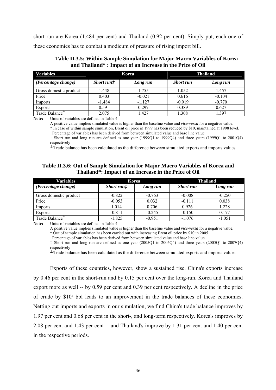short run are Korea (1.484 per cent) and Thailand (0.92 per cent). Simply put, each one of these economies has to combat a modicum of pressure of rising import bill.

| <b>Variables</b>                                  |                             | Korea    | <b>Thailand</b> |          |  |
|---------------------------------------------------|-----------------------------|----------|-----------------|----------|--|
| (Percentage change)                               | <i>Short run</i> $\ddagger$ | Long run | Short run       | Long run |  |
| Gross domestic product                            | 1.448                       | 1.755    | 1.052           | 1.457    |  |
| Price                                             | 0.403                       | $-0.021$ | 0.616           | $-0.104$ |  |
| Imports                                           | $-1.484$                    | $-1.127$ | $-0.919$        | $-0.770$ |  |
| <b>Exports</b>                                    | 0.591                       | 0.297    | 0.389           | 0.627    |  |
| Trade Balance <sup>-</sup><br>.<br>$\blacksquare$ | 2.075<br>$\cdots$           | 1.427    | 1.308           | 1.397    |  |

 **Table II.3.5: Within Sample Simulation for Major Macro Variables of Korea and Thailand\* : Impact of an Increase in the Price of Oil** 

**Note:** Units of variables are defined in Table 4

A positive value implies simulated value is higher than the baseline value and *vice-versa* for a negative value. \* In case of within sample simulation, Brent oil price in 1999 has been reduced by \$10, maintained at 1998 level. Percentage of variables has been derived from between simulated value and base line value

‡ Short run and long run are defined as one year (1999Q1 to 1999Q4) and three years (1999Q1 to 2001Q4) respectively

┴Trade balance has been calculated as the difference between simulated exports and imports values

## **Table II.3.6: Out of Sample Simulation for Major Macro Variables of Korea and Thailand\*: Impact of an Increase in the Price of Oil**

| <b>Variables</b>            |                   | Korea    | <b>Thailand</b>  |          |  |
|-----------------------------|-------------------|----------|------------------|----------|--|
| (Percentage change)         | <i>Short run#</i> | Long run | <b>Short run</b> | Long run |  |
| Gross domestic product      | $-0.822$          | $-0.763$ | $-0.008$         | $-0.250$ |  |
| Price                       | $-0.053$          | 0.032    | $-0.111$         | 0.038    |  |
| Imports                     | 1.014             | 0.706    | 0.926            | 1.228    |  |
| <b>Exports</b>              | $-0.811$          | $-0.245$ | $-0.150$         | 0.177    |  |
| Trade Balance <sup>-1</sup> | $-1.825$          | $-0.951$ | $-1.076$         | $-1.051$ |  |

**Note:** Units of variables are defined in Table 4

A positive value implies simulated value is higher than the baseline value and *vice-versa* for a negative value.

\* Out of sample simulation has been carried out with increasing Brent oil price by \$10 in 2005

Percentage of variables has been derived from between simulated value and base line value

‡ Short run and long run are defined as one year (2005Q1 to 2005Q4) and three years (2005Q1 to 2007Q4) respectively

 $\perp$ Trade balance has been calculated as the difference between simulated exports and imports values

Exports of these countries, however, show a sustained rise. China's exports increase by 0.46 per cent in the short-run and by 0.15 per cent over the long-run. Korea and Thailand export more as well -- by 0.59 per cent and 0.39 per cent respectively. A decline in the price of crude by \$10/ bbl leads to an improvement in the trade balances of these economies. Netting out imports and exports in our simulation, we find China's trade balance improves by 1.97 per cent and 0.68 per cent in the short-, and long-term respectively. Korea's improves by 2.08 per cent and 1.43 per cent -- and Thailand's improve by 1.31 per cent and 1.40 per cent in the respective periods.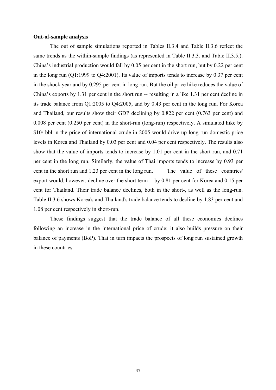### **Out-of-sample analysis**

The out of sample simulations reported in Tables II.3.4 and Table II.3.6 reflect the same trends as the within-sample findings (as represented in Table II.3.3. and Table II.3.5.). China's industrial production would fall by 0.05 per cent in the short run, but by 0.22 per cent in the long run (Q1:1999 to Q4:2001). Its value of imports tends to increase by 0.37 per cent in the shock year and by 0.295 per cent in long run. But the oil price hike reduces the value of China's exports by 1.31 per cent in the short run -- resulting in a like 1.31 per cent decline in its trade balance from Q1:2005 to Q4:2005, and by 0.43 per cent in the long run. For Korea and Thailand, our results show their GDP declining by 0.822 per cent (0.763 per cent) and 0.008 per cent (0.250 per cent) in the short-run (long-run) respectively. A simulated hike by \$10/ bbl in the price of international crude in 2005 would drive up long run domestic price levels in Korea and Thailand by 0.03 per cent and 0.04 per cent respectively. The results also show that the value of imports tends to increase by 1.01 per cent in the short-run, and 0.71 per cent in the long run. Similarly, the value of Thai imports tends to increase by 0.93 per cent in the short run and 1.23 per cent in the long run. The value of these countries' export would, however, decline over the short term -- by 0.81 per cent for Korea and 0.15 per cent for Thailand. Their trade balance declines, both in the short-, as well as the long-run. Table II.3.6 shows Korea's and Thailand's trade balance tends to decline by 1.83 per cent and 1.08 per cent respectively in short-run.

These findings suggest that the trade balance of all these economies declines following an increase in the international price of crude; it also builds pressure on their balance of payments (BoP). That in turn impacts the prospects of long run sustained growth in these countries.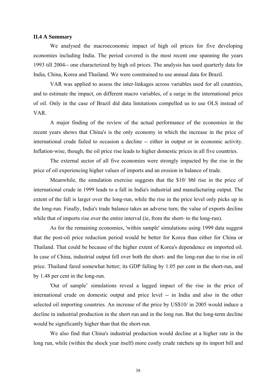### **II.4 A Summary**

We analysed the macroeconomic impact of high oil prices for five developing economies including India. The period covered is the most recent one spanning the years 1993 till 2004-- one characterized by high oil prices. The analysis has used quarterly data for India, China, Korea and Thailand. We were constrained to use annual data for Brazil.

VAR was applied to assess the inter-linkages across variables used for all countries, and to estimate the impact, on different macro variables, of a surge in the international price of oil. Only in the case of Brazil did data limitations compelled us to use OLS instead of VAR.

 A major finding of the review of the actual performance of the economies in the recent years shows that China's is the only economy in which the increase in the price of international crude failed to occasion a decline -- either in output or in economic activity. Inflation-wise, though, the oil price rise leads to higher domestic prices in all five countries.

 The external sector of all five economies were strongly impacted by the rise in the price of oil experiencing higher values of imports and an erosion in balance of trade.

 Meanwhile, the simulation exercise suggests that the \$10/ bbl rise in the price of international crude in 1999 leads to a fall in India's industrial and manufacturing output. The extent of the fall is larger over the long-run, while the rise in the price level only picks up in the long-run. Finally, India's trade balance takes an adverse turn; the value of exports decline while that of imports rise over the entire interval (ie, from the short- to the long-run).

 As for the remaining economies, 'within sample' simulations using 1999 data suggest that the post-oil price reduction period would be better for Korea than either for China or Thailand. That could be because of the higher extent of Korea's dependence on imported oil. In case of China, industrial output fell over both the short- and the long-run due to rise in oil price. Thailand fared somewhat better; its GDP falling by 1.05 per cent in the short-run, and by 1.48 per cent in the long-run.

 'Out of sample' simulations reveal a lagged impact of the rise in the price of international crude on domestic output and price level -- in India and also in the other selected oil importing countries. An increase of the price by US\$10/ in 2005 would induce a decline in industrial production in the short run and in the long run. But the long-term decline would be significantly higher than that the short-run.

 We also find that China's industrial production would decline at a higher rate in the long run, while (within the shock year itself) more costly crude ratchets up its import bill and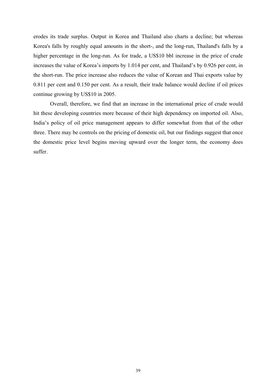erodes its trade surplus. Output in Korea and Thailand also charts a decline; but whereas Korea's falls by roughly equal amounts in the short-, and the long-run, Thailand's falls by a higher percentage in the long-run. As for trade, a US\$10 bbl increase in the price of crude increases the value of Korea's imports by 1.014 per cent, and Thailand's by 0.926 per cent, in the short-run. The price increase also reduces the value of Korean and Thai exports value by 0.811 per cent and 0.150 per cent. As a result, their trade balance would decline if oil prices continue growing by US\$10 in 2005.

 Overall, therefore, we find that an increase in the international price of crude would hit these developing countries more because of their high dependency on imported oil. Also, India's policy of oil price management appears to differ somewhat from that of the other three. There may be controls on the pricing of domestic oil, but our findings suggest that once the domestic price level begins moving upward over the longer term, the economy does suffer.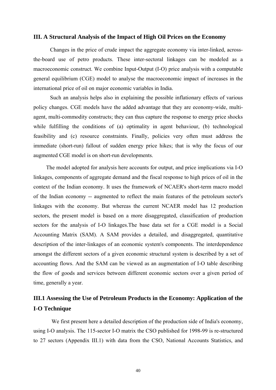### **III. A Structural Analysis of the Impact of High Oil Prices on the Economy**

 Changes in the price of crude impact the aggregate economy via inter-linked, acrossthe-board use of petro products. These inter-sectoral linkages can be modeled as a macroeconomic construct. We combine Input-Output (I-O) price analysis with a computable general equilibrium (CGE) model to analyse the macroeconomic impact of increases in the international price of oil on major economic variables in India.

 Such an analysis helps also in explaining the possible inflationary effects of various policy changes. CGE models have the added advantage that they are economy-wide, multiagent, multi-commodity constructs; they can thus capture the response to energy price shocks while fulfilling the conditions of (a) optimality in agent behaviour, (b) technological feasibility and (c) resource constraints. Finally, policies very often must address the immediate (short-run) fallout of sudden energy price hikes; that is why the focus of our augmented CGE model is on short-run developments.

The model adopted for analysis here accounts for output, and price implications via I-O linkages, components of aggregate demand and the fiscal response to high prices of oil in the context of the Indian economy. It uses the framework of NCAER's short-term macro model of the Indian economy -- augmented to reflect the main features of the petroleum sector's linkages with the economy. But whereas the current NCAER model has 12 production sectors, the present model is based on a more disaggregated, classification of production sectors for the analysis of I-O linkages.The base data set for a CGE model is a Social Accounting Matrix (SAM). A SAM provides a detailed, and disaggregated, quantitative description of the inter-linkages of an economic system's components. The interdependence amongst the different sectors of a given economic structural system is described by a set of accounting flows. And the SAM can be viewed as an augmentation of I-O table describing the flow of goods and services between different economic sectors over a given period of time, generally a year.

# **III.1 Assessing the Use of Petroleum Products in the Economy: Application of the I-O Technique**

 We first present here a detailed description of the production side of India's economy, using I-O analysis. The 115-sector I-O matrix the CSO published for 1998-99 is re-structured to 27 sectors (Appendix III.1) with data from the CSO, National Accounts Statistics, and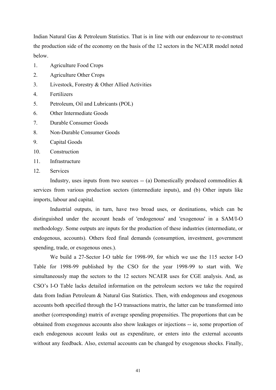Indian Natural Gas & Petroleum Statistics. That is in line with our endeavour to re-construct the production side of the economy on the basis of the 12 sectors in the NCAER model noted below.

- 1. Agriculture Food Crops
- 2. Agriculture Other Crops
- 3. Livestock, Forestry & Other Allied Activities
- 4. Fertilizers
- 5. Petroleum, Oil and Lubricants (POL)
- 6. Other Intermediate Goods
- 7. Durable Consumer Goods
- 8. Non-Durable Consumer Goods
- 9. Capital Goods
- 10. Construction
- 11. Infrastructure
- 12. Services

Industry, uses inputs from two sources  $-$  (a) Domestically produced commodities  $\&$ services from various production sectors (intermediate inputs), and (b) Other inputs like imports, labour and capital.

 Industrial outputs, in turn, have two broad uses, or destinations, which can be distinguished under the account heads of 'endogenous' and 'exogenous' in a SAM/I-O methodology. Some outputs are inputs for the production of these industries (intermediate, or endogenous, accounts). Others feed final demands (consumption, investment, government spending, trade, or exogenous ones.).

 We build a 27-Sector I-O table for 1998-99, for which we use the 115 sector I-O Table for 1998-99 published by the CSO for the year 1998-99 to start with. We simultaneously map the sectors to the 12 sectors NCAER uses for CGE analysis. And, as CSO's I-O Table lacks detailed information on the petroleum sectors we take the required data from Indian Petroleum & Natural Gas Statistics. Then, with endogenous and exogenous accounts both specified through the I-O transactions matrix, the latter can be transformed into another (corresponding) matrix of average spending propensities. The proportions that can be obtained from exogenous accounts also show leakages or injections -- ie, some proportion of each endogenous account leaks out as expenditure, or enters into the external accounts without any feedback. Also, external accounts can be changed by exogenous shocks. Finally,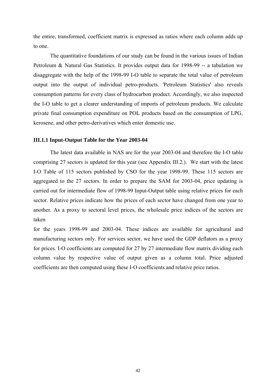the entire, transformed, coefficient matrix is expressed as ratios where each column adds up to one.

 The quantitative foundations of our study can be found in the various issues of Indian Petroleum & Natural Gas Statistics. It provides output data for 1998-99 -- a tabulation we disaggregate with the help of the 1998-99 I-O table to separate the total value of petroleum output into the output of individual petro-products. 'Petroleum Statistics' also reveals consumption patterns for every class of hydrocarbon product. Accordingly, we also inspected the I-O table to get a clearer understanding of imports of petroleum products. We calculate private final consumption expenditure on POL products based on the consumption of LPG, kerosene, and other petro-derivatives which enter domestic use.

### **III.1.1 Input-Output Table for the Year 2003-04**

 The latest data available in NAS are for the year 2003-04 and therefore the I-O table comprising 27 sectors is updated for this year (see Appendix III.2.). We start with the latest I-O Table of 115 sectors published by CSO for the year 1998-99. These 115 sectors are aggregated to the 27 sectors. In order to prepare the SAM for 2003-04, price updating is carried out for intermediate flow of 1998-99 Input-Output table using relative prices for each sector. Relative prices indicate how the prices of each sector have changed from one year to another. As a proxy to sectoral level prices, the wholesale price indices of the sectors are taken

for the years 1998-99 and 2003-04. These indices are available for agricultural and manufacturing sectors only. For services sector, we have used the GDP deflators as a proxy for prices. I-O coefficients are computed for 27 by 27 intermediate flow matrix dividing each column value by respective value of output given as a column total. Price adjusted coefficients are then computed using these I-O coefficients and relative price ratios.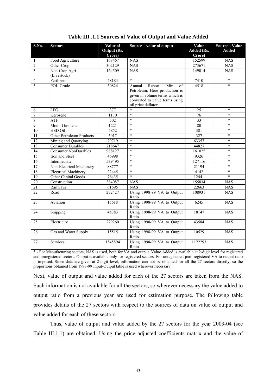| S.No.           | <b>Sectors</b>              | Value of           | Source – value of output            | Value             | <b>Source: Value</b> |
|-----------------|-----------------------------|--------------------|-------------------------------------|-------------------|----------------------|
|                 |                             | <b>Output (Rs.</b> |                                     | <b>Added (Rs.</b> | <b>Added</b>         |
|                 |                             | Crore)             |                                     | Crore)            |                      |
| 1               | Food Agriculture            | 168467             | <b>NAS</b>                          | 152599            | <b>NAS</b>           |
| $\overline{2}$  | Other Crop                  | 302129             | <b>NAS</b>                          | 273671            | $N\overline{AS}$     |
| $\overline{3}$  | Non-Crop Agri               | 164509             | <b>NAS</b>                          | 149014            | <b>NAS</b>           |
|                 | (Livestock)                 |                    |                                     |                   |                      |
| $\overline{4}$  | Fertlizers                  | 28184              | $\ast$                              | 7410              | $\ast$               |
| 5               | POL-Crude                   | 30824              | Report,<br>Min<br>of<br>Annual      | 4518              | $\ast$               |
|                 |                             |                    | Petroleum. Here production is       |                   |                      |
|                 |                             |                    | given in volume terms which is      |                   |                      |
|                 |                             |                    | converted to value terms using      |                   |                      |
|                 |                             |                    | oil price deflator.                 |                   |                      |
| 6               | LPG                         | 377                | $\ast$                              | 25                | $\ast$               |
| $\sqrt{ }$      | Kerosene                    | 1170               | $\ast$                              | 76                | $\ast$               |
| $\,8\,$         | ATF                         | 502                | $\ast$                              | 33                | $\ast$               |
| $\overline{9}$  | Motor Gasolene              | 1221               | $\ast$                              | 80                | $\ast$               |
| 10              | HSD Oil                     | 5852               | $\ast$                              | 381               | $\ast$               |
| 11              | Other Petroleum Products    | 5017               | $\ast$                              | 327               | $\ast$               |
| 12              | Mining and Quarrying        | 79719              | $\ast$                              | 63357             | $\ast$               |
| $\overline{13}$ | Consumer Durables           | 218647             | $\ast$                              | 44827             | $\ast$               |
| 14              | <b>Consumer NonDurables</b> | 988127             | $\ast$                              | 161025            | $\ast$               |
| 15              | Iron and Steel              | 46998              | $\ast$                              | 9326              | $\ast$               |
| $\overline{16}$ | Intermediate                | 539495             | $\ast$                              | 127116            | $\ast$               |
| 17              | Non-Electrical Machinery    | 88777              | $\ast$                              | 21194             | $\ast$               |
| 18              | <b>Electrical Machinery</b> | 22445              | $\ast$                              | 4142              | $\ast$               |
| 19              | Other Capital Goods         | 76435              | $\ast$                              | 12441             | $\ast$               |
| 20              | Construction                | 384087             | <b>NAS</b>                          | 155834            | <b>NAS</b>           |
| $\overline{21}$ | Railways                    | 61695              | <b>NAS</b>                          | 22663             | <b>NAS</b>           |
| 22              | Road                        | 272427             | Using 1998-99 VA to Output          | 108931            | <b>NAS</b>           |
|                 |                             |                    | Ratio                               |                   |                      |
| 23              | Aviation                    | 15618              | Using 1998-99 VA to Output<br>Ratio | 6245              | <b>NAS</b>           |
| 24              | Shipping                    | 45383              | Using 1998-99 VA to Output          | 18147             | <b>NAS</b>           |
|                 |                             |                    | Ratio                               |                   |                      |
| 25              | Electricity                 | 229260             | Using 1998-99 VA to Output          | 43584             | <b>NAS</b>           |
|                 |                             |                    | Ratio                               |                   |                      |
| 26              | Gas and Water Supply        | 15515              | Using 1998-99 VA to Output          | 10529             | <b>NAS</b>           |
|                 |                             |                    | Ratio                               |                   |                      |
| 27              | Services                    | 1545894            | Using 1998-99 VA to Output          | 1122293           | <b>NAS</b>           |
|                 |                             |                    | Ratio                               |                   |                      |

\* - For Manufacturing sectors, NAS is used, both for VA and output. Value Added is available at 2-digit level for registered and unregistered sectors. Output is available only for registered sectors. For unregistered part, registered VA to output ratio is imposed. Since data are given at 2-digit level, information can not be obtained for all the 27 sectors directly, so the proportions obtained from 1998-99 Input-Output table is used wherever necessary.

Next, value of output and value added for each of the 27 sectors are taken from the NAS. Such information is not available for all the sectors, so wherever necessary the value added to output ratio from a previous year are used for estimation purpose. The following table provides details of the 27 sectors with respect to the sources of data on value of output and value added for each of these sectors:

Thus, value of output and value added by the 27 sectors for the year 2003-04 (see Table III.1.1) are obtained. Using the price adjusted coefficients matrix and the value of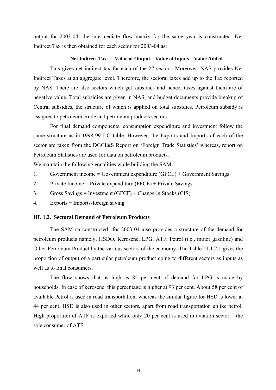output for 2003-04, the intermediate flow matrix for the same year is constructed. Net Indirect Tax is then obtained for each sector for 2003-04 as:

### **Net Indirect Tax = Value of Output – Value of Inputs – Value Added**

This gives net indirect tax for each of the 27 sectors. Moreover, NAS provides Net Indirect Taxes at an aggregate level. Therefore, the sectoral taxes add up to the Tax reported by NAS. There are also sectors which get subsidies and hence, taxes against them are of negative value. Total subsidies are given in NAS, and budget documents provide breakup of Central subsidies, the structure of which is applied on total subsidies. Petroleum subsidy is assigned to petroleum crude and petroleum products sectors.

 For final demand components, consumption expenditure and investment follow the same structure as in 1998-99 I-O table. However, the Exports and Imports of each of the sector are taken from the DGCI&S Report on 'Foreign Trade Statistics' whereas, report on Petroleum Statistics are used for data on petroleum products.

We maintain the following equalities while building the SAM:

- 1. Government income = Government expenditure (GFCE) + Government Savings
- 2. Private Income = Private expenditure (PFCE) + Private Savings
- 3. Gross Savings = Investment (GFCF) + Change in Stocks (CIS)
- 4. Exports = Imports-foreign saving

### **III. 1.2. Sectoral Demand of Petroleum Products**

 The SAM so constructed for 2003-04 also provides a structure of the demand for petroleum products namely, HSDO, Kerosene, LPG, ATF, Petrol (i.e., motor gasoline) and Other Petroleum Product by the various sectors of the economy. The Table III.1.2.1 gives the proportion of output of a particular petroleum product going to different sectors as inputs as well as to final consumers.

 The flow shows that as high as 85 per cent of demand for LPG is made by households. In case of kerosene, this percentage is higher at 93 per cent. About 58 per cent of available Petrol is used in road transportation, whereas the similar figure for HSD is lower at 44 per cent. HSD is also used in other sectors, apart from road transportation unlike petrol. High proportion of ATF is exported while only 20 per cent is used in aviation sector – the sole consumer of ATF.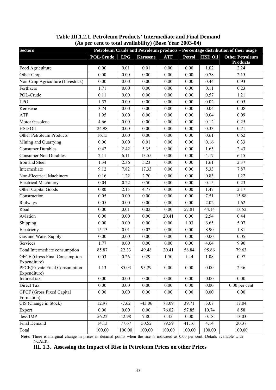| <b>Sectors</b>                                       |                   |            |                 |            |               |                | Petroleum Crude and Petroleum products - Percentage distribution of their usage |
|------------------------------------------------------|-------------------|------------|-----------------|------------|---------------|----------------|---------------------------------------------------------------------------------|
|                                                      | <b>POL-Crude</b>  | <b>LPG</b> | <b>Kerosene</b> | <b>ATF</b> | <b>Petrol</b> | <b>HSD Oil</b> | <b>Other Petroleum</b><br><b>Products</b>                                       |
| Food Agriculture                                     | 0.00              | 0.01       | 0.01            | 0.00       | $0.00\,$      | 1.02           | 2.24                                                                            |
| Other Crop                                           | 0.00              | 0.00       | 0.00            | 0.00       | 0.00          | 0.78           | 2.15                                                                            |
| Non-Crop Agriculture (Livestock)                     | 0.00              | 0.00       | 0.00            | 0.00       | 0.00          | 0.44           | 0.93                                                                            |
| Fertlizers                                           | 1.71              | 0.00       | 0.00            | 0.00       | 0.00          | 0.11           | 0.23                                                                            |
| POL-Crude                                            | 0.11              | 0.00       | 0.00            | 0.00       | 0.00          | 0.57           | 1.21                                                                            |
| <b>LPG</b>                                           | 1.57              | 0.00       | $0.00\,$        | 0.00       | 0.00          | 0.02           | 0.05                                                                            |
| Kerosene                                             | 3.74              | 0.00       | 0.00            | 0.00       | 0.00          | 0.04           | 0.08                                                                            |
| ATF                                                  | 1.95              | 0.00       | 0.00            | 0.00       | 0.00          | 0.04           | 0.09                                                                            |
| Motor Gasolene                                       | 4.66              | $0.00\,$   | 0.00            | 0.00       | 0.00          | 0.12           | 0.25                                                                            |
| HSD Oil                                              | 24.98             | 0.00       | $0.00\,$        | 0.00       | $0.00\,$      | 0.33           | 0.71                                                                            |
| Other Petroleum Products                             | 16.15             | 0.00       | 0.00            | 0.00       | 0.00          | 0.61           | 0.62                                                                            |
| Mining and Quarrying                                 | 0.00              | 0.00       | 0.01            | 0.00       | 0.00          | 0.16           | 0.33                                                                            |
| <b>Consumer Durables</b>                             | 0.42              | 2.42       | 5.35            | 0.00       | 0.00          | 1.65           | 2.43                                                                            |
| <b>Consumer Non Durables</b>                         | 2.11              | 6.11       | 13.55           | 0.00       | 0.00          | 4.17           | 6.15                                                                            |
| Iron and Steel                                       | 1.34              | 2.36       | 5.23            | 0.00       | 0.00          | 1.61           | 2.37                                                                            |
| Intermediate                                         | 9.12              | 7.82       | 17.33           | 0.00       | 0.00          | 5.33           | 7.87                                                                            |
| Non-Electrical Machinery                             | 0.16              | 1.22       | 2.70            | 0.00       | $0.00\,$      | 0.83           | 1.22                                                                            |
| <b>Electrical Machinery</b>                          | 0.04              | 0.22       | 0.50            | 0.00       | 0.00          | 0.15           | 0.23                                                                            |
| Other Capital Goods                                  | 0.80              | 2.15       | 4.77            | 0.00       | 0.00          | 1.47           | 2.17                                                                            |
| Construction                                         | 0.05              | $0.00\,$   | $0.00\,$        | 0.00       | $0.00\,$      | 7.51           | 15.88                                                                           |
| Railways                                             | 0.05              | 0.00       | 0.00            | 0.00       | $0.00\,$      | 2.02           | 1.62                                                                            |
| Road                                                 | 0.00              | 0.01       | 0.02            | 0.00       | 57.81         | 44.14          | 13.52                                                                           |
| Aviation                                             | 0.00              | $0.00\,$   | $0.00\,$        | 20.41      | $0.00\,$      | 2.54           | 0.44                                                                            |
| Shipping                                             | $\overline{0.00}$ | 0.00       | 0.00            | 0.00       | 1.03          | 6.65           | 5.07                                                                            |
| Electricity                                          | 15.13             | 0.01       | 0.02            | 0.00       | 0.00          | 8.90           | 1.81                                                                            |
| Gas and Water Supply                                 | 0.00              | 0.00       | 0.00            | 0.00       | 0.00          | 0.00           | 0.05                                                                            |
| Services                                             | 1.77              | 0.00       | 0.00            | $0.00\,$   | $0.00\,$      | 4.64           | 9.90                                                                            |
| Total Intermediate consumption                       | 85.87             | 22.33      | 49.48           | 20.41      | 58.84         | 95.86          | 79.63                                                                           |
| <b>GFCE</b> (Gross Final Consumption<br>Expenditure) | 0.03              | 0.26       | 0.29            | 1.50       | 1.44          | 1.08           | 0.97                                                                            |
| PFCE(Private Final Consumption<br>Expenditure)       | 1.13              | 85.03      | 93.29           | 0.00       | 0.00          | 0.00           | 2.36                                                                            |
| Indirect tax                                         | 0.00              | $0.00\,$   | 0.00            | 0.00       | 0.00          | 0.00           | 0.00                                                                            |
| Direct Tax                                           | 0.00              | 0.00       | $0.00\,$        | 0.00       | 0.00          | $0.00\,$       | $0.00$ per cent                                                                 |
| <b>GFCF</b> (Gross Fixed Capital<br>Formation)       | 0.00              | 0.00       | 0.00            | 0.00       | 0.00          | $0.00\,$       | 0.00                                                                            |
| CIS (Change in Stock)                                | 12.97             | $-7.62$    | $-43.06$        | 78.09      | 39.71         | 3.07           | 17.04                                                                           |
| Export                                               | 0.00              | 0.00       | 0.00            | 76.02      | 57.85         | 10.74          | 8.58                                                                            |
| less IMP                                             | 56.22             | 42.98      | 7.80            | 0.35       | 0.00          | 0.18           | 13.03                                                                           |
| Final Demand                                         | 14.13             | 77.67      | 50.52           | 79.59      | 41.16         | 4.14           | 20.37                                                                           |
| Total                                                | 100.00            | 100.00     | 100.00          | 100.00     | 100.00        | 100.00         | 100.00                                                                          |

## **Table III.1.2.1. Petroleum Products' Intermediate and Final Demand (As per cent to total availability) (Base Year 2003-04)**

**Note:** There is marginal change in prices in decimal points when the rise is indicated as 0.00 per cent. Details available with NCAER.

**III. 1.3. Assessing the Impact of Rise in Petroleum Prices on other Prices**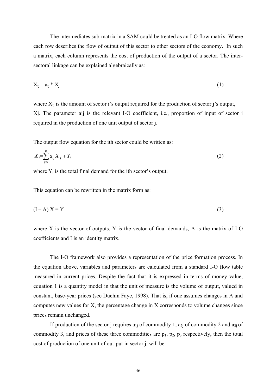The intermediates sub-matrix in a SAM could be treated as an I-O flow matrix. Where each row describes the flow of output of this sector to other sectors of the economy. In such a matrix, each column represents the cost of production of the output of a sector. The intersectoral linkage can be explained algebraically as:

$$
X_{ij} = a_{ij} * X_i \tag{1}
$$

where  $X_{ii}$  is the amount of sector i's output required for the production of sector j's output, Xj. The parameter aij is the relevant I-O coefficient, i.e., proportion of input of sector i required in the production of one unit output of sector j.

The output flow equation for the ith sector could be written as:

$$
X_i = \sum_{j=i}^{n} a_{ij} X_j + Y_i
$$
 (2)

where  $Y_i$  is the total final demand for the ith sector's output.

This equation can be rewritten in the matrix form as:

$$
(I - A) X = Y \tag{3}
$$

where X is the vector of outputs, Y is the vector of final demands, A is the matrix of I-O coefficients and I is an identity matrix.

 The I-O framework also provides a representation of the price formation process. In the equation above, variables and parameters are calculated from a standard I-O flow table measured in current prices. Despite the fact that it is expressed in terms of money value, equation 1 is a quantity model in that the unit of measure is the volume of output, valued in constant, base-year prices (see Duchin Faye, 1998). That is, if one assumes changes in A and computes new values for X, the percentage change in X corresponds to volume changes since prices remain unchanged.

If production of the sector j requires  $a_{1i}$  of commodity 1,  $a_{2i}$  of commodity 2 and  $a_{3i}$  of commodity 3, and prices of these three commodities are  $p_1$ ,  $p_2$ ,  $p_3$  respectively, then the total cost of production of one unit of out-put in sector j, will be: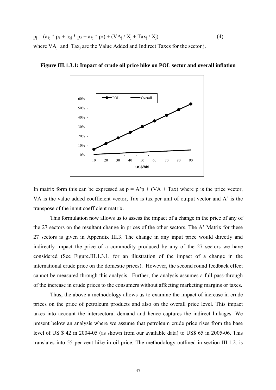$$
p_j = (a_{1j} * p_1 + a_{2j} * p_2 + a_{3j} * p_3) + (VA_j / X_j + Tax_j / X_j)
$$
\n(4)

\nwhere VA<sub>j</sub> and Tax<sub>j</sub> are the Value Added and Indirect Taxes for the sector j.



**Figure III.1.3.1: Impact of crude oil price hike on POL sector and overall inflation** 

In matrix form this can be expressed as  $p = A'p + (VA + Tax)$  where p is the price vector, VA is the value added coefficient vector, Tax is tax per unit of output vector and A' is the transpose of the input coefficient matrix.

This formulation now allows us to assess the impact of a change in the price of any of the 27 sectors on the resultant change in prices of the other sectors. The A' Matrix for these 27 sectors is given in Appendix III.3. The change in any input price would directly and indirectly impact the price of a commodity produced by any of the 27 sectors we have considered (See Figure.III.1.3.1. for an illustration of the impact of a change in the international crude price on the domestic prices). However, the second round feedback effect cannot be measured through this analysis. Further, the analysis assumes a full pass-through of the increase in crude prices to the consumers without affecting marketing margins or taxes.

 Thus, the above a methodology allows us to examine the impact of increase in crude prices on the price of petroleum products and also on the overall price level. This impact takes into account the intersectoral demand and hence captures the indirect linkages. We present below an analysis where we assume that petroleum crude price rises from the base level of US \$ 42 in 2004-05 (as shown from our available data) to US\$ 65 in 2005-06. This translates into 55 per cent hike in oil price. The methodology outlined in section III.1.2. is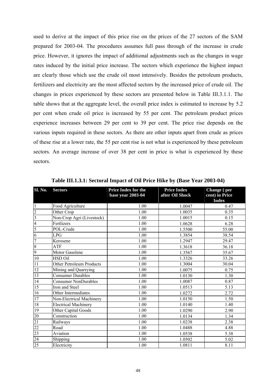used to derive at the impact of this price rise on the prices of the 27 sectors of the SAM prepared for 2003-04. The procedures assumes full pass through of the increase in crude price. However, it ignores the impact of additional adjustments such as the changes in wage rates induced by the initial price increase. The sectors which experience the highest impact are clearly those which use the crude oil most intensively. Besides the petroleum products, fertilizers and electricity are the most affected sectors by the increased price of crude oil. The changes in prices experienced by these sectors are presented below in Table III.3.1.1. The table shows that at the aggregate level, the overall price index is estimated to increase by 5.2 per cent when crude oil price is increased by 55 per cent. The petroleum product prices experience increases between 29 per cent to 39 per cent. The price rise depends on the various inputs required in these sectors. As there are other inputs apart from crude as prices of these rise at a lower rate, the 55 per cent rise is not what is experienced by these petroleum sectors. An average increase of over 38 per cent in price is what is experienced by these sectors.

| <b>Sl. No.</b>          | <b>Sectors</b>              | <b>Price Index for the</b><br>base year 2003-04 | <b>Price Index</b><br>after Oil Shock | Change (per<br>cent) in Price<br><b>Index</b> |
|-------------------------|-----------------------------|-------------------------------------------------|---------------------------------------|-----------------------------------------------|
| $\mathbf{1}$            | Food Agriculture            | 1.00                                            | 1.0047                                | 0.47                                          |
| $\overline{c}$          | Other Crop                  | 1.00                                            | 1.0035                                | 0.35                                          |
| $\overline{\mathbf{3}}$ | Non-Crop Agri (Livestock)   | 1.00                                            | 1.0015                                | 0.15                                          |
| $\overline{4}$          | Fertlizers                  | 1.00                                            | 1.0628                                | 6.28                                          |
| 5                       | POL-Crude                   | 1.00                                            | 1.5500                                | 55.00                                         |
| 6                       | LPG                         | 1.00                                            | 1.3854                                | 38.54                                         |
| $\overline{7}$          | Kerosene                    | 1.00                                            | 1.2947                                | 29.47                                         |
| $\overline{8}$          | ATF                         | 1.00                                            | 1.3618                                | 36.18                                         |
| 9                       | Motor Gasolene              | 1.00                                            | 1.3567                                | 35.67                                         |
| 10                      | HSD Oil                     | 1.00                                            | 1.3326                                | 33.26                                         |
| 11                      | Other Petroleum Products    | 1.00                                            | 1.3004                                | 30.04                                         |
| 12                      | Mining and Quarrying        | 1.00                                            | 1.0075                                | 0.75                                          |
| 13                      | <b>Consumer Durables</b>    | 1.00                                            | 1.0130                                | 1.30                                          |
| 14                      | <b>Consumer NonDurables</b> | 1.00                                            | 1.0087                                | 0.87                                          |
| 15                      | Iron and Steel              | 1.00                                            | 1.0513                                | 5.13                                          |
| 16                      | Other Intermediates         | 1.00                                            | 1.0272                                | 2.72                                          |
| 17                      | Non-Electrical Machinery    | 1.00                                            | 1.0150                                | 1.50                                          |
| $18\,$                  | <b>Electrical Machinery</b> | 1.00                                            | 1.0140                                | 1.40                                          |
| 19                      | Other Capital Goods         | 1.00                                            | 1.0290                                | 2.90                                          |
| 20                      | Construction                | 1.00                                            | 1.0134                                | 1.34                                          |
| $\overline{21}$         | Railways                    | 1.00                                            | 1.0238                                | 2.38                                          |
| $\overline{22}$         | Road                        | 1.00                                            | 1.0488                                | 4.88                                          |
| $\overline{23}$         | Aviation                    | 1.00                                            | 1.0538                                | 5.38                                          |
| 24                      | Shipping                    | 1.00                                            | 1.0502                                | 5.02                                          |
| $\overline{25}$         | Electricity                 | 1.00                                            | 1.0811                                | 8.11                                          |

**Table III.1.3.1: Sectoral Impact of Oil Price Hike by (Base Year 2003-04)**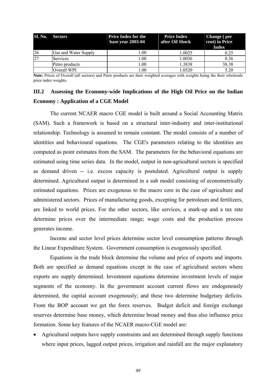| <b>Sl. No.</b> | <b>Sectors</b>       | <b>Price Index for the</b><br>base year 2003-04 | <b>Price Index</b><br>after Oil Shock | <b>Change</b> (per<br>cent) in Price<br><b>Index</b> |
|----------------|----------------------|-------------------------------------------------|---------------------------------------|------------------------------------------------------|
| <sup>26</sup>  | Gas and Water Supply | LOO.                                            | 1.0025                                | 0.25                                                 |
| 27             | <b>Services</b>      | $\pm 00$                                        | 1.0036                                | 0.36                                                 |
|                | Petro products       | .00                                             | 1.3838                                | 38.38                                                |
|                | Overall WPI          | .00                                             | 1.0520                                | 5.20                                                 |

**Note:** Prices of Overall (all sectors) and Petro products are their weighted averages with weights being the their wholesale price index weights.

# **III.2 Assessing the Economy-wide Implications of the High Oil Price on the Indian Economy : Application of a CGE Model**

 The current NCAER macro CGE model is built around a Social Accounting Matrix (SAM). Such a framework is based on a structural inter-industry and inter-institutional relationship. Technology is assumed to remain constant. The model consists of a number of identities and behavioural equations. The CGE's parameters relating to the identities are computed as point estimates from the SAM. The parameters for the behavioral equations are estimated using time series data. In the model, output in non-agricultural sectors is specified as demand driven -- i.e. excess capacity is postulated. Agricultural output is supply determined. Agricultural output is determined in a sub model consisting of econometrically estimated equations. Prices are exogenous to the macro core in the case of agriculture and administered sectors. Prices of manufacturing goods, excepting for petroleum and fertilizers, are linked to world prices. For the other sectors, like services, a mark-up and a tax rate determine prices over the intermediate range; wage costs and the production process generates income.

 Income and sector level prices determine sector level consumption patterns through the Linear Expenditure System. Government consumption is exogenously specified.

 Equations in the trade block determine the volume and price of exports and imports. Both are specified as demand equations except in the case of agricultural sectors where exports are supply determined. Investment equations determine investment levels of major segments of the economy. In the government account current flows are endogenously determined, the capital account exogenously; and these two determine budgetary deficits. From the BOP account we get the forex reserves. Budget deficit and foreign exchange reserves determine base money, which determine broad money and thus also influence price formation. Some key features of the NCAER macro-CGE model are:

• Agricultural outputs have supply constraints and are determined through supply functions where input prices, lagged output prices, irrigation and rainfall are the major explanatory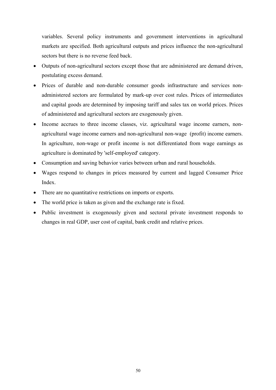variables. Several policy instruments and government interventions in agricultural markets are specified. Both agricultural outputs and prices influence the non-agricultural sectors but there is no reverse feed back.

- Outputs of non-agricultural sectors except those that are administered are demand driven, postulating excess demand.
- Prices of durable and non-durable consumer goods infrastructure and services nonadministered sectors are formulated by mark-up over cost rules. Prices of intermediates and capital goods are determined by imposing tariff and sales tax on world prices. Prices of administered and agricultural sectors are exogenously given.
- Income accrues to three income classes, viz. agricultural wage income earners, nonagricultural wage income earners and non-agricultural non-wage (profit) income earners. In agriculture, non-wage or profit income is not differentiated from wage earnings as agriculture is dominated by 'self-employed' category.
- Consumption and saving behavior varies between urban and rural households.
- Wages respond to changes in prices measured by current and lagged Consumer Price Index.
- There are no quantitative restrictions on imports or exports.
- The world price is taken as given and the exchange rate is fixed.
- Public investment is exogenously given and sectoral private investment responds to changes in real GDP, user cost of capital, bank credit and relative prices.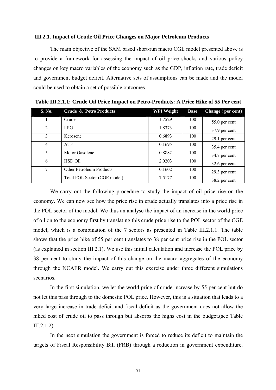### **III.2.1. Impact of Crude Oil Price Changes on Major Petroleum Products**

 The main objective of the SAM based short-run macro CGE model presented above is to provide a framework for assessing the impact of oil price shocks and various policy changes on key macro variables of the economy such as the GDP, inflation rate, trade deficit and government budget deficit. Alternative sets of assumptions can be made and the model could be used to obtain a set of possible outcomes.

| S. No.         | Crude & Petro Products          | <b>WPI Weight</b> | <b>Base</b> | Change (per cent) |
|----------------|---------------------------------|-------------------|-------------|-------------------|
|                | Crude                           | 1.7529            | 100         | $55.0$ per cent   |
| $\mathfrak{D}$ | LPG.                            | 1.8373            | 100         | 37.9 per cent     |
| 3              | Kerosene                        | 0.6893            | 100         | 29.1 per cent     |
| 4              | <b>ATF</b>                      | 0.1695            | 100         | 35.4 per cent     |
| 5              | Motor Gasolene                  | 0.8882            | 100         | 34.7 per cent     |
| 6              | HSD Oil                         | 2.0203            | 100         | $32.6$ per cent   |
| 7              | <b>Other Petroleum Products</b> | 0.1602            | 100         | 29.3 per cent     |
|                | Total POL Sector (CGE model)    | 7.5177            | 100         | 38.2 per cent     |

**Table III.2.1.1: Crude Oil Price Impact on Petro-Products: A Price Hike of 55 Per cent** 

 We carry out the following procedure to study the impact of oil price rise on the economy. We can now see how the price rise in crude actually translates into a price rise in the POL sector of the model. We thus an analyse the impact of an increase in the world price of oil on to the economy first by translating this crude price rise to the POL sector of the CGE model, which is a combination of the 7 sectors as presented in Table III.2.1.1. The table shows that the price hike of 55 per cent translates to 38 per cent price rise in the POL sector (as explained in section III.2.1). We use this initial calculation and increase the POL price by 38 per cent to study the impact of this change on the macro aggregates of the economy through the NCAER model. We carry out this exercise under three different simulations scenarios.

 In the first simulation, we let the world price of crude increase by 55 per cent but do not let this pass through to the domestic POL price. However, this is a situation that leads to a very large increase in trade deficit and fiscal deficit as the government does not allow the hiked cost of crude oil to pass through but absorbs the highs cost in the budget.(see Table III.2.1.2).

 In the next simulation the government is forced to reduce its deficit to maintain the targets of Fiscal Responsibility Bill (FRB) through a reduction in government expenditure.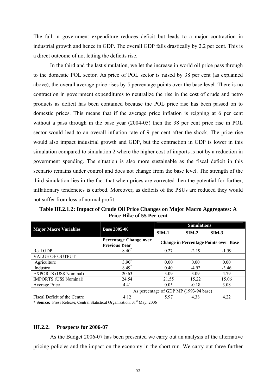The fall in government expenditure reduces deficit but leads to a major contraction in industrial growth and hence in GDP. The overall GDP falls drastically by 2.2 per cent. This is a direct outcome of not letting the deficits rise.

 In the third and the last simulation, we let the increase in world oil price pass through to the domestic POL sector. As price of POL sector is raised by 38 per cent (as explained above), the overall average price rises by 5 percentage points over the base level. There is no contraction in government expenditures to neutralize the rise in the cost of crude and petro products as deficit has been contained because the POL price rise has been passed on to domestic prices. This means that if the average price inflation is reigning at 6 per cent without a pass through in the base year (2004-05) then the 38 per cent price rise in POL sector would lead to an overall inflation rate of 9 per cent after the shock. The price rise would also impact industrial growth and GDP, but the contraction in GDP is lower in this simulation compared to simulation 2 where the higher cost of imports is not by a reduction in government spending. The situation is also more sustainable as the fiscal deficit in this scenario remains under control and does not change from the base level. The strength of the third simulation lies in the fact that when prices are corrected then the potential for further, inflationary tendencies is curbed. Moreover, as deficits of the PSUs are reduced they would not suffer from loss of normal profit.

**Table III.2.1.2: Impact of Crude Oil Price Changes on Major Macro Aggregates: A Price Hike of 55 Per cent** 

|                                                     |                                                       | <b>Simulations</b>                           |         |         |
|-----------------------------------------------------|-------------------------------------------------------|----------------------------------------------|---------|---------|
| <b>Major Macro Variables</b><br><b>Base 2005-06</b> |                                                       | $SIM-1$                                      | $SIM-2$ | $SIM-3$ |
|                                                     | <b>Percentage Change over</b><br><b>Previous Year</b> | <b>Change in Percentage Points over Base</b> |         |         |
| Real GDP                                            | $8.40*$                                               | 0.27                                         | $-2.19$ | $-1.59$ |
| <b>VALUE OF OUTPUT</b>                              |                                                       |                                              |         |         |
| Agriculture                                         | $3.90*$                                               | 0.00                                         | 0.00    | 0.00    |
| Industry                                            | $8.49*$                                               | 0.40                                         | $-4.92$ | $-3.46$ |
| <b>EXPORTS (US\$ Nominal)</b>                       | 20.63                                                 | 3.09                                         | 3.09    | 4.79    |
| <b>IMPORTS (US\$ Nominal)</b>                       | 24.54                                                 | 21.55                                        | 15.22   | 15.06   |
| Average Price                                       | 4.41                                                  | 0.05                                         | $-0.18$ | 3.08    |
|                                                     | As percentage of GDP MP (1993-94 base)                |                                              |         |         |
| Fiscal Deficit of the Centre                        | 4.12                                                  | 5.97                                         | 4.38    | 4.22    |

\* **Source:** Press Release, Central Statistical Organisation, 31st May, 2006

### **III.2.2. Prospects for 2006-07**

 As the Budget 2006-07 has been presented we carry out an analysis of the alternative pricing policies and the impact on the economy in the short run. We carry out three further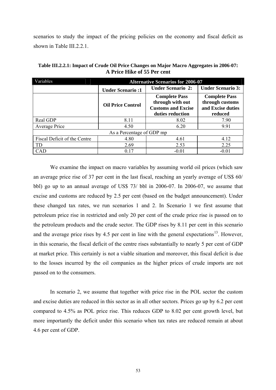<span id="page-60-0"></span>scenarios to study the impact of the pricing policies on the economy and fiscal deficit as shown in Table III.2.2.1.

| Variables                    | <b>Alternative Scenarios for 2006-07</b> |                                                                                           |                                                                         |  |
|------------------------------|------------------------------------------|-------------------------------------------------------------------------------------------|-------------------------------------------------------------------------|--|
|                              | <b>Under Scenario:1</b>                  | <b>Under Scenario 2:</b>                                                                  | <b>Under Scenario 3:</b>                                                |  |
|                              | <b>Oil Price Control</b>                 | <b>Complete Pass</b><br>through with out<br><b>Customs and Excise</b><br>duties reduction | <b>Complete Pass</b><br>through customs<br>and Excise duties<br>reduced |  |
| Real GDP                     | 8.11                                     | 8.02                                                                                      | 7.90                                                                    |  |
| Average Price                | 4.50                                     | 6.20                                                                                      | 9.91                                                                    |  |
| As a Percentage of GDP mp    |                                          |                                                                                           |                                                                         |  |
| Fiscal Deficit of the Centre | 4.80                                     | 4.61                                                                                      | 4.12                                                                    |  |
| TD                           | 2.69                                     | 2.53                                                                                      | 2.25                                                                    |  |
| CAD                          | 0.17                                     | $-0.01$                                                                                   | $-0.01$                                                                 |  |

**Table III.2.2.1: Impact of Crude Oil Price Changes on Major Macro Aggregates in 2006-07: A Price Hike of 55 Per cent**

 We examine the impact on macro variables by assuming world oil prices (which saw an average price rise of 37 per cent in the last fiscal, reaching an yearly average of US\$ 60/ bbl) go up to an annual average of US\$ 73/ bbl in 2006-07. In 2006-07, we assume that excise and customs are reduced by 2.5 per cent (based on the budget announcement). Under these changed tax rates, we run scenarios 1 and 2. In Scenario 1 we first assume that petroleum price rise in restricted and only 20 per cent of the crude price rise is passed on to the petroleum products and the crude sector. The GDP rises by 8.11 per cent in this scenario and the average price rises by 4.5 per cent in line with the general expectations<sup>[13](#page-60-0)</sup>. However, in this scenario, the fiscal deficit of the centre rises substantially to nearly 5 per cent of GDP at market price. This certainly is not a viable situation and moreover, this fiscal deficit is due to the losses incurred by the oil companies as the higher prices of crude imports are not passed on to the consumers.

 In scenario 2, we assume that together with price rise in the POL sector the custom and excise duties are reduced in this sector as in all other sectors. Prices go up by 6.2 per cent compared to 4.5% as POL price rise. This reduces GDP to 8.02 per cent growth level, but more importantly the deficit under this scenario when tax rates are reduced remain at about 4.6 per cent of GDP.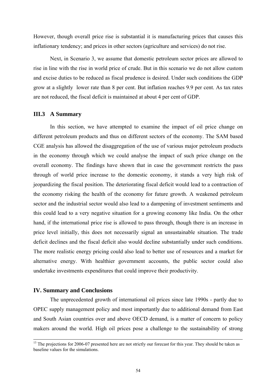However, though overall price rise is substantial it is manufacturing prices that causes this inflationary tendency; and prices in other sectors (agriculture and services) do not rise.

 Next, in Scenario 3, we assume that domestic petroleum sector prices are allowed to rise in line with the rise in world price of crude. But in this scenario we do not allow custom and excise duties to be reduced as fiscal prudence is desired. Under such conditions the GDP grow at a slightly lower rate than 8 per cent. But inflation reaches 9.9 per cent. As tax rates are not reduced, the fiscal deficit is maintained at about 4 per cent of GDP.

## **III.3 A Summary**

 In this section, we have attempted to examine the impact of oil price change on different petroleum products and thus on different sectors of the economy. The SAM based CGE analysis has allowed the disaggregation of the use of various major petroleum products in the economy through which we could analyse the impact of such price change on the overall economy. The findings have shown that in case the government restricts the pass through of world price increase to the domestic economy, it stands a very high risk of jeopardizing the fiscal position. The deteriorating fiscal deficit would lead to a contraction of the economy risking the health of the economy for future growth. A weakened petroleum sector and the industrial sector would also lead to a dampening of investment sentiments and this could lead to a very negative situation for a growing economy like India. On the other hand, if the international price rise is allowed to pass through, though there is an increase in price level initially, this does not necessarily signal an unsustainable situation. The trade deficit declines and the fiscal deficit also would decline substantially under such conditions. The more realistic energy pricing could also lead to better use of resources and a market for alternative energy. With healthier government accounts, the public sector could also undertake investments expenditures that could improve their productivity.

### **IV. Summary and Conclusions**

 The unprecedented growth of international oil prices since late 1990s - partly due to OPEC supply management policy and most importantly due to additional demand from East and South Asian countries over and above OECD demand, is a matter of concern to policy makers around the world. High oil prices pose a challenge to the sustainability of strong

<sup>&</sup>lt;sup>13</sup> The projections for 2006-07 presented here are not strictly our forecast for this year. They should be taken as baseline values for the simulations.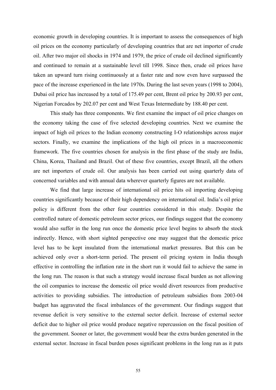economic growth in developing countries. It is important to assess the consequences of high oil prices on the economy particularly of developing countries that are net importer of crude oil. After two major oil shocks in 1974 and 1979, the price of crude oil declined significantly and continued to remain at a sustainable level till 1998. Since then, crude oil prices have taken an upward turn rising continuously at a faster rate and now even have surpassed the pace of the increase experienced in the late 1970s. During the last seven years (1998 to 2004), Dubai oil price has increased by a total of 175.49 per cent, Brent oil price by 200.93 per cent, Nigerian Forcados by 202.07 per cent and West Texas Intermediate by 188.40 per cent.

 This study has three components. We first examine the impact of oil price changes on the economy taking the case of five selected developing countries. Next we examine the impact of high oil prices to the Indian economy constructing I-O relationships across major sectors. Finally, we examine the implications of the high oil prices in a macroeconomic framework. The five countries chosen for analysis in the first phase of the study are India, China, Korea, Thailand and Brazil. Out of these five countries, except Brazil, all the others are net importers of crude oil. Our analysis has been carried out using quarterly data of concerned variables and with annual data wherever quarterly figures are not available.

 We find that large increase of international oil price hits oil importing developing countries significantly because of their high dependency on international oil. India's oil price policy is different from the other four countries considered in this study. Despite the controlled nature of domestic petroleum sector prices, our findings suggest that the economy would also suffer in the long run once the domestic price level begins to absorb the stock indirectly. Hence, with short sighted perspective one may suggest that the domestic price level has to be kept insulated from the international market pressures. But this can be achieved only over a short-term period. The present oil pricing system in India though effective in controlling the inflation rate in the short run it would fail to achieve the same in the long run. The reason is that such a strategy would increase fiscal burden as not allowing the oil companies to increase the domestic oil price would divert resources from productive activities to providing subsidies. The introduction of petroleum subsidies from 2003-04 budget has aggravated the fiscal imbalances of the government. Our findings suggest that revenue deficit is very sensitive to the external sector deficit. Increase of external sector deficit due to higher oil price would produce negative repercussion on the fiscal position of the government. Sooner or later, the government would bear the extra burden generated in the external sector. Increase in fiscal burden poses significant problems in the long run as it puts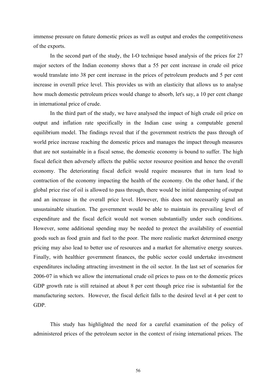immense pressure on future domestic prices as well as output and erodes the competitiveness of the exports.

 In the second part of the study, the I-O technique based analysis of the prices for 27 major sectors of the Indian economy shows that a 55 per cent increase in crude oil price would translate into 38 per cent increase in the prices of petroleum products and 5 per cent increase in overall price level. This provides us with an elasticity that allows us to analyse how much domestic petroleum prices would change to absorb, let's say, a 10 per cent change in international price of crude.

 In the third part of the study, we have analysed the impact of high crude oil price on output and inflation rate specifically in the Indian case using a computable general equilibrium model. The findings reveal that if the government restricts the pass through of world price increase reaching the domestic prices and manages the impact through measures that are not sustainable in a fiscal sense, the domestic economy is bound to suffer. The high fiscal deficit then adversely affects the public sector resource position and hence the overall economy. The deteriorating fiscal deficit would require measures that in turn lead to contraction of the economy impacting the health of the economy. On the other hand, if the global price rise of oil is allowed to pass through, there would be initial dampening of output and an increase in the overall price level. However, this does not necessarily signal an unsustainable situation. The government would be able to maintain its prevailing level of expenditure and the fiscal deficit would not worsen substantially under such conditions. However, some additional spending may be needed to protect the availability of essential goods such as food grain and fuel to the poor. The more realistic market determined energy pricing may also lead to better use of resources and a market for alternative energy sources. Finally, with healthier government finances, the public sector could undertake investment expenditures including attracting investment in the oil sector. In the last set of scenarios for 2006-07 in which we allow the international crude oil prices to pass on to the domestic prices GDP growth rate is still retained at about 8 per cent though price rise is substantial for the manufacturing sectors. However, the fiscal deficit falls to the desired level at 4 per cent to GDP.

This study has highlighted the need for a careful examination of the policy of administered prices of the petroleum sector in the context of rising international prices. The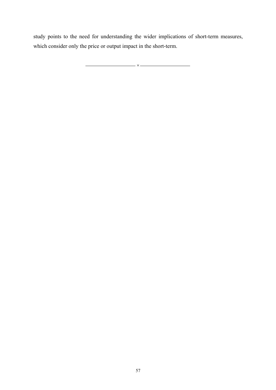study points to the need for understanding the wider implications of short-term measures, which consider only the price or output impact in the short-term.

×

 $\overline{a}$ 

57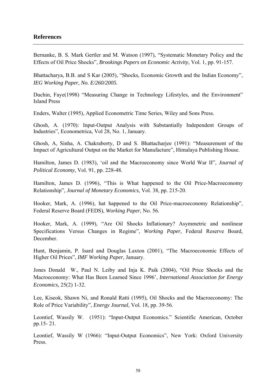## **References**

Bernanke, B. S. Mark Gertler and M. Watson (1997), "Systematic Monetary Policy and the Effects of Oil Price Shocks", *Brookings Papers on Economic Activity,* Vol. 1, pp. 91-157.

Bhattacharya, B.B. and S Kar (2005), "Shocks, Economic Growth and the Indian Economy", *IEG Working Paper, No. E/260/2005.* 

Duchin, Faye(1998) "Measuring Change in Technology Lifestyles, and the Environment" Island Press

Enders, Walter (1995), Applied Econometric Time Series, Wiley and Sons Press.

Ghosh, A. (1970): Input-Output Analysis with Substantially Independent Groups of Industries", Econometrica, Vol 28, No. 1, January.

Ghosh, A, Sinha, A. Chakraborty, D and S. Bhattacharjee (1991): "Measurement of the Impact of Agricultural Output on the Market for Manufacture", Himalaya Publishing House.

Hamilton, James D. (1983), 'oil and the Macroeconomy since World War II", *Journal of Political Economy*, Vol. 91, pp. 228-48.

Hamilton, James D. (1996), "This is What happened to the Oil Price-Macroeconomy Relationship", *Journal of Monetary Economics,* Vol. 38, pp. 215-20.

Hooker, Mark, A. (1996), hat happened to the Oil Price-macroeconomy Relationship", Federal Reserve Board (FEDS), *Working Paper*, No. 56.

Hooker, Mark, A. (1999), "Are Oil Shocks Inflationary? Asymmetric and nonlinear Specifications Versus Changes in Regime", *Working Paper,* Federal Reserve Board, December.

Hunt, Benjamin, P. Isard and Douglas Laxton (2001), "The Macroeconomic Effects of Higher Oil Prices", *IMF Working Paper,* January.

Jones Donald W., Paul N. Leiby and Inja K. Paik (2004), "Oil Price Shocks and the Macroeconomy: What Has Been Learned Since 1996', *International Association for Energy Economics,* 25(2) 1-32.

Lee, Kiseok, Shawn Ni, and Ronald Ratti (1995), Oil Shocks and the Macroeconomy: The Role of Price Variability", *Energy Journal,* Vol. 18, pp. 39-56.

Leontief, Wassily W. (1951): "Input-Output Economics." Scientific American, October pp.15- 21.

Leontief, Wassily W (1966): "Input-Output Economics", New York: Oxford University Press.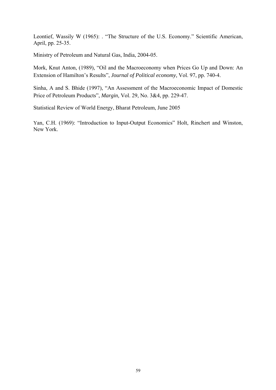Leontief, Wassily W (1965): . "The Structure of the U.S. Economy." Scientific American, April, pp. 25-35.

Ministry of Petroleum and Natural Gas, India, 2004-05.

Mork, Knut Anton, (1989), "Oil and the Macroeconomy when Prices Go Up and Down: An Extension of Hamilton's Results", *Journal of Political economy,* Vol. 97, pp. 740-4.

Sinha, A and S. Bhide (1997), "An Assessment of the Macroeconomic Impact of Domestic Price of Petroleum Products", *Margin,* Vol. 29, No. 3&4, pp. 229-47.

Statistical Review of World Energy, Bharat Petroleum, June 2005

Yan, C.H. (1969): "Introduction to Input-Output Economics" Holt, Rinchert and Winston, New York.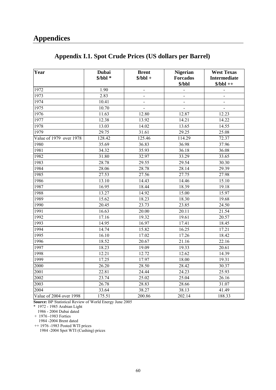| Appendix I.1. Spot Crude Prices (US dollars per Barrel) |
|---------------------------------------------------------|
|---------------------------------------------------------|

| Year                                         | <b>Dubai</b><br>$$/bbl*$ | <b>Brent</b><br>$$/bbl +$    | <b>Nigerian</b><br><b>Forcados</b><br>\$/bbl | <b>West Texas</b><br><b>Intermediate</b><br>$$/bbl++$ |
|----------------------------------------------|--------------------------|------------------------------|----------------------------------------------|-------------------------------------------------------|
| 1972                                         | 1.90                     | $\overline{\phantom{a}}$     | $\frac{1}{2}$                                |                                                       |
| 1973                                         | 2.83                     | $\frac{1}{2}$                | $\overline{a}$                               |                                                       |
| 1974                                         | 10.41                    | $\qquad \qquad \blacksquare$ | $\qquad \qquad \blacksquare$                 | $\overline{\phantom{a}}$                              |
| 1975                                         | 10.70                    |                              | $\qquad \qquad -$                            |                                                       |
| 1976                                         | 11.63                    | 12.80                        | 12.87                                        | 12.23                                                 |
| 1977                                         | 12.38                    | 13.92                        | 14.21                                        | 14.22                                                 |
| 1978                                         | 13.03                    | 14.02                        | 13.65                                        | 14.55                                                 |
| 1979                                         | 29.75                    | 31.61                        | 29.25                                        | 25.08                                                 |
| $\overline{\text{Value of } 1979}$ over 1978 | 128.42                   | 125.46                       | 114.29                                       | 72.37                                                 |
| 1980                                         | 35.69                    | 36.83                        | 36.98                                        | 37.96                                                 |
| 1981                                         | 34.32                    | 35.93                        | 36.18                                        | 36.08                                                 |
| 1982                                         | 31.80                    | 32.97                        | 33.29                                        | 33.65                                                 |
| 1983                                         | 28.78                    | 29.55                        | 29.54                                        | 30.30                                                 |
| 1984                                         | 28.06                    | 28.78                        | 28.14                                        | 29.39                                                 |
| 1985                                         | 27.53                    | 27.56                        | 27.75                                        | 27.98                                                 |
| 1986                                         | 13.10                    | 14.43                        | 14.46                                        | 15.10                                                 |
| 1987                                         | 16.95                    | 18.44                        | 18.39                                        | 19.18                                                 |
| 1988                                         | 13.27                    | 14.92                        | 15.00                                        | 15.97                                                 |
| 1989                                         | 15.62                    | 18.23                        | 18.30                                        | 19.68                                                 |
| 1990                                         | 20.45                    | 23.73                        | 23.85                                        | 24.50                                                 |
| 1991                                         | 16.63                    | 20.00                        | 20.11                                        | 21.54                                                 |
| 1992                                         | 17.16                    | 19.32                        | 19.61                                        | 20.57                                                 |
| 1993                                         | 14.95                    | 16.97                        | 17.41                                        | 18.45                                                 |
| 1994                                         | 14.74                    | 15.82                        | 16.25                                        | 17.21                                                 |
| 1995                                         | 16.10                    | 17.02                        | 17.26                                        | 18.42                                                 |
| 1996                                         | 18.52                    | 20.67                        | 21.16                                        | 22.16                                                 |
| 1997                                         | 18.23                    | 19.09                        | 19.33                                        | 20.61                                                 |
| 1998                                         | 12.21                    | 12.72                        | 12.62                                        | 14.39                                                 |
| 1999                                         | 17.25                    | 17.97                        | 18.00                                        | 19.31                                                 |
| 2000                                         | 26.20                    | 28.50                        | 28.42                                        | 30.37                                                 |
| 2001                                         | 22.81                    | 24.44                        | 24.23                                        | 25.93                                                 |
| 2002                                         | 23.74                    | 25.02                        | 25.04                                        | 26.16                                                 |
| 2003                                         | 26.78                    | 28.83                        | 28.66                                        | 31.07                                                 |
| 2004                                         | 33.64                    | 38.27                        | 38.13                                        | 41.49                                                 |
| Value of 2004 over 1998                      | 175.51                   | 200.86                       | 202.14                                       | 188.33                                                |

**Source:** BP Statistical Review of World Energy June 2005

\* 1972 - 1985 Arabian Light

1986 - 2004 Dubai dated

+ 1976 -1983 Forties

 1984 -2004 Brent dated ++ 1976 -1983 Posted WTI prices

1984 -2004 Spot WTI (Cushing) prices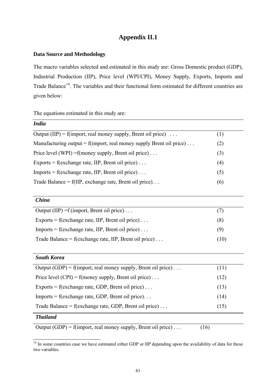## **Appendix II.1**

## **Data Source and Methodology**

The macro variables selected and estimated in this study are: Gross Domestic product (GDP), Industrial Production (IIP), Price level (WPI/CPI), Money Supply, Exports, Imports and Trade Balance<sup>[14](#page-68-0)</sup>. The variables and their functional form estimated for different countries are given below:

The equations estimated in this study are:

<span id="page-68-0"></span>l

| <b>India</b>                                                                |      |
|-----------------------------------------------------------------------------|------|
| Output (IIP) = f(import, real money supply, Brent oil price) $\dots$        | (1)  |
| Manufacturing output = f(import, real money supply Brent oil price) $\dots$ | (2)  |
| Price level (WPI) = f(money supply, Brent oil price)                        | (3)  |
| Exports = $f$ (exchange rate, IIP, Brent oil price)                         | (4)  |
| Imports = f(exchange rate, IIP, Brent oil price)                            | (5)  |
| Trade Balance = $f(IIIP, exchange rate, Brent oil price)$                   | (6)  |
| <b>China</b>                                                                |      |
| Output (IIP) = f (import, Brent oil price)                                  | (7)  |
| Exports = f(exchange rate, IIP, Brent oil price)                            | (8)  |
| $Imports = f(exchange rate, IIP, Brent oil price) \dots$                    | (9)  |
| Trade Balance = $f$ (exchange rate, IIP, Brent oil price)                   | (10) |
| <b>South Korea</b>                                                          |      |
| Output (GDP) = f(import, real money supply, Brent oil price)                | (11) |
| Price level (CPI) = f(money supply, Brent oil price)                        | (12) |
| Exports = f(exchange rate, GDP, Brent oil price)                            | (13) |
| Imports = $f$ (exchange rate, GDP, Brent oil price)                         | (14) |
| Trade Balance = $f$ (exchange rate, GDP, Brent oil price)                   | (15) |
| <b>Thailand</b>                                                             |      |
| Output (GDP) = f(import, real money supply, Brent oil price)                | (16) |

 $14$  In some countries case we have estimated either GDP or IIP depending upon the availability of data for these two variables.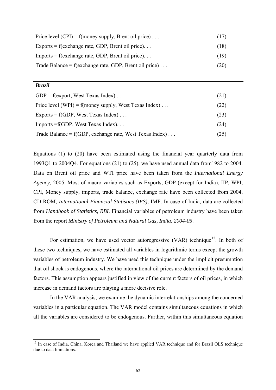<span id="page-69-0"></span>

| Price level $(CPI) = f(money supply, Brent oil price) \dots$ | (17) |
|--------------------------------------------------------------|------|
| Exports = f(exchange rate, GDP, Brent oil price)             | (18) |
| $Imports = f(exchange rate, GDP, Brent oil price)$           | (19) |
| Trade Balance = $f$ (exchange rate, GDP, Brent oil price)    | (20) |

l

| GDP = $f$ (export, West Texas Index)                    | (21) |
|---------------------------------------------------------|------|
| Price level (WPI) = f(money supply, West Texas Index)   | (22) |
| Exports = $f(GDP, West Texas Index) \dots$              | (23) |
| Imports $=f(GDP, West Texas Index)$                     | (24) |
| Trade Balance = f(GDP, exchange rate, West Texas Index) | (25) |
|                                                         |      |

Equations (1) to (20) have been estimated using the financial year quarterly data from 1993Q1 to 2004Q4. For equations (21) to (25), we have used annual data from1982 to 2004. Data on Brent oil price and WTI price have been taken from the *International Energy Agency*, 2005. Most of macro variables such as Exports, GDP (except for India), IIP, WPI, CPI, Money supply, imports, trade balance, exchange rate have been collected from 2004, CD-ROM, *International Financial Statistics (IFS),* IMF. In case of India, data are collected from *Handbook of Statistics, RBI.* Financial variables of petroleum industry have been taken from the report *Ministry of Petroleum and Natural Gas, India, 2004-05*.

For estimation, we have used vector autoregressive (VAR) technique<sup>[1](#page-69-0)5</sup>. In both of these two techniques, we have estimated all variables in logarithmic terms except the growth variables of petroleum industry. We have used this technique under the implicit presumption that oil shock is endogenous, where the international oil prices are determined by the demand factors. This assumption appears justified in view of the current factors of oil prices, in which increase in demand factors are playing a more decisive role.

In the VAR analysis, we examine the dynamic interrelationships among the concerned variables in a particular equation. The VAR model contains simultaneous equations in which all the variables are considered to be endogenous. Further, within this simultaneous equation

<sup>&</sup>lt;sup>15</sup> In case of India, China, Korea and Thailand we have applied VAR technique and for Brazil OLS technique due to data limitations.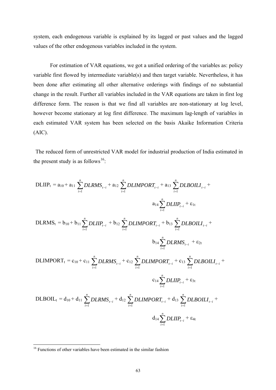<span id="page-70-0"></span>system, each endogenous variable is explained by its lagged or past values and the lagged values of the other endogenous variables included in the system.

For estimation of VAR equations, we got a unified ordering of the variables as: policy variable first flowed by intermediate variable(s) and then target variable. Nevertheless, it has been done after estimating all other alternative orderings with findings of no substantial change in the result. Further all variables included in the VAR equations are taken in first log difference form. The reason is that we find all variables are non-stationary at log level, however become stationary at log first difference. The maximum lag-length of variables in each estimated VAR system has been selected on the basis Akaike Information Criteria (AIC).

The reduced form of unrestricted VAR model for industrial production of India estimated in the present study is as follows<sup>[16](#page-70-0)</sup>:

DLIIP<sub>t</sub> = a<sub>10</sub> + a<sub>11</sub> 
$$
\sum_{i=1}^{n} DLRMS_{t-i}
$$
 + a<sub>12</sub>  $\sum_{i=1}^{n} DLMPORT_{t-i}$  + a<sub>13</sub>  $\sum_{i=1}^{n} DLROLIL_{t-i}$  +  
\n
$$
a_{14} \sum_{i=1}^{n} DLIP_{t-i}
$$
 + b<sub>12</sub>  $\sum_{i=1}^{n} DLMPORT_{t-i}$  + b<sub>13</sub>  $\sum_{i=1}^{n} DLROLIL_{t-i}$  +  
\nb<sub>14</sub>  $\sum_{i=1}^{n} DLRMS_{t-i}$  + e<sub>2t</sub>  
\nDLINKS<sub>t-i</sub> + e<sub>2t</sub>  
\nDLINKORT<sub>t</sub> = c<sub>10</sub> + c<sub>11</sub>  $\sum_{i=1}^{n} DLRMS_{t-i}$  + c<sub>12</sub>  $\sum_{i=1}^{n} DLMPORT_{t-i}$  + c<sub>13</sub>  $\sum_{i=1}^{n} DLROLIL_{t-i}$  +  
\nc<sub>14</sub>  $\sum_{i=1}^{n} DLIP_{t-i}$  + e<sub>3t</sub>  
\nDLEOIL<sub>t</sub> = d<sub>10</sub> + d<sub>11</sub>  $\sum_{i=1}^{n} DLRMS_{t-i}$  + d<sub>12</sub>  $\sum_{i=1}^{n} DLMPORT_{t-i}$  + d<sub>13</sub>  $\sum_{i=1}^{n} DLROLIL_{t-i}$  +  
\nd<sub>14</sub>  $\sum_{i=1}^{n} DLIP_{t-i}$  +  $\varepsilon_{4t}$ 

 $\overline{a}$ 

<sup>&</sup>lt;sup>16</sup> Functions of other variables have been estimated in the similar fashion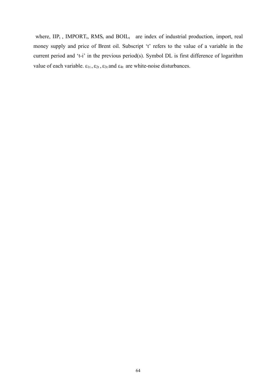where,  $\text{HP}_t$ , IMPORT<sub>t</sub>, RMS<sub>t</sub> and BOIL<sub>t</sub> are index of industrial production, import, real money supply and price of Brent oil. Subscript 't' refers to the value of a variable in the current period and 't-i' in the previous period(s). Symbol DL is first difference of logarithm value of each variable.  $\varepsilon_{1t}$ ,  $\varepsilon_{2t}$ ,  $\varepsilon_{3t}$  and  $\varepsilon_{4t}$  are white-noise disturbances.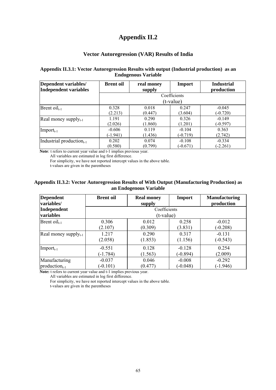### **Appendix II.2**

#### **Vector Autoregression (VAR) Results of India**

#### **Appendix II.3.1: Vector Autoregression Results with output (Industrial production) as an Endogenous Variable**

| Dependent variables/<br>Independent variables | <b>Brent oil</b> | real money<br>supply | Import       | <b>Industrial</b><br>production |
|-----------------------------------------------|------------------|----------------------|--------------|---------------------------------|
|                                               |                  |                      | Coefficients |                                 |
|                                               |                  |                      | (t-value)    |                                 |
| Brent $\text{oil}_{t-1}$                      | 0.328            | 0.018                | 0.247        | $-0.045$                        |
|                                               | (2.213)          | (0.447)              | (3.604)      | $(-0.720)$                      |
| Real money supply $_{t-1}$                    | 1.191            | 0.290                | 0.326        | $-0.149$                        |
|                                               | (2.026)          | (1.860)              | (1.201)      | $(-0.597)$                      |
| $Import_{t-1}$                                | $-0.606$         | 0.119                | $-0.104$     | 0.363                           |
|                                               | $(-1.941)$       | (1.436)              | $(-0.719)$   | (2.742)                         |
| Industrial production $_{t-1}$                | 0.202            | 0.074                | $-0.108$     | $-0.334$                        |
|                                               | (0.580)          | (0.799)              | $(-0.671)$   | $(-2.261)$                      |

**Note***:* t refers to current year value and t-1 implies previous year.

All variables are estimated in log first difference.

For simplicity, we have not reported intercept values in the above table.

t-values are given in the parentheses

#### **Appendix II.3.2: Vector Autoregression Results of With Output (Manufacturing Production) as an Endogenous Variable**

| <b>Dependent</b><br>variables/ | <b>Brent</b> oil | <b>Real money</b><br>supply | Import     | <b>Manufacturing</b><br>production |  |
|--------------------------------|------------------|-----------------------------|------------|------------------------------------|--|
| Independent<br>variables       |                  | Coefficients<br>(t-value)   |            |                                    |  |
| Brent $\text{oil}_{t-1}$       | 0.306            | 0.012                       | 0.258      | $-0.012$                           |  |
|                                | (2.107)          | (0.309)                     | (3.831)    | $(-0.208)$                         |  |
| Real money supply $_{t-1}$     | 1.217            | 0.290                       | 0.317      | $-0.131$                           |  |
|                                | (2.058)          | (1.853)                     | (1.156)    | $(-0.543)$                         |  |
| $Import_{t-1}$                 | $-0.551$         | 0.128                       | $-0.128$   | 0.254                              |  |
|                                | $(-1.784)$       | (1.563)                     | $(-0.894)$ | (2.009)                            |  |
| Manufacturing                  | $-0.037$         | 0.046                       | $-0.008$   | $-0.292$                           |  |
| $production_{t-1}$             | $(-0.101)$       | (0.477)                     | $(-0.048)$ | $(-1.946)$                         |  |

**Note: t** refers to current year value and **t**-1 implies previous year.

All variables are estimated in log first difference.

For simplicity, we have not reported intercept values in the above table.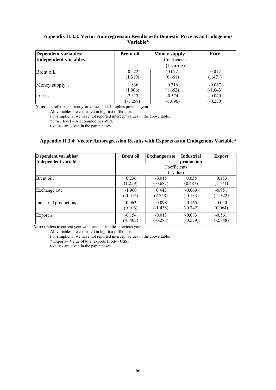#### **Appendix II.3.3: Vector Autoregression Results with Domestic Price as an Endogenous Variable\***

| Dependent variables/  | <b>Brent oil</b> | <b>Money supply</b> | Price      |  |  |  |  |
|-----------------------|------------------|---------------------|------------|--|--|--|--|
| Independent variables |                  | Coefficients        |            |  |  |  |  |
|                       |                  | (t-value)           |            |  |  |  |  |
| $Brent oilt-1$        | 0.222            | 0.022               | 0.017      |  |  |  |  |
|                       | (1.310)          | (0.661)             | (1.471)    |  |  |  |  |
| Money supply $_{t-1}$ | 1.836            | 0.316               | $-0.067$   |  |  |  |  |
|                       | (1.906)          | (1.652)             | $(-1.043)$ |  |  |  |  |
| Price <sub>t-1</sub>  | $-3.317$         | $-0.574$            | $-0.040$   |  |  |  |  |
|                       | $(-1.258)$       | $(-1.096)$          | $(-0.230)$ |  |  |  |  |

 **Note:**t refers to current year value and t-1 implies previous year.

All variables are estimated in log first difference.

For simplicity, we have not reported intercept values in the above table.

\* Price level = All commodities WPI.

t-values are given in the parentheses

#### **Appendix II.3.4: Vector Autoregression Results with Exports as an Endogenous Variable\***

| Dependent variables/<br>Independent variables | <b>Brent oil</b> | <b>Exchange rate</b> | <b>Industrial</b><br>production | <b>Export</b> |  |
|-----------------------------------------------|------------------|----------------------|---------------------------------|---------------|--|
|                                               | Coefficients     |                      |                                 |               |  |
|                                               |                  | (t-value)            |                                 |               |  |
| $\text{Brent oil}_{t-1}$                      | 0.236            | $-0.015$             | 0.035                           | 0.153         |  |
|                                               | (1.259)          | $(-0.687)$           | (0.487)                         | (1.571)       |  |
| Exchange rate <sub>t-1</sub>                  | $-1.960$         | 0.443                | $-0.069$                        | $-0.951$      |  |
|                                               | $(-1.416)$       | (2.758)              | $(-0.133)$                      | $(-1.322)$    |  |
| Industrial production $_{t-1}$                | 0.063            | $-0.098$             | $-0.165$                        | 0.020         |  |
|                                               | (0.106)          | $(-1.438)$           | $(-0.742)$                      | (0.064)       |  |
| $Export_{t-1}$                                | $-0.154$         | $-0.013$             | $-0.083$                        | $-0.561$      |  |
|                                               | $(-0.405)$       | $(-0.288)$           | $(-0.579)$                      | $(-2.848)$    |  |

**Note:** t refers to current year value and t-1 implies previous year.

All variables are estimated in log first difference.

For simplicity, we have not reported intercept values in the above table.

\* Exports= Value of total exports  $(f.o.b)$  (US\$).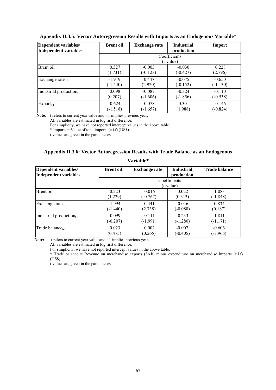| Dependent variables/<br><b>Independent variables</b> | <b>Brent oil</b> | <b>Exchange rate</b>        | <b>Industrial</b><br>production | Import     |  |  |
|------------------------------------------------------|------------------|-----------------------------|---------------------------------|------------|--|--|
|                                                      |                  | Coefficients<br>$(t-value)$ |                                 |            |  |  |
| Brent $\text{oil}_{t-1}$                             | 0.327            | $-0.003$                    | $-0.030$                        | 0.228      |  |  |
|                                                      | (1.731)          | $(-0.123)$                  | $(-0.427)$                      | (2.796)    |  |  |
| Exchange rate <sub>t-1</sub>                         | $-1.919$         | 0.447                       | $-0.075$                        | $-0.650$   |  |  |
|                                                      | $(-1.440)$       | (2.920)                     | $(-0.152)$                      | $(-1.130)$ |  |  |
| Industrial production $_{t-1}$                       | 0.098            | $-0.087$                    | $-0.324$                        | $-0.110$   |  |  |
|                                                      | (0.207)          | $(-1.606)$                  | $(-1.856)$                      | $(-0.538)$ |  |  |
| $\mathrm{Export}_{t-1}$                              | $-0.624$         | $-0.078$                    | 0.301                           | $-0.146$   |  |  |
|                                                      | $(-1.518)$       | $(-1.657)$                  | (1.988)                         | $(-0.824)$ |  |  |

#### **Appendix II.3.5: Vector Autoregression Results with Imports as an Endogenous Variable\***

 **Note***:* t refers to current year value and t-1 implies previous year.

All variables are estimated in log first difference.

For simplicity, we have not reported intercept values in the above table.

\* Imports = Value of total imports  $(c.i.f)$  (US\$).

t-values are given in the parentheses

#### **Appendix II.3.6: Vector Autoregression Results with Trade Balance as an Endogenous**

| Dependent variables/<br><b>Independent variables</b> | <b>Brent oil</b> | <b>Exchange rate</b> | <b>Industrial</b><br>production | <b>Trade balance</b> |
|------------------------------------------------------|------------------|----------------------|---------------------------------|----------------------|
|                                                      |                  |                      | Coefficients                    |                      |
|                                                      |                  |                      | (t-value)                       |                      |
| Brent $\text{oil}_{t-1}$                             | 0.223            | $-0.016$             | 0.022                           | $-1.083$             |
|                                                      | (1.229)          | $(-0.767)$           | (0.313)                         | $(-1.848)$           |
| Exchange rate $_{t-1}$                               | $-1.994$         | 0.441                | $-0.046$                        | 0.834                |
|                                                      | $(-1.440)$       | (2.738)              | $(-0.088)$                      | (0.187)              |
| Industrial production $_{t-1}$                       | $-0.099$         | $-0.111$             | $-0.233$                        | $-1.811$             |
|                                                      | $(-0.207)$       | $(-1.991)$           | $(-1.280)$                      | $(-1.171)$           |
| Trade balance <sub>t-1</sub>                         | 0.023            | 0.002                | $-0.007$                        | $-0.606$             |
|                                                      | (0.475)          | (0.265)              | $(-0.405)$                      | $(-3.966)$           |

### **Variable\***

Note: t refers to current year value and t-1 implies previous year.

All variables are estimated in log first difference.

For simplicity, we have not reported intercept values in the above table.

\* Trade balance = Revenue on merchandise exports (f.o.b) minus expenditure on merchandise imports (c.i.f) (US\$).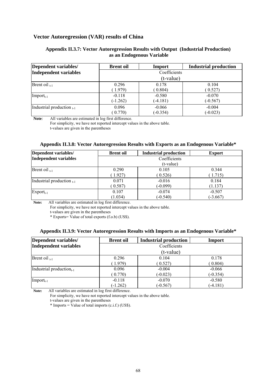#### **Vector Autoregression (VAR) results of China**

#### **Appendix II.3.7: Vector Autoregression Results with Output (Industrial Production) as an Endogenous Variable**

| Dependent variables/           | <b>Brent oil</b> | Import       | <b>Industrial production</b> |
|--------------------------------|------------------|--------------|------------------------------|
| Independent variables          |                  | Coefficients |                              |
|                                |                  | (t-value)    |                              |
| Brent oil $_{t-1}$             | 0.296            | 0.178        | 0.104                        |
|                                | (1.979)          | (0.804)      | (0.527)                      |
| $Import_{t-1}$                 | $-0.118$         | $-0.580$     | $-0.070$                     |
|                                | $(-1.262)$       | $(-4.181)$   | $(-0.567)$                   |
| Industrial production $_{t-1}$ | 0.096            | $-0.066$     | $-0.004$                     |
|                                | (0.770)          | $(-0.354)$   | $(-0.023)$                   |

**Note***:* All variables are estimated in log first difference.

For simplicity, we have not reported intercept values in the above table. t-values are given in the parentheses

#### **Appendix II.3.8: Vector Autoregression Results with Exports as an Endogenous Variable\***

| Dependent variables/           | <b>Brent</b> oil | <b>Industrial production</b> | <b>Export</b> |  |  |
|--------------------------------|------------------|------------------------------|---------------|--|--|
| Independent variables          |                  | Coefficients                 |               |  |  |
|                                | (t-value)        |                              |               |  |  |
| Brent oil $_{t-1}$             | 0.290            | 0.105                        | 0.344         |  |  |
|                                | (1.927)          | (0.526)                      | (1.715)       |  |  |
| Industrial production $_{t-1}$ | 0.071            | $-0.016$                     | 0.184         |  |  |
|                                | (0.587)          | $(-0.099)$                   | (1.137)       |  |  |
| $\mathrm{Export}_{t-1}$        | 0.107            | $-0.074$                     | $-0.507$      |  |  |
|                                | (1.034)          | $(-0.540)$                   | $(-3.667)$    |  |  |

**Note:**All variables are estimated in log first difference.

For simplicity, we have not reported intercept values in the above table.

t-values are given in the parentheses

\* Exports= Value of total exports (f.o.b) (US\$).

#### **Appendix II.3.9: Vector Autoregression Results with Imports as an Endogenous Variable\***

| Dependent variables/           | <b>Brent oil</b> | <b>Industrial production</b> | Import     |  |  |  |
|--------------------------------|------------------|------------------------------|------------|--|--|--|
| Independent variables          | Coefficients     |                              |            |  |  |  |
|                                | (t-value)        |                              |            |  |  |  |
| Brent oil $_{t-1}$             | 0.296            | 0.104                        | 0.178      |  |  |  |
|                                | (1.979)          | (0.527)                      | (0.804)    |  |  |  |
| Industrial production $_{t-1}$ | 0.096            | $-0.004$                     | $-0.066$   |  |  |  |
|                                | (0.770)          | $(-0.023)$                   | $(-0.354)$ |  |  |  |
| $Import_{t-1}$                 | $-0.118$         | $-0.070$                     | $-0.580$   |  |  |  |
|                                | $(-1.262)$       | $(-0.567)$                   | $(-4.181)$ |  |  |  |

**Note:**All variables are estimated in log first difference.

For simplicity, we have not reported intercept values in the above table.

t-values are given in the parentheses

 $*$  Imports = Value of total imports (c.i.f.) (US\$).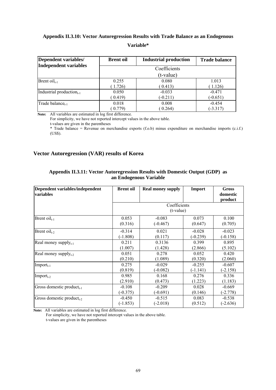### **Appendix II.3.10: Vector Autoregression Results with Trade Balance as an Endogenous Variable\***

| Dependent variables/                 | <b>Brent oil</b> | <b>Industrial production</b> | <b>Trade balance</b> |
|--------------------------------------|------------------|------------------------------|----------------------|
| Independent variables                |                  |                              |                      |
|                                      |                  | (t-value)                    |                      |
| $Brent oilt-1$                       | 0.255            | 0.080                        | 1.013                |
|                                      | 1.726            | (0.413)                      | (1.126)              |
| Industrial production <sub>t-1</sub> | 0.050            | $-0.033$                     | $-0.471$             |
|                                      | 0.419)           | $(-0.211)$                   | $(-0.651)$           |
| Trade balance <sub>t-1</sub>         | 0.018            | 0.008                        | $-0.454$             |
|                                      | (0.779)          | (0.264)                      | $(-3.317)$           |

**Note:**All variables are estimated in log first difference.

For simplicity, we have not reported intercept values in the above table.

t-values are given in the parentheses

\* Trade balance = Revenue on merchandise exports (f.o.b) minus expenditure on merchandise imports (c.i.f.) (US\$).

### **Vector Autoregression (VAR) results of Korea**

| Dependent variables/independent<br>variables | <b>Brent oil</b>            | <b>Real money supply</b> | Import     | <b>Gross</b><br>domestic<br>product |  |
|----------------------------------------------|-----------------------------|--------------------------|------------|-------------------------------------|--|
|                                              | Coefficients<br>$(t-value)$ |                          |            |                                     |  |
| Brent $\text{oil}_{t-1}$                     | 0.053                       | $-0.083$                 | 0.073      | 0.100                               |  |
|                                              | (0.316)                     | $(-0.467)$               | (0.647)    | (0.705)                             |  |
| Brent $\text{oil}_{t-2}$                     | $-0.314$                    | 0.021                    | $-0.028$   | $-0.023$                            |  |
|                                              | $(-1.808)$                  | (0.117)                  | $(-0.239)$ | $(-0.158)$                          |  |
| Real money supply $_{t-1}$                   | 0.211                       | 0.3136                   | 0.399      | 0.895                               |  |
|                                              | (1.007)                     | (1.428)                  | (2.866)    | (5.102)                             |  |
| Real money supply $_{t-2}$                   | 0.051                       | 0.278                    | 0.052      | 0.420                               |  |
|                                              | (0.210)                     | (1.089)                  | (0.320)    | (2.060)                             |  |
| $Import_{t-1}$                               | 0.275                       | $-0.029$                 | $-0.255$   | $-0.607$                            |  |
|                                              | (0.819)                     | $(-0.082)$               | $(-1.141)$ | $(-2.158)$                          |  |
| $Import_{t-2}$                               | 0.985                       | 0.168                    | 0.276      | 0.336                               |  |
|                                              | (2.910)                     | (0.473)                  | (1.223)    | (1.183)                             |  |
| Gross domestic product $_{t-1}$              | $-0.108$                    | $-0.209$                 | 0.028      | $-0.669$                            |  |
|                                              | $(-0.375)$                  | $(-0.691)$               | (0.146)    | $(-2.778)$                          |  |
| Gross domestic product <sub>t-2</sub>        | $-0.450$                    | $-0.515$                 | 0.083      | $-0.538$                            |  |
|                                              | $(-1.853)$                  | $(-2.018)$               | (0.512)    | $(-2.636)$                          |  |

#### **Appendix II.3.11: Vector Autoregression Results with Domestic Output (GDP) as an Endogenous Variable**

**Note:** All variables are estimated in log first difference.

For simplicity, we have not reported intercept values in the above table. t-values are given in the parentheses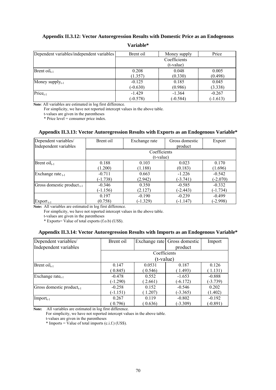### **Appendix II.3.12: Vector Autoregression Results with Domestic Price as an Endogenous**

| Dependent variables/independent variables | Brent oil                 | Money supply | Price      |  |
|-------------------------------------------|---------------------------|--------------|------------|--|
|                                           | Coefficients<br>(t-value) |              |            |  |
| Brent $\text{oil}_{t-1}$                  | 0.208                     | 0.048        | 0.005      |  |
|                                           | (1.357)                   | (0.330)      | (0.498)    |  |
| Money supply $_{t-1}$                     | $-0.125$                  | 0.185        | 0.045      |  |
|                                           | $(-0.630)$                | (0.986)      | (3.338)    |  |
| $Pricet-1$                                | $-1.429$                  | $-1.364$     | $-0.267$   |  |
|                                           | $(-0.578)$                | $(-0.584)$   | $(-1.613)$ |  |

**Variable\*** 

**Note***:* All variables are estimated in log first difference.

For simplicity, we have not reported intercept values in the above table.

t-values are given in the parentheses

\* Price level = consumer price index.

#### **Appendix II.3.13: Vector Autoregression Results with Exports as an Endogenous Variable\***

| Dependent variables/            | Brent oil  | Exchange rate | Gross domestic | Export     |
|---------------------------------|------------|---------------|----------------|------------|
| Independent variables           |            |               | product        |            |
|                                 |            | Coefficients  |                |            |
|                                 |            | $(t-value)$   |                |            |
| Brent $\text{oil}_{t-1}$        | 0.188      | 0.103         | 0.023          | 0.170      |
|                                 | (1.200)    | (1.188)       | (0.183)        | (1.696)    |
| Exchange rate $_{t-1}$          | $-0.711$   | 0.663         | $-1.226$       | $-0.542$   |
|                                 | $(-1.738)$ | (2.942)       | $(-3.741)$     | $(-2.070)$ |
| Gross domestic product $_{t-1}$ | $-0.346$   | 0.350         | $-0.585$       | $-0.332$   |
|                                 | $(-1.156)$ | (2.127)       | $(-2.443)$     | $(-1.734)$ |
|                                 | 0.197      | $-0.190$      | $-0.239$       | $-0.499$   |
| $\rm{Export}_{t-1}$             | (0.758)    | $(-1.329)$    | $(-1.147)$     | $(-2.998)$ |

**Note:** All variables are estimated in log first difference.

For simplicity, we have not reported intercept values in the above table.

t-values are given in the parentheses

\* Exports= Value of total exports  $(f.o.b)$  (US\$).

#### **Appendix II.3.14: Vector Autoregression Results with Imports as an Endogenous Variable\***

| Dependent variables/                  | Brent oil  |              | Exchange rate Gross domestic | Import     |
|---------------------------------------|------------|--------------|------------------------------|------------|
| Independent variables                 |            |              | product                      |            |
|                                       |            | Coefficients |                              |            |
|                                       |            | $(t-value)$  |                              |            |
| Brent $\text{oil}_{t-1}$              | 0.147      | 0.0531       | 0.187                        | 0.126      |
|                                       | (0.845)    | (0.546)      | 1.493)                       | (1.131)    |
| Exchange rate <sub>t-1</sub>          | $-0.478$   | 0.552        | $-1.653$                     | $-0.888$   |
|                                       | $(-1.290)$ | 2.661)       | $(-6.172)$                   | $(-3.739)$ |
| Gross domestic product <sub>t-1</sub> | $-0.258$   | 0.152        | $-0.546$                     | 0.202      |
|                                       | $(-1.151)$ | (1.207)      | $(-3.365)$                   | (1.402)    |
| $\text{Import}_{t-1}$                 | 0.267      | 0.119        | $-0.802$                     | $-0.192$   |
|                                       | (0.796)    | (0.636)      | $(-3.309)$                   | $(-0.891)$ |

**Note:** All variables are estimated in log first difference.

For simplicity, we have not reported intercept values in the above table.

t-values are given in the parentheses

 $*$  Imports = Value of total imports (c.i.f.) (US\$).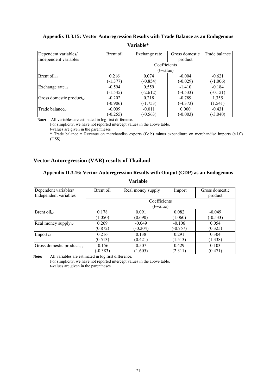## **Appendix II.3.15: Vector Autoregression Results with Trade Balance as an Endogenous**

| Dependent variables/                  | Brent oil  | Exchange rate | Gross domestic | Trade balance |
|---------------------------------------|------------|---------------|----------------|---------------|
| Independent variables                 |            |               | product        |               |
|                                       |            | Coefficients  |                |               |
|                                       |            | (t-value)     |                |               |
| Brent $\text{oil}_{t-1}$              | 0.216      | 0.074         | $-0.004$       | $-0.621$      |
|                                       | $(-1.377)$ | $(-0.854)$    | $(-0.029)$     | $(-1.006)$    |
| Exchange rate $_{t-1}$                | $-0.594$   | 0.559         | $-1.410$       | $-0.184$      |
|                                       | $(-1.545)$ | $(-2.612)$    | $(-4.533)$     | $(-0.121)$    |
| Gross domestic product <sub>t-1</sub> | $-0.202$   | 0.218         | $-0.789$       | 1.355         |
|                                       | $(-0.906)$ | $(-1.753)$    | $(-4.373)$     | (1.541)       |
| Trade balance <sub>t-1</sub>          | $-0.009$   | $-0.011$      | 0.000          | $-0.431$      |
|                                       | $(-0.255)$ | $(-0.563)$    | $(-0.003)$     | $(-3.040)$    |

#### **Variable\***

**Note:**All variables are estimated in log first difference.

For simplicity, we have not reported intercept values in the above table.

t-values are given in the parentheses

\* Trade balance = Revenue on merchandise exports  $(f.o.b)$  minus expenditure on merchandise imports  $(c.i.f.)$ (US\$).

#### **Vector Autoregression (VAR) results of Thailand**

### **Appendix II.3.16: Vector Autoregression Results with Output (GDP) as an Endogenous**

| Dependent variables/            | Brent oil  | Real money supply | Import     | Gross domestic |
|---------------------------------|------------|-------------------|------------|----------------|
| Independent variables           |            |                   |            | product        |
|                                 |            | Coefficients      |            |                |
|                                 |            | $(t-value)$       |            |                |
| Brent $\text{oil}_{t-1}$        | 0.178      | 0.091             | 0.082      | $-0.049$       |
|                                 | (1.050)    | (0.690)           | (1.060)    | $(-0.533)$     |
| Real money supply $_{t-1}$      | 0.269      | $-0.049$          | $-0.106$   | 0.054          |
|                                 | (0.872)    | $(-0.204)$        | $(-0.757)$ | (0.325)        |
| $\text{Import}_{t-1}$           | 0.216      | 0.138             | 0.291      | 0.304          |
|                                 | (0.513)    | (0.421)           | (1.513)    | (1.338)        |
| Gross domestic product $_{t-1}$ | $-0.156$   | 0.507             | 0.429      | 0.103          |
|                                 | $(-0.383)$ | (1.605)           | (2.311)    | (0.471)        |

### **Variable**

**Note:**All variables are estimated in log first difference.

For simplicity, we have not reported intercept values in the above table.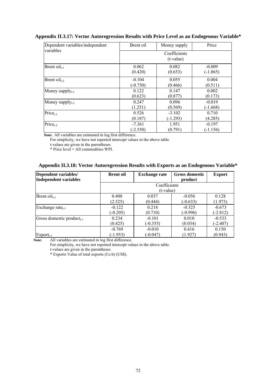| Dependent variables/independent | Brent oil                   | Money supply | Price      |  |  |
|---------------------------------|-----------------------------|--------------|------------|--|--|
| variables                       | Coefficients<br>$(t-value)$ |              |            |  |  |
| Brent $\text{oil}_{t-1}$        | 0.062                       | 0.082        | $-0.009$   |  |  |
|                                 | (0.420)                     | (0.653)      | $(-1.065)$ |  |  |
| Brent $\text{oil}_{t-2}$        | $-0.104$                    | 0.055        | 0.004      |  |  |
|                                 | $(-0.750)$                  | (0.466)      | (0.511)    |  |  |
| Money supply $_{t-1}$           | 0.122                       | 0.147        | 0.002      |  |  |
|                                 | (0.623)                     | (0.877)      | (0.173)    |  |  |
| Money supply $_{t-2}$           | 0.247                       | 0.096        | $-0.019$   |  |  |
|                                 | (1.251)                     | (0.569)      | (-1.668)   |  |  |
| $Price_{t-1}$                   | 0.526                       | $-3.102$     | 0.710      |  |  |
|                                 | (0.187)                     | $(-1.293)$   | (4.285)    |  |  |
| $Pricet-2$                      | $-7.361$                    | 1.951        | $-0.197$   |  |  |
|                                 | $(-2.550)$                  | (0.791)      | $(-1.156)$ |  |  |

#### **Appendix II.3.17: Vector Autoregression Results with Price Level as an Endogenous Variable\***

**Note:**All variables are estimated in log first difference.

For simplicity, we have not reported intercept values in the above table.

t-values are given in the parentheses

\* Price level = All commodities WPI.

### **Appendix II.3.18: Vector Autoregression Results with Exports as an Endogenous Variable\***

| Dependent variables/<br><b>Independent variables</b> | <b>Brent oil</b> | <b>Exchange rate</b> | <b>Gross domestic</b><br>product | <b>Export</b> |
|------------------------------------------------------|------------------|----------------------|----------------------------------|---------------|
|                                                      |                  | Coefficients         |                                  |               |
|                                                      |                  | (t-value)            |                                  |               |
| Brent $\text{oil}_{t-1}$                             | 0.408            | 0.037                | $-0.056$                         | 0.128         |
|                                                      | (2.525)          | (0.444)              | $(-0.633)$                       | (1.973)       |
| Exchange rate $_{t-1}$                               | $-0.122$         | 0.218                | $-0.325$                         | $-0.673$      |
|                                                      | $(-0.205)$       | (0.710)              | $(-0.996)$                       | $(-2.812)$    |
| Gross domestic product <sub>t-1</sub>                | 0.234            | $-0.101$             | 0.010                            | $-0.533$      |
|                                                      | (0.425)          | $(-0.355)$           | (0.034)                          | $(-2.407)$    |
|                                                      | $-0.769$         | $-0.010$             | 0.416                            | 0.150         |
| $Export_{t-1}$                                       | $(-1.953)$       | $(-0.047)$           | (1.927)                          | (0.943)       |

**Note:** All variables are estimated in log first difference.

For simplicity, we have not reported intercept values in the above table.

t-values are given in the parentheses

\* Exports Value of total exports (f.o.b) (US\$).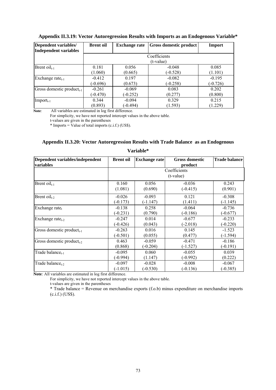| Dependent variables/<br>Independent variables | <b>Brent oil</b> | <b>Exchange rate</b> | Gross domestic product | <b>Import</b> |
|-----------------------------------------------|------------------|----------------------|------------------------|---------------|
|                                               |                  |                      | Coefficients           |               |
|                                               |                  |                      | (t-value)              |               |
| Brent $\text{oil}_{t-1}$                      | 0.181            | 0.056                | $-0.048$               | 0.085         |
|                                               | (1.060)          | (0.665)              | $(-0.528)$             | (1.101)       |
| Exchange rate $_{t-1}$                        | $-0.412$         | 0.197                | $-0.082$               | $-0.195$      |
|                                               | $(-0.696)$       | (0.673)              | $(-0.258)$             | $(-0.726)$    |
| Gross domestic product <sub>t-1</sub>         | $-0.261$         | $-0.069$             | 0.083                  | 0.202         |
|                                               | $(-0.470)$       | $(-0.252)$           | (0.277)                | (0.800)       |
| $\text{Import}_{t-1}$                         | 0.344            | $-0.094$             | 0.329                  | 0.215         |
|                                               | (0.893)          | $(-0.494)$           | (1.593)                | (1.229)       |

#### **Appendix II.3.19: Vector Autoregression Results with Imports as an Endogenous Variable\***

**Note***:* All variables are estimated in log first difference.

For simplicity, we have not reported intercept values in the above table.

t-values are given in the parentheses

\* Imports = Value of total imports (c.i.f.) (US\$).

| , ul iudiv                                          |                  |                      |                                  |               |  |
|-----------------------------------------------------|------------------|----------------------|----------------------------------|---------------|--|
| Dependent variables/independent<br><b>variables</b> | <b>Brent oil</b> | <b>Exchange rate</b> | <b>Gross domestic</b><br>product | Trade balance |  |
|                                                     |                  |                      | Coefficients<br>$(t-value)$      |               |  |
| Brent $\text{oil}_{t-1}$                            | 0.160            | 0.056                | $-0.036$                         | 0.243         |  |
|                                                     | (1.081)          | (0.690)              | $(-0.415)$                       | (0.901)       |  |
| Brent $\text{oil}_{t-2}$                            | $-0.026$         | $-0.093$             | 0.121                            | $-0.308$      |  |
|                                                     | $(-0.173)$       | $(-1.147)$           | (1.411)                          | $(-1.145)$    |  |
| Exchange rate <sub>t</sub>                          | $-0.138$         | 0.258                | $-0.064$                         | $-0.736$      |  |
|                                                     | $(-0.231)$       | (0.790)              | $(-0.186)$                       | $(-0.677)$    |  |
| Exchange rate $_{t-2}$                              | $-0.247$         | 0.014                | $-0.677$                         | $-0.233$      |  |
|                                                     | $(-0.426)$       | (0.043)              | $(-2.018)$                       | $(-0.220)$    |  |
| Gross domestic product $_{t-1}$                     | $-0.263$         | 0.016                | 0.145                            | $-1.523$      |  |
|                                                     | $(-0.501)$       | (0.055)              | (0.477)                          | (-1.594)      |  |
| Gross domestic product <sub>t-2</sub>               | 0.463            | $-0.059$             | $-0.471$                         | $-0.186$      |  |
|                                                     | (0.868)          | $(-0.204)$           | $(-1.527)$                       | $(-0.191)$    |  |
| Trade balance <sub>t-1</sub>                        | $-0.095$         | 0.060                | $-0.055$                         | 0.039         |  |
|                                                     | (-0.994)         | (1.147)              | (-0.992)                         | (0.222)       |  |
| Trade balance <sub>t-2</sub>                        | $-0.097$         | $-0.028$             | $-0.008$                         | $-0.067$      |  |
|                                                     | $(-1.015)$       | $(-0.530)$           | $(-0.136)$                       | $(-0.385)$    |  |

**Appendix II.3.20: Vector Autoregression Results with Trade Balance as an Endogenous Variable\*** 

**Note***:* All variables are estimated in log first difference.

For simplicity, we have not reported intercept values in the above table.

t-values are given in the parentheses

\* Trade balance = Revenue on merchandise exports (f.o.b) minus expenditure on merchandise imports (c.i.f.) (US\$).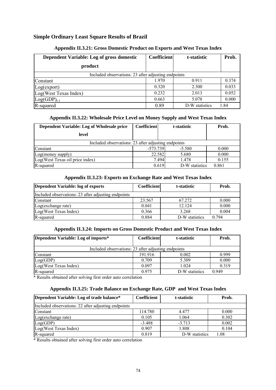### **Simple Ordinary Least Square Results of Brazil**

| Dependent Variable: Log of gross domestic           | <b>Coefficient</b> | t-statistic    | Prob. |
|-----------------------------------------------------|--------------------|----------------|-------|
| product                                             |                    |                |       |
| Included observations: 23 after adjusting endpoints |                    |                |       |
| Constant                                            | 1.970              | 0.911          | 0.374 |
| Log(export)                                         | 0.320              | 2.300          | 0.033 |
| Log(West Texas Index)                               | 0.232              | 2.013          | 0.052 |
| $Log(GDP)_{t-1}$                                    | 0.663              | 5.078          | 0.000 |
| R-squared                                           | 0.89               | D-W statistics | 1.84  |

#### **Appendix II.3.21: Gross Domestic Product on Exports and West Texas Index**

#### **Appendix II.3.22: Wholesale Price Level on Money Supply and West Texas Index**

| Dependent Variable: Log of Wholesale price          | <b>Coefficient</b> | t-statistic             | Prob. |
|-----------------------------------------------------|--------------------|-------------------------|-------|
| level                                               |                    |                         |       |
| Included observations: 23 after adjusting endpoints |                    |                         |       |
| Constant                                            | $-573.739$         | $-5.580$                | 0.000 |
| Log(money supply)                                   | 22.582             | 5.680                   | 0.000 |
| Log(West Texas oil price index)                     |                    | 7.494<br>1.478          | 0.155 |
| R-squared                                           |                    | 0.619<br>D-W statistics | 0.861 |

#### **Appendix II.3.23: Exports on Exchange Rate and West Texas Index**

| Dependent Variable: log of exports                  | Coefficient | t-statistic    | Prob.   |
|-----------------------------------------------------|-------------|----------------|---------|
| Included observations: 23 after adjusting endpoints |             |                |         |
| Constant                                            | 23.567      | 67.272         | 0.000   |
| Log(exchange rate)                                  | 0.041       | 12.124         | 0.000   |
| Log(West Texas Index)                               | 0.366       | 3.268          | 0.004   |
| R-squared                                           | 0.884       | D-W statistics | 0 7 9 4 |

#### **Appendix II.3.24: Imports on Gross Domestic Product and West Texas Index**

| Dependent Variable: Log of imports*                 | Coefficient | t-statistic    | Prob.   |
|-----------------------------------------------------|-------------|----------------|---------|
| Included observations: 23 after adjusting endpoints |             |                |         |
| Constant                                            | 191.916     | 0.002          | 0.999   |
| Log(GDP)                                            | 0.709       | 5.309          | 0.000   |
| Log(West Texas Index)                               | 0.097       | 1 0 2 4        | 0.319   |
| R-squared                                           | 0.975       | D-W statistics | 0 9 4 9 |

\* Results obtained after solving first order auto correlation

#### **Appendix II.3.25: Trade Balance on Exchange Rate, GDP and West Texas Index**

| Dependent Variable: Log of trade balance*           | Coefficient | t-statistic    | Prob. |
|-----------------------------------------------------|-------------|----------------|-------|
| Included observations: 22 after adjusting endpoints |             |                |       |
| Constant                                            | 114.780     | 4477           | 0.000 |
| Log(exchange rate)                                  | 0.105       | 1.064          | 0.302 |
| Log(GDP)                                            | $-3.488$    | $-3.713$       | 0.002 |
| Log(West Texas Index)                               | 0.907       | 1.808          | 0.104 |
| R-squared                                           | 0.819       | D-W statistics | 1.08  |

\* Results obtained after solving first order auto correlation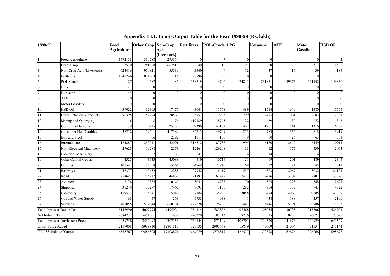| 1998-99                      |                                    | Food<br><b>Agriculture</b> | Other Crop Non-Crop | Agri<br>(Livestock) | Fertilizers | <b>POL-Crude LPG</b> |          | <b>Kerosene</b> | <b>ATF</b> | <b>Motor</b><br><b>Gasoline</b> | <b>HSD Oil</b> |
|------------------------------|------------------------------------|----------------------------|---------------------|---------------------|-------------|----------------------|----------|-----------------|------------|---------------------------------|----------------|
|                              | Food Agriculture                   | 1472158                    | 310788              | 275364              | $\theta$    |                      | $\Omega$ | $\Omega$        |            | $\Omega$                        |                |
| $\overline{2}$               | Other Crop                         | 7530                       | 251968              | 2667819             | 40          | 12                   | 97       | 300             | 129        | 313                             | 1502           |
| 3                            | Non-Crop Agri (Livestock)          | 624416                     | 950821              | 55539               | 3540        | $\Omega$             | 12       | 37              | 16         | 39                              | 185            |
| $\overline{4}$               | Fertlizers                         | 1341246                    | 1074203             | 116                 | 278896      |                      | $\Omega$ |                 |            |                                 | $\mathbf{0}$   |
| 5                            | POL-Crude                          | 127                        | 282                 | 485                 | 238519      | 9706                 | 74845    | 231871          | 99373      | 241942                          | 1159830        |
| 6                            | LPG                                | 21                         | $\Omega$            | $\Omega$            | $\theta$    |                      | $\Omega$ | $\Omega$        |            |                                 | $\theta$       |
| $\overline{7}$               | Kerosene                           | 45                         | $\theta$            |                     | $\theta$    | ∩                    | $\Omega$ | $\Omega$        |            | $\Omega$                        | $\overline{0}$ |
| 8                            | <b>ATF</b>                         | $\Omega$                   | $\theta$            |                     | $\Omega$    |                      |          | $\Omega$        |            |                                 | $\overline{0}$ |
| 9                            | Motor Gasolene                     | $\Omega$                   | $\Omega$            |                     | $\Omega$    |                      | $\Omega$ | $\Omega$        |            | $\Omega$                        | $\Omega$       |
| 10                           | <b>HSD Oil</b>                     | 59022                      | 32303               | 17476               | 3641        | 11768                | 489      | 1514            | 649        | 1580                            | 7575           |
| 11                           | Other Petroleum Products           | 96395                      | 52794               | 28560               | 5951        | 19233                | 799      | 2475            | 1061       | 2583                            | 12381          |
| 12                           | Mining and Quarrying               | 16                         |                     | 176                 | 119189      | 38745                | 22       | 69              | 30         | 72                              | 346            |
| 13                           | <b>Consumer Durables</b>           | 1139                       | 935                 | 25353               | 2396        | 40171                | 407      | 1261            | 541        | 1316                            | 6309           |
| 14                           | <b>Consumer NonDurables</b>        | 38252                      | 19601               | 417389              | 82513       | 49709                | 253      | 783             | 336        | 818                             | 3919           |
| 15                           | Iron and Steel                     |                            | 66                  | 2392                | 1111        | 156                  | 19       | 60              | 26         | 63                              | 301            |
| 16                           | Intermediate                       | 124887                     | 250241              | 52091               | 516512      | 87788                | 1995     | 6180            | 2649       | 6449                            | 30914          |
| 17                           | Non-Electrical Machinery           | 27628                      | 19288               | 2573                | 12264       | 129208               | 133      | 412             | 177        | 430                             | 2063           |
| 18                           | <b>Electrical Machinery</b>        | 32                         | 82                  | 80                  | 41          |                      |          | 14              | 6          | 14                              | 68             |
| 19                           | Other Capital Goods                | 4323                       | 3633                | 45088               | 510         | 10714                | 151      | 469             | 201        | 489                             | 2345           |
| 20                           | Construction                       | 101541                     | 56558               | 55566               | 4969        | 27940                | 169      | 522             | 224        | 545                             | 2611           |
| 21                           | Railways                           | 56377                      | 42652               | 12288               | 27942       | 16419                | 1557     | 4823            | 2067       | 5032                            | 24124          |
| 22                           | Road                               | 258692                     | 275217              | 144462              | 71892       | 67442                | 2413     | 7476            | 3204       | 7801                            | 37396          |
| 23                           | Aviation                           | 18174                      | 19335               | 10149               | 5051        | 4738                 | 170      | 525             | 225        | 548                             | 2627           |
| 24                           | Shipping                           | 31279                      | 33277               | 17467               | 8693        | 8155                 | 292      | 904             | 387        | 943                             | 4522           |
| 25                           | Electricity                        | 179571                     | 75841               | 5048                | 87184       | 138238               | 3058     | 9474            | 4060       | 9885                            | 47389          |
| 26                           | Gas and Water Supply               | 63                         | 57                  | 263                 | 5733        | 938                  | 141      | 438             | 188        | 457                             | 2190           |
| 27                           | Services                           | 701055                     | 537844              | 660181              | 277828      | 126738               | 11441    | 35446           | 15191      | 36986                           | 177303         |
|                              | <b>Total Inputs at Factor Cost</b> | 5143990                    | 4007794             | 4495924             | 1754414     | 787836               | 98468    | 305055          | 130738     | 318306                          | 1525904        |
| Net Indirect Tax             |                                    | $-684232$                  | $-454801$           | 11432               | $-20270$    | 83313                | 8236     | 25515           | 10935      | 26623                           | 127626         |
|                              | Total Inputs at Purchaser's Price  | 4459758                    | 3552993             | 4507356             | 1734144     | 871149               | 106703   | 330570          | 141673     | 344929                          | 1653529        |
| Gross Value Added            |                                    | 12117008                   | 18933810            | 12801515            | 729935      | 2905668              | 15819    | 49009           | 21004      | 51137                           | 245144         |
| <b>GROSS Value of Output</b> |                                    | 16576767                   | 22486804            | 17308871            | 2464079     | 3776817              | 122523   | 379578          | 162676     | 396066                          | 1898673        |

# **Appendix III.1. Input-Output Table for the Year 1998-99 (Rs. lakh)**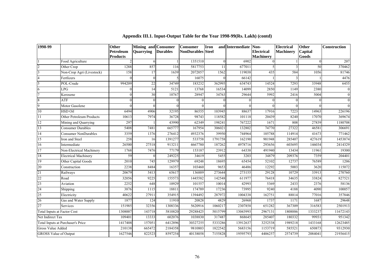| 1998-99                            |                                   | <b>Other</b>                 | Mining and Consumer |                 | <b>Consumer</b>          | <b>Iron</b> | and Intermediate Non- |                                       | <b>Electrical</b> | Other            | Construction |
|------------------------------------|-----------------------------------|------------------------------|---------------------|-----------------|--------------------------|-------------|-----------------------|---------------------------------------|-------------------|------------------|--------------|
|                                    |                                   | Petroleum<br><b>Products</b> | Quarrying           | <b>Durables</b> | <b>NonDurables</b> Steel |             |                       | <b>Electrical</b><br><b>Machinery</b> | <b>Machinery</b>  | Capital<br>Goods |              |
|                                    | Food Agriculture                  |                              |                     |                 | 1351510                  | $\Omega$    | 6902                  |                                       |                   |                  | 207          |
| $\overline{2}$                     | Other Crop                        | 1288                         | 857                 | 116             | 5817753                  | 11          | 677011                |                                       |                   | 50               | 370462       |
| $\overline{3}$                     | Non-Crop Agri (Livestock)         | 158                          | 17                  | 1639            | 2072057                  | 1562        | 119038                | 435                                   | 584               | 1056             | 81746        |
| $\overline{4}$                     | Fertlizers                        |                              |                     |                 | 16075                    |             | 66142                 |                                       |                   |                  | 4476         |
| 5                                  | POL-Crude                         | 994209                       | 22                  | 34749           | 183232                   | 362995      | 634743                | 14524                                 | 7293              | 33948            | 6455         |
| 6                                  | LPG                               |                              | 14                  | 5121            | 13768                    | 16534       | 14099                 | 2850                                  | 1149              | 2380             | $\mathbf{0}$ |
| $\overline{7}$                     | Kerosene                          |                              | 30                  | 10767           | 28947                    | 34763       | 29644                 | 5992                                  | 2416              | 5004             | $\mathbf{0}$ |
| 8                                  | <b>ATF</b>                        |                              |                     | $\Omega$        |                          |             |                       | $\Omega$                              |                   |                  | $\Omega$     |
| $\overline{9}$                     | Motor Gasolene                    |                              |                     | 0               | $\Omega$                 |             |                       |                                       |                   |                  |              |
| $10\,$                             | HSD Oil                           | 6494                         | 4906                | 32195           | 86555                    | 103945      | 88637                 | 17916                                 | 7223              | 14963            | 226196       |
| 11                                 | Other Petroleum Products          | 10613                        | 7974                | 36728           | 98743                    | 118582      | 101118                | 20439                                 | 8240              | 17070            | 369674       |
| 12                                 | Mining and Quarrying              | 297                          |                     | 43990           | 62349                    | 198241      | 767222                | 1671                                  | 808               | 27839            | 1180708      |
| $\overline{13}$                    | <b>Consumer Durables</b>          | 5408                         | 7481                | 665777          | 167954                   | 306021      | 132802                | 74770                                 | 27322             | 46581            | 306691       |
| 14                                 | <b>Consumer NonDurables</b>       | 3359                         | 1376                | 276412          | 4932376                  | 39950       | 744964                | 105788                                | 114914            | 41673            | 771462       |
| 15                                 | Iron and Steel                    | 258                          | 16                  | 1391277         | 533758                   | 1791758     | 162190                | 901948                                | 285407            | 427619           | 1453874      |
| 16                                 | Intermediate                      | 26500                        | 27518               | 913211          | 4667780                  | 187262      | 4978716               | 293656                                | 603695            | 146034           | 2414329      |
| 17                                 | Non-Electrical Machinery          | 1768                         | 7476                | 77179           | 153187                   | 23912       | 64338                 | 491940                                | 13434             | 11961            | 19300        |
| 18                                 | <b>Electrical Machinery</b>       | 59                           |                     | 249225          | 34619                    | 5455        | 3203                  | 34879                                 | 209376            | 7359             | 204401       |
| 19                                 | Other Capital Goods               | 2010                         | 745                 | 129979          | 69248                    | 18695       | 65454                 | 52102                                 | 12737             | 76589            | 1206         |
| 20                                 | Construction                      | 2238                         | 8484                | 16357           | 103460                   | 9653        | 46486                 | 12292                                 | 5003              | 3620             | 115072       |
| $\overline{21}$                    | Railways                          | 20679                        | 5413                | 65617           | 136889                   | 273644      | 273155                | 29128                                 | 10729             | 33913            | 270760       |
| 22                                 | Road                              | 32056                        | 9225                | 155573          | 1445582                  | 142548      | 611977                | 76418                                 | 34635             | 33824            | 827521       |
| 23                                 | Aviation                          | 2252                         | 648                 | 10929           | 101557                   | 10014       | 42993                 | 5369                                  | 2433              | 2376             | 58136        |
| 24                                 | Shipping                          | 3876                         | 1115                | 18811           | 174789                   | 17236       | 73995                 | 9240                                  | 4188              | 4090             | 100057       |
| $\overline{25}$                    | Electricity                       | 40622                        | 27911               | 354915          | 1394492                  | 287972      | 1004338               | 162751                                | 88814             | 77016            | 357846       |
| 26                                 | Gas and Water Supply              | 1877                         | 124                 | 11910           | 20828                    | 4829        | 26968                 | 1737                                  | 1171              | 1687             | 29648        |
| 27                                 | Services                          | 151985                       | 32356               | 1308336         | 5620916                  | 1060217     | 2307858               | 651282                                | 367309            | 316583           | 2501913      |
| <b>Total Inputs at Factor Cost</b> |                                   | 1308007                      | 143718              | 5810820         | 29288425                 | 5015799     | 13043993              | 2967131                               | 1808886           | 1333237          | 11672143     |
| Net Indirect Tax                   |                                   | 109401                       | 13333               | 602076          | 1038830                  | 317487      | 868645                | 285407                                | 180332            | 99931            | 951342       |
|                                    | Total Inputs at Purchaser's Price | 1417408                      | 157051              | 6412896         | 30327255                 | 5333286     | 13912637              | 3252538                               | 1989218           | 1433168          | 12623485     |
| Gross Value Added                  |                                   | 210138                       | 665472              | 2184358         | 9810803                  | 1822542     | 5683156               | 1153719                               | 585521            | 650873           | 9312930      |
| <b>GROSS Value of Output</b>       |                                   | 1627546                      | 822523              | 8597254         | 40138058                 | 7155828     | 19595793              | 4406257                               | 2574739           | 2084041          | 21936415     |

#### **Appendix III.1. Input-Output Table for the Year 1998-99(Rs. Lakh) (contd)**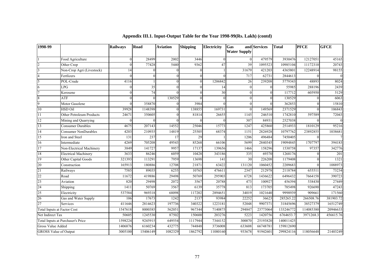| 1998-99                            |                                   | <b>Railways</b> | Road     | <b>Aviation</b> | <b>Shipping</b> | <b>Electricity</b> | Gas<br><b>Water Supply</b> | and Services | <b>Total</b> | <b>PFCE</b> | <b>GFCE</b> |
|------------------------------------|-----------------------------------|-----------------|----------|-----------------|-----------------|--------------------|----------------------------|--------------|--------------|-------------|-------------|
|                                    | Food Agriculture                  | $\Omega$        | 28499    | 2002            | 3446            | $\Omega$           |                            | 479579       | 3930476      | 12127051    | 45165       |
| $\overline{c}$                     | Other Crop                        | $\Omega$        | 77428    | 5440            | 9362            | 47                 | 39                         | 1095523      | 10985104     | 11172310    | 20743       |
| 3                                  | Non-Crop Agri (Livestock)         | 14              |          | $\Omega$        |                 |                    | 31679                      | 421203       | 4365801      | 12248914    | 98155       |
| $\overline{4}$                     | Fertlizers                        | $\Omega$        | $\Omega$ | $\Omega$        | 0               | $\Omega$           | 717                        | 62731        | 2844613      | $\Omega$    | $\theta$    |
| 5                                  | POL-Crude                         | 4116            |          | $\theta$        | 0               | 1206842            | 26                         | 239208       | 5779343      | 48893       | 8024        |
| 6                                  | <b>LPG</b>                        |                 | 35       | $\Omega$        |                 | 14                 | $\Omega$                   | $\mathbf{0}$ | 55985        | 288196      | 2439        |
| $\overline{7}$                     | Kerosene                          | $\Omega$        | 74       | $\Omega$        |                 | 30                 |                            | $\Omega$     | 117712       | 605950      | 5129        |
| 8                                  | ATF                               |                 |          | 130529          |                 | $\Omega$           |                            | $\Omega$     | 130529       | 0           | 6063        |
| 9                                  | Motor Gasolene                    | $\Omega$        | 358870   | $\Omega$        | 3984            | $\Omega$           |                            | $\Omega$     | 362853       | 0           | 15810       |
| 10                                 | <b>HSD Oil</b>                    | 39928           | 1148398  | $\Omega$        | 138855          | 169731             | $\Omega$                   | 149569       | 2371529      | $\theta$    | 106843      |
| 11                                 | Other Petroleum Products          | 24671           | 350605   | $\Omega$        | 81814           | 26655              | 1145                       | 246510       | 1742810      | 597589      | 72043       |
| 12                                 | Mining and Quarrying              |                 |          | $\Omega$        |                 |                    | 307                        | 84931        | 2527038      | $\Omega$    | $\Omega$    |
| 13                                 | <b>Consumer Durables</b>          | 4675            | 207143   | 14552           | 25046           | 15773              | 1247                       | 425860       | 2514933      | 1810129     | 95216       |
| 14                                 | <b>Consumer NonDurables</b>       | 4203            | 210935   | 14819           | 25505           | 68374              | 1151                       | 2826928      | 10797762     | 23892855    | 1038681     |
| 15                                 | Iron and Steel                    | 131             | 237      | 17              | 29              |                    | 1206                       | 496484       | 7450405      | $\Omega$    |             |
| 16                                 | Intermediate                      | 4269            | 705208   | 49543           | 85268           | 66106              | 5699                       | 2840345      | 19094845     | 1707797     | 394183      |
| 17                                 | Non-Electrical Machinery          | 3849            | 141727   | 9957            | 17137           | 139656             | 1466                       | 158296       | 1530758      | 97357       | 342776      |
| 18                                 | <b>Electrical Machinery</b>       | 3633            | 86246    | 6059            | 10428           | 343186             | 335                        | 69370        | 1268176      | $\theta$    | 201         |
| 19                                 | Other Capital Goods               | 321393          | 113291   | 7959            | 13698           | 141                | 30                         | 226208       | 1179408      |             | 1321        |
| 20                                 | Construction                      | 165913          | 180886   | 12708           | 21871           | 63422              | 131120                     | 1060452      | 2209683      | $\theta$    | 1088973     |
| 21                                 | Railways                          | 7585            | 89035    | 6255            | 10765           | 476611             | 2347                       | 212978       | 2118784      | 655511      | 73234       |
| 22                                 | Road                              | 11672           | 419886   | 29498           | 50769           | 295903             | 6728                       | 1436622      | 6496432      | 7664158     | 390723      |
| 23                                 | Aviation                          | 820             | 29498    | 2072            | 3567            | 20788              | 473                        | 100927       | 456394       | 538430      | 27449       |
| 24                                 | Shipping                          | 1411            | 50769    | 3567            | 6139            | 35778              | 813                        | 173705       | 785498       | 926690      | 47243       |
| 25                                 | Electricity                       | 537584          | 969318   | 68098           | 117202          | 2894651            | 34019                      | 1021640      | 9998939      | 909661      | 171560      |
| 26                                 | Gas and Water Supply              | 106             | 17673    | 1242            | 2137            | 93984              | 22252                      | 36623        | 285265.22    | 266508.76   | 381903.72   |
| 27                                 | Services                          | 411646          | 2814623  | 197736          | 340322          | 1223181            | 52048                      | 9907371      | 31845696     | 38527379    | 16512749    |
| <b>Total Inputs at Factor Cost</b> |                                   | 1547618         | 8000385  | 562051          | 967344          | 7140875            | 294847                     | 23773064     | 133246772    | 114085380   | 20946633    |
| Net Indirect Tax                   |                                   | 50605           | 1245530  | 87502           | 150600          | 203276             | 5223                       | 1420756      | 6764653.7    | 3971268.3   | 456615.76   |
|                                    | Total Inputs at Purchaser's Price | 1598224         | 9245915  | 649554          | 1117944         | 7344152            | 300070                     | 25193820     | 140011425    |             |             |
| Gross Value Added                  |                                   | 1406876         | 6160234  | 432775          | 744848          | 3736008            | 633608                     | 66748781     | 159812690    |             |             |
| <b>GROSS Value of Output</b>       |                                   | 3005100         | 15406149 | 1082329         | 1862792         | 11080160           | 933678                     | 91942601     | 299824116    | 118056648   | 21403249    |

#### **Appendix III.1. Input-Output Table for the Year 1998-99(Rs. Lakh) (contd)**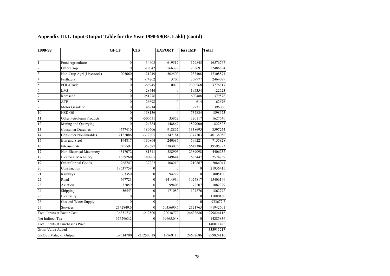| 1998-99                  |                                    | <b>GFCF</b>      | <b>CIS</b>     | <b>EXPORT</b> | less IMP         | <b>Total</b> |
|--------------------------|------------------------------------|------------------|----------------|---------------|------------------|--------------|
|                          |                                    |                  |                |               |                  |              |
| L                        | Food Agriculture                   | $\boldsymbol{0}$ | 34408          | 619512        | 179845           | 16576767     |
| $\overline{2}$           | Other Crop                         | $\theta$         | $-19042$       | 566379        | 238691           | 22486804     |
| 3                        | Non-Crop Agri (Livestock)          | 205660           | 121249         | 502500        | 233408           | 17308871     |
| 4                        | Fertlizers                         | $\mathbf{0}$     | $-74262$       | 3705          | 309977           | 2464079      |
| 5                        | POL-Crude                          | $\overline{0}$   | $-68945$       | 10070         | 2000568          | 3776817      |
| 6                        | <b>LPG</b>                         | $\theta$         | $-28744$       | $\theta$      | 195354           | 122523       |
| 7                        | Kerosene                           | $\mathbf{0}$     | 251276         | $\theta$      | 600488           | 379578       |
| 8                        | ATF                                | $\theta$         | 26698          | $\mathbf{0}$  | 614              | 162676       |
| 9                        | Motor Gasolene                     | $\theta$         | 46714          | $\theta$      | 29311            | 396066       |
| 10                       | <b>HSD Oil</b>                     | $\theta$         | 158136         | $\theta$      | 737834           | 1898673      |
| 11                       | Other Petroleum Products           | $\theta$         | $-500631$      | 35852         | 320117           | 1627546      |
| 12                       | Mining and Quarrying               | $\theta$         | $-24384$       | 148869        | 1829000          | 822523       |
| 13                       | <b>Consumer Durables</b>           | 4777410          | $-180606$      | 918867        | 1338695          | 8597254      |
| 14                       | <b>Consumer NonDurables</b>        | 2122086          | $-312805$      | 6347181       | 3747703          | 40138058     |
| 15                       | Iron and Steel                     | 194817           | -130864        | 240685        | 599221           | 7155828      |
| 16                       | Intermediate                       | 505592           | 352687         | 3183075       | 5642386          | 19595793     |
| 17                       | Non-Electrical Machinery           | 4517072          | $-81511$       | 388903        | 2389098          | 4406257      |
| 18                       | <b>Electrical Machinery</b>        | 1659260          | 180905         | 149644        | 683447           | 2574739      |
| 19                       | Other Capital Goods                | 968747           | 37222          | 108210        | 210867           | 2084041      |
| 20                       | Construction                       | 18637759         | $\mathbf{0}$   | $\theta$      | $\mathbf{0}$     | 21936415     |
| 21                       | Railways                           | 63350            | $\mathbf{0}$   | 94222         | $\theta$         | 3005100      |
| 22                       | Road                               | 467723           | $\theta$       | 1414930       | 1027817          | 15406149     |
| 23                       | Aviation                           | 32859            | $\overline{0}$ | 99403         | 72207            | 1082329      |
| 24                       | Shipping                           | 56553            | $\mathbf{0}$   | 171082        | 124276           | 1862792      |
| $\overline{25}$          | Electricity                        | $\mathbf{0}$     | $\overline{0}$ | $\theta$      | $\boldsymbol{0}$ | 11080160     |
| 26                       | Gas and Water Supply               | $\theta$         | $\mathbf{0}$   | $\Omega$      | $\theta$         | 933677.7     |
| 27                       | Services                           | 2142849.6        | $\overline{0}$ | 5035690.6     | 2121763          | 91942601     |
|                          | <b>Total Inputs at Factor Cost</b> | 36351737         | $-212500$      | 20038779      | 24632686         | 299824116    |
| Net Indirect Tax         |                                    | 3162963.2        | $\theta$       | $-69665.048$  | $\theta$         | 14285836     |
|                          | Total Inputs at Purchaser's Price  |                  |                |               |                  | 140011425    |
| <b>Gross Value Added</b> |                                    |                  |                |               |                  | 333911217    |
|                          | <b>GROSS Value of Output</b>       | 39514700         | $-212500.18$   | 19969115      | 24632686         | 299824116    |

# **Appendix III.1. Input-Output Table for the Year 1998-99(Rs. Lakh) (contd)**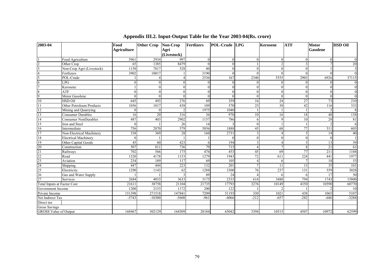| 2003-04                            |                             | Food               | Other Crop Non-Crop |             | <b>Fertlizers</b> | POL-Crude LPG |               | <b>Kerosene</b> | <b>ATF</b>    | <b>Motor</b>    | <b>HSD Oil</b>   |
|------------------------------------|-----------------------------|--------------------|---------------------|-------------|-------------------|---------------|---------------|-----------------|---------------|-----------------|------------------|
|                                    |                             | <b>Agriculture</b> |                     | Agri        |                   |               |               |                 |               | <b>Gasolene</b> |                  |
|                                    |                             |                    |                     | (Livestock) |                   |               |               |                 |               |                 |                  |
|                                    | Food Agriculture            | 5961               | 2934                | 997         | $\theta$          |               | $\Omega$      | $\Omega$        |               | $\Omega$        | $\Omega$         |
| $\overline{2}$                     | Other Crop                  | 65                 | 1385                | 8479        | $\Omega$          |               |               |                 |               |                 | 20               |
| $\mathbf{3}$                       | Non-Crop Agri (Livestock)   | 1150               | 7817                | 528         | 40                |               | $\Omega$      |                 | $\Omega$      |                 | $\mathfrak{Z}$   |
|                                    | Fertlizers                  | 3902               | 10017               |             | 3190              |               | $\Omega$      |                 |               | $\Omega$        | $\mathbf{0}$     |
| 5                                  | POL-Crude                   |                    |                     |             | 2536              | 167           | 2340          | 5555            | 2903          | 6926            | 37115            |
| 6                                  | LPG                         |                    | $\Omega$            | $\Omega$    |                   |               | 0             |                 |               | $\Omega$        | $\boldsymbol{0}$ |
|                                    | Kerosene                    |                    | $\theta$            | $\Omega$    | $\theta$          |               | $\theta$      | $\Omega$        | $\Omega$      | $\Omega$        | $\mathbf{0}$     |
| 8                                  | <b>ATF</b>                  |                    | $\Omega$            | $\Omega$    | $\Omega$          | $\Omega$      | $\theta$      | $\Omega$        | $\Omega$      | $\theta$        | $\boldsymbol{0}$ |
| 9                                  | Motor Gasolene              |                    | $\Omega$            | $\Omega$    | $\Omega$          |               | $\Omega$      | $\Omega$        | $\Omega$      | $\Omega$        | $\theta$         |
| 10                                 | HSD Oil                     | 645                | 493                 | 276         | 69                | 359           | 16            | 24              | 27            | 73              | 210              |
| 11                                 | Other Petroleum Products    | 1056               | 1017                | 438         | 109               | 570           | 25            | 38              | 42            | 116             | 333              |
| 12                                 | Mining and Quarrying        |                    | $\Omega$            |             | 1975              | 1040          |               |                 |               |                 | 8                |
| 13                                 | <b>Consumer Durables</b>    | 16                 | 20                  | 316         | 36                | 970           | 10            | 16              | 18            | 48              | 138              |
| 14                                 | <b>Consumer NonDurables</b> | 487                | 403                 | 2902        | 1157              | 786           | 6             | $\Omega$        | 10            | 28              | $8\sqrt{1}$      |
| $\overline{15}$                    | Iron and Steel              |                    |                     | 26          | 14                |               | $\Omega$      |                 |               |                 | 6                |
| 16                                 | Intermediate                | 756                | 2870                | 579         | 5856              | 1888          | 45            | 68              | 77            | 311             | 603              |
| 17                                 | Non-Electrical Machinery    | 338                | 369                 | 28          | 160               | 2731          |               |                 |               | 14              | 40               |
| 18                                 | <b>Electrical Machinery</b> | $\Omega$           |                     |             |                   |               | $\Omega$      |                 | $\Omega$      | $\Omega$        |                  |
| 19                                 | Other Capital Goods         | 45                 | 60                  | 423         | 6                 | 194           | $\mathcal{E}$ |                 |               | 13              | 39               |
| 20                                 | Construction                | 507                | 811                 | 736         | 79                | 715           | $\Lambda$     |                 | $\mathsf{\ }$ | 21              | 61               |
| $\overline{21}$                    | Railways                    | 702                | 566                 | 175         | 476               | 453           | 45            | 69              | 77            | 211             | 1104             |
| 22                                 | Road                        | 1320               | 4178                | 1153        | 1279              | 1943          | 72            | 611             | 224           | 441             | 1977             |
| 23                                 | Aviation                    | 234                | 189                 | 117         | 69                | 105           |               |                 |               | 18              | 53               |
| 24                                 | Shipping                    | 447                | 444                 | 223         | 132               | 201           |               | 11              | 13            | 35              | 101              |
| 25                                 | Electricity                 | 1290               | 1143                | 62          | 1288              | 3308          | 76            | 237             | 131           | 559             | 3028             |
| 26                                 | Gas and Water Supply        |                    |                     |             | 89                | 24            |               |                 |               | 17              | 50               |
| $\overline{27}$                    | Services                    | 2684               | 4033                | 3633        | 3175              | 2333          | 614           | 3480            | 794           | 1743            | 15800            |
| <b>Total Inputs at Factor Cost</b> |                             | 21611              | 38758               | 21104       | 21735             | 17793         | 3276          | 10149           | 4350          | 10590           | 60770            |
| Government Income                  |                             | 1200               | 2153                | 1172        | 200               | 122           |               |                 |               |                 | 10               |
| Private Income                     |                             | 151398             | 271518              | 147841      | 7209              | 51193         | 330           | 1021            | 438           | 1065            | 5107             |
| Net Indirect Tax                   |                             | $-5743$            | $-10300$            | $-5608$     | $-961$            | $-4066$       | $-212$        | $-657$          | $-282$        | $-686$          | $-3288$          |
| Direct tax                         |                             |                    |                     |             |                   |               |               |                 |               |                 |                  |
| <b>Gross Savings</b>               |                             |                    |                     |             |                   |               |               |                 |               |                 |                  |
| <b>GROSS</b> Value of Output       |                             | 168467             | 302129              | 164509      | 28184             | 65042         | 3394          | 10515           | 4507          | 10972           | 62599            |

# **Appendix III.2. Input-Output Table for the Year 2003-04(Rs. crore)**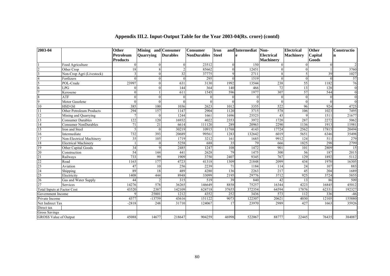| 2003-04                            |                             | Other<br>Petroleum | Mining and Consumer<br>Quarrying | <b>Durables</b> | <b>Consumer</b><br><b>NonDurables</b> | <b>Iron</b><br><b>Steel</b> | and Intermediat<br>e | Non-<br><b>Electrical</b> | <b>Electrical</b><br><b>Machinery</b> | Other<br>Capital | Constructio<br>n |
|------------------------------------|-----------------------------|--------------------|----------------------------------|-----------------|---------------------------------------|-----------------------------|----------------------|---------------------------|---------------------------------------|------------------|------------------|
|                                    |                             | <b>Products</b>    |                                  |                 |                                       |                             |                      | <b>Machinery</b>          |                                       | Goods            |                  |
|                                    | Food Agriculture            |                    | $\Omega$                         | $\Omega$        | 23512                                 |                             | 150                  | $\Omega$                  |                                       | $\Omega$         | $\overline{c}$   |
| $\overline{c}$                     | Other Crop                  | 18                 | 8                                | $\mathfrak{D}$  | 85662                                 |                             | 12451                |                           |                                       |                  | 3760             |
|                                    | Non-Crop Agri (Livestock)   |                    | $\Omega$                         | 32              | 37775                                 |                             | 2711                 |                           |                                       | 39               | 1027             |
|                                    | Fertlizers                  |                    | $\Omega$                         | $\Omega$        | 295                                   |                             | 1519                 |                           | $\Omega$                              | $\Omega$         | 57               |
|                                    | POL-Crude                   | 23997              |                                  | 631             | 3130                                  | 1992                        | 13544                | 238                       | 55                                    | 1182             | 76               |
| 6                                  | LPG                         |                    | $\Omega$                         | 144             | 364                                   | 140                         | 466                  | $\overline{72}$           | 13                                    | 128              | $\mathbf{0}$     |
|                                    | Kerosene                    |                    |                                  | 611             | 1545                                  | 596                         | 1977                 | 307                       | 57                                    | 544              | $\mathbf{0}$     |
|                                    | <b>ATF</b>                  |                    | $\Omega$                         | $\Omega$        |                                       |                             |                      |                           | $\Omega$                              |                  | $\overline{0}$   |
| 9                                  | Motor Gasolene              |                    | $\Omega$                         | $\Omega$        |                                       |                             |                      |                           | $\Omega$                              | $\Omega$         | $\theta$         |
| 10                                 | <b>HSD Oil</b>              | 385                | 100                              | 1036            | 2623                                  | 1012                        | 3355                 | 522                       | 96                                    | 924              | 4725             |
| 11                                 | Other Petroleum Products    | 294                | 157                              | 1147            | 2904                                  | 1120                        | 3715                 | 578                       | 106                                   | 1023             | 7495             |
| 12                                 | Mining and Quarrying        |                    | $\theta$                         | 1244            | 1661                                  | 1696                        | 25523                | 43                        | $\mathbf Q$                           | 1511             | 21677            |
| 13                                 | Consumer Durables           | 122                | 120                              | 16932           | 4022                                  | 2353                        | 3972                 | 1720                      | 287                                   | 2272             | 5062             |
| 14                                 | <b>Consumer NonDurables</b> | 71                 | 21                               | 6614            | 111120                                | 289                         | 20963                | 2290                      | 1136                                  | 1913             | 11981            |
| 15                                 | Iron and Steel              |                    | $\Omega$                         | 30219           | 10915                                 | 11768                       | 4143                 | 17724                     | 2562                                  | 17815            | 20494            |
| 16                                 | Intermediate                | 732                | 393                              | 20689           | 99561                                 | 1283                        | 132642               | 6019                      | 5651                                  | 6346             | 35498            |
| $\overline{17}$                    | Non-Electrical Machinery    | 35                 | $\overline{105}$                 | 1719            | 3212                                  | 161                         | 1685                 | 9912                      | 124                                   | $\overline{511}$ | 279              |
| $18\,$                             | <b>Electrical Machinery</b> |                    | $\Omega$                         | 5258            | 688                                   | 35                          | 79                   | 666                       | 1825                                  | 298              | 2799             |
| 19                                 | Other Capital Goods         | 34                 | $\mathbf Q$                      | 2485            | 1247                                  | 108                         | 1472                 | 901                       | 101                                   | 2809             | 15               |
| 20                                 | Construction                | 54                 | 144                              | 441             | 2628                                  | 79                          | 1475                 | 300                       | 56                                    | 187              | 2015             |
| $\overline{21}$                    | Railways                    | 733                | 99                               | 1909            | 3750                                  | 2407                        | 9345                 | 767                       | 129                                   | 1892             | 5112             |
| $\overline{22}$                    | Road                        | 1163               | 177                              | 4723            | 41318                                 | 1309                        | 21848                | 2099                      | 434                                   | 1970             | 16305            |
| 23                                 | Aviation                    | 47                 | 10                               | 256             | 2239                                  | 71                          | 1184                 | 114                       | $\overline{24}$                       | 107              | 883              |
| 24                                 | Shipping                    | 89                 | 18                               | 489             | 4280                                  | 136                         | 2263                 | 217                       | 45                                    | 204              | 1689             |
| $\overline{25}$                    | Electricity                 | 1408               | 444                              | 8948            | 33099                                 | 2195                        | 29776                | 3712                      | 925                                   | 3724             | 5855             |
| 26                                 | Gas and Water Supply        | 44                 | $\mathcal{L}$                    | 315             | 519                                   | 39                          | 840                  | 42                        | 13                                    | 86               | 509              |
| 27                                 | Services                    | 14276              | 578                              | 36265           | 146649                                | 8858                        | 75257                | 16344                     | 4223                                  | 16845            | 45012            |
| <b>Total Inputs at Factor Cost</b> |                             | 43520              | 2387                             | 142109          | 624718                                | 37655                       | 372354               | 64594                     | 17876                                 | 62331            | 192327           |
| Government Income                  |                             |                    | 25801                            | 1212            | 4352                                  | 252                         | 3436                 | 573                       | 112                                   | 336              | $-46$            |
| Private Income                     |                             | 4377               | -13759                           | 43616           | 151122                                | 9073                        | 122307               | 20621                     | 4030                                  | 12105            | 155880           |
| Net Indirect Tax                   |                             | $-2818$            | 248                              | 31710           | 124067                                | 17                          | 23970                | 2989                      | 427                                   | 1663             | 35926            |
| Direct tax                         |                             |                    |                                  |                 |                                       |                             |                      |                           |                                       |                  |                  |
| <b>Gross Savings</b>               |                             |                    |                                  |                 |                                       |                             |                      |                           |                                       |                  |                  |
| <b>GROSS Value of Output</b>       |                             | 45088              | 14677                            | 218647          | 904259                                | 46998                       | 522067               | 88777                     | 22445                                 | 76435            | 384087           |

# **Appendix III.2. Input-Output Table for the Year 2003-04(Rs. crore) (contd)**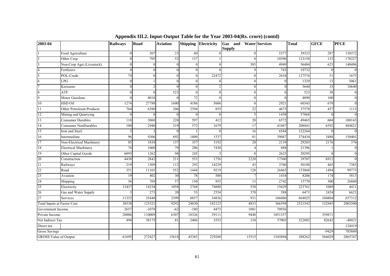| 2003-04                            |                             | <b>Railways</b> | Road     | <b>Aviation</b> |          | Shipping Electricity | <b>Gas</b> and Water Services<br><b>Supply</b> |         | <b>Total</b> | <b>GFCE</b> | <b>PFCE</b>      |
|------------------------------------|-----------------------------|-----------------|----------|-----------------|----------|----------------------|------------------------------------------------|---------|--------------|-------------|------------------|
|                                    | Food Agriculture            | $\Omega$        | 307      | 23              | 60       |                      |                                                | 5377    | 39323        | 287         | 130372           |
| $\mathfrak{D}$                     | Other Crop                  |                 | 705      | 52              | 137      |                      |                                                | 10396   | 123158       | 132         | 170227           |
|                                    | Non-Crop Agri (Livestock)   |                 | $\Omega$ |                 | $\theta$ |                      | 385                                            | 4949    | 56484        | 623         | 140496           |
| $\overline{4}$                     | Fertlizers                  |                 | $\Omega$ |                 | $\Omega$ |                      |                                                | 743     | 19732        | $\Omega$    | $\boldsymbol{0}$ |
| $\varsigma$                        | POL-Crude                   | 74              | $\Omega$ |                 | $\Omega$ | 22472                |                                                | 2634    | 127576       | 51          | 1675             |
| 6                                  | $LP\overline{G}$            | 0               |          |                 | $\Omega$ |                      |                                                |         | 1329         | 15          | 5061             |
| $\tau$                             | Kerosene                    |                 |          |                 | $\Omega$ |                      |                                                |         | 5644         | 33          | 10640            |
| 8                                  | <b>ATF</b>                  |                 | $\Omega$ | 523             | $\Omega$ | $\sqrt{ }$           |                                                |         | 523          | 38          | $\boldsymbol{0}$ |
| 9                                  | Motor Gasolene              |                 | 4018     |                 | 72       | $\Omega$             |                                                |         | 4090         | 100         | $\boldsymbol{0}$ |
| 10                                 | <b>HSD Oil</b>              | 1274            | 27788    | 1600            | 4186     | 5606                 |                                                | 2921    | 60343        | 678         | $\mathbf{0}$     |
| 11                                 | Other Petroleum Products    | 764             | 6380     | 206             | 2394     | 855                  | 22                                             | 4673    | 37578        | 457         | 1113             |
| 12                                 | Mining and Quarrying        |                 | $\Omega$ |                 | $\Omega$ | $\Omega$             |                                                | 1458    | 57868        |             | $\mathbf{0}$     |
| 13                                 | <b>Consumer Durables</b>    | 118             | 3068     | 228             | 597      | 412                  | 20                                             | 6572    | 49465        | 604         | 100143           |
| 14                                 | <b>Consumer NonDurables</b> | 100             | 2940     | 219             | 572      | 1679                 | 17                                             | 41047   | 208841       | 6592        | 484821           |
| 15                                 | Iron and Steel              |                 |          |                 |          |                      | 16                                             | 6544    | 122264       |             | $\mathbf{0}$     |
| 16                                 | Intermediate                | 96              | 9306     | 692             | 1809     | 1537                 | 81                                             | 39047   | 374434       | 3488        | 150401           |
| 17                                 | Non-Electrical Machinery    | 85              | 1838     | 137             | 357      | 3192                 | 20                                             | 2139    | 29203        | 2176        | 376              |
| $1\,8$                             | <b>Electrical Machinery</b> | 76              | 1060     | 79              | 206      | 7430                 |                                                | 888     | 21396        |             | $\bf{0}$         |
| 19                                 | Other Capital Goods         | 6093            | 1262     | 94              | 245      |                      |                                                | 2625    | 20295        |             | $\mathbf{0}$     |
| 20                                 | Construction                | 4438            | 2842     | 211             | 553      | 1756                 | 2220                                           | 17360   | 39707        | 6912        | $\overline{0}$   |
| 21                                 | Railways                    | 219             | 1509     | 112             | 293      | 14229                | 43                                             | 3760    | 50188        | 465         | 7385             |
| 22                                 | Road                        | 351             | 11165    | 552             | 1444     | 9219                 | 128                                            | 26465   | 153868       | 1494        | 99773            |
| 23                                 | Aviation                    | 19              | 402      | 30              | 78       | 500                  |                                                | 1434    | 8206         | 174         | 5813             |
| 24                                 | Shipping                    | 36              | 769      | 57              | 150      | 955                  | 13                                             | 2742    | 15770        | 300         | 26860            |
| 25                                 | Electricity                 | 13437           | 14234    | 1058            | 2768     | 74888                | 538                                            | 15629   | 223761       | 1089        | 4411             |
| 26                                 | Gas and Water Supply        |                 | 273      | 20              | 53       | 2554                 | 370                                            | 588     | 6471         | 2424        | 6621             |
| 27                                 | <b>Services</b>             | 11352           | 35448    | 3399            | 8857     | 34836                | 931                                            | 166606  | 664025       | 104804      | 657312           |
| <b>Total Inputs at Factor Cost</b> |                             | 38538           | 125321   | 9292            | 24830    | 182123               | 4833                                           | 366598  | 2521542      | 132945      | 2003500          |
| Government Income                  |                             | 2657            | $-1078$  | $-62$           | $-180$   | 4473                 | 1081                                           | 70936   |              |             |                  |
| Private Income                     |                             | 20006           | 110009   | 6307            | 18326    | 39111                | 9448                                           | 1051357 |              | 359871      |                  |
| Net Indirect Tax                   |                             | 494             | 38175    | 81              | 2406     | 3553                 | 154                                            | 57003   | 322882       | 82642       | $-48021$         |
| Direct tax                         |                             |                 |          |                 |          |                      |                                                |         |              |             | 124419           |
| <b>Gross Savings</b>               |                             |                 |          |                 |          |                      |                                                |         |              | $-9429$     | 785849           |
| <b>GROSS Value of Output</b>       |                             | 61695           | 272427   | 15618           | 45383    | 229260               | 15515                                          | 1545894 | 288262       | 566029      | 2865747          |

**Appendix III.2. Input-Output Table for the Year 2003-04(Rs. crore) (contd)**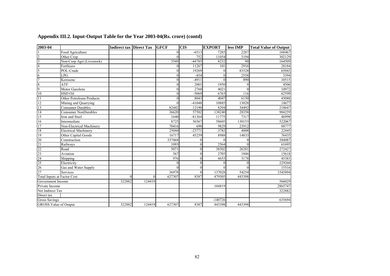| 2003-04                            |                             |          | Indirect tax Direct Tax GFCF |                | <b>CIS</b>   | <b>EXPORT</b> | less IMP | <b>Total Value of Output</b> |
|------------------------------------|-----------------------------|----------|------------------------------|----------------|--------------|---------------|----------|------------------------------|
|                                    | Food Agriculture            |          |                              | 0              | $-6513$      | 7285          | 2287     | 168467                       |
|                                    | Other Crop                  |          |                              | $\mathbf{0}$   | 752          | 11054         | 3194     | 302129                       |
| $\vert$ 3                          | Non-Crop Agri (Livestock)   |          |                              | 3549           | $-44785$     | 8232          | 90       | 164509                       |
|                                    | Fertlizers                  |          |                              | $\theta$       | 11267        | 101           | 2916     | 28184                        |
| 5                                  | POL-Crude                   |          |                              | $\theta$       | 19269        | $\theta$      | 83528    | 65043                        |
| 6                                  | LPG                         |          |                              | $\overline{0}$ | $-454$       | $\theta$      | 2558     | 3394                         |
| $\overline{7}$                     | Kerosene                    |          |                              | $\theta$       | $-4911$      | $\theta$      | 890      | 10515                        |
| 8                                  | <b>ATF</b>                  |          |                              | $\overline{0}$ | 2003         | 1950          | 9        | 4506                         |
| 9                                  | Motor Gasolene              |          |                              | $\theta$       | 2760         | 4021          | $\Omega$ | 10972                        |
| 10                                 | <b>HSD Oil</b>              |          |                              | $\theta$       | $-5069$      | 6763          | 116      | 62599                        |
| 11                                 | Other Petroleum Products    |          |                              | $\mathbf{0}$   | 8043         | 4047          | 6150     | 45088                        |
| $\overline{12}$                    | Mining and Quarrying        |          |                              | $\theta$       | $-41048$     | 10885         | 13028    | 14677                        |
| 13                                 | <b>Consumer Durables</b>    |          |                              | 82442          | 12190        | 8294          | 34492    | 218647                       |
| $\overline{14}$                    | <b>Consumer NonDurables</b> |          |                              | 36620          | 57502        | 138240        | 28358    | 904259                       |
| $\overline{15}$                    | Iron and Steel              |          |                              | 1640           | $-81364$     | 11775         | 7317     | 46998                        |
| $\overline{16}$                    | Intermediate                |          |                              | 8725           | 56567        | 58605         | 130153   | 522067                       |
| $\overline{17}$                    | Non-Electrical Machinery    |          |                              | 70416          | 690          | 9829          | 23912    | 88777                        |
| 18                                 | <b>Electrical Machinery</b> |          |                              | 25044          | $-23771$     | 3782          | 4008     | 22445                        |
| 19                                 | Other Capital Goods         |          |                              | 16717          | 45259        | 8988          | 14833    | 76435                        |
| 20                                 | Construction                |          |                              | 337468         | $\theta$     | $\Omega$      | $\theta$ | 384087                       |
| 21                                 | Railways                    |          |                              | 1093           | $\theta$     | 2564          | $\Omega$ | 61695                        |
| 22                                 | Road                        |          |                              | 5071           | $\mathbf{0}$ | 38502         | 26281    | 272427                       |
| 23                                 | Aviation                    |          |                              | 567            | $\mathbf{0}$ | 2705          | 1846     | 15618                        |
| 24                                 | Shipping                    |          |                              | 976            | $\mathbf{0}$ | 4655          | 3178     | 45383                        |
| 25                                 | Electricity                 |          |                              | $\Omega$       | $\mathbf{0}$ | $\Omega$      | 0        | 229260                       |
| 26                                 | Gas and Water Supply        |          |                              | $\theta$       | $\mathbf{0}$ | $\Omega$      | $\Omega$ | 15516                        |
| $\overline{27}$                    | Services                    |          |                              | 36978          | $\theta$     | 137028        | 54254    | 1545894                      |
| <b>Total Inputs at Factor Cost</b> |                             | $\Omega$ | $\theta$                     | 627307         | 8387         | 479305        | 443398   |                              |
| Government Income                  |                             | 322882   | 124419                       |                |              |               |          | 566029                       |
| Private Income                     |                             |          |                              |                |              | 104819        |          | 2865747                      |
| Net Indirect Tax                   |                             |          |                              |                |              |               |          | 322882                       |
| Direct tax                         |                             |          |                              |                |              |               |          |                              |
| <b>Gross Savings</b>               |                             |          |                              |                |              | $-140726$     |          | 635694                       |
| <b>GROSS Value of Output</b>       |                             | 322882   | 124419                       | 627307         | 8387         | 443398        | 443398   |                              |

# **Appendix III.2. Input-Output Table for the Year 2003-04(Rs. crore) (contd)**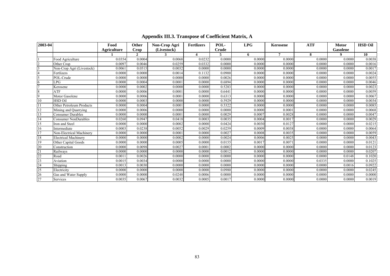| 2003-04 |                             | Food               | Other        | Non-Crop Agri | <b>Fertlizers</b> | POL-   | LPG    | <b>Kerosene</b> | <b>ATF</b> | <b>Motor</b> | <b>HSD Oil</b> |
|---------|-----------------------------|--------------------|--------------|---------------|-------------------|--------|--------|-----------------|------------|--------------|----------------|
|         |                             | <b>Agriculture</b> | Crop         | (Livestock)   |                   | Crude  |        |                 |            | Gasolene     |                |
|         |                             |                    | $\mathbf{2}$ | 3             | 4                 |        | 6      | 7               | 8          | 0            | 10             |
|         | Food Agriculture            | 0.0354             | 0.0004       | 0.0068        | 0.0232            | 0.0000 | 0.0000 | 0.0000          | 0.0000     | 0.0000       | 0.0038         |
|         | Other Crop                  | 0.0097             | 0.0046       | 0.0259        | 0.0332            | 0.0000 | 0.0000 | 0.0000          | 0.0000     | 0.0000       | 0.0016         |
|         | Non-Crop Agri (Livestock)   | 0.0061             | 0.0515       | 0.0032        | 0.0000            | 0.0000 | 0.0000 | 0.0000          | 0.0000     | 0.0000       | 0.0017         |
|         | Fertlizers                  | 0.0000             | 0.0000       | 0.0014        | 0.1132            | 0.0900 | 0.0000 | 0.0000          | 0.0000     | 0.0000       | 0.0024         |
|         | POL-Crude                   | 0.0000             | 0.0000       | 0.0000        | 0.0000            | 0.0026 | 0.0000 | 0.0000          | 0.0000     | 0.0000       | 0.0055         |
| 6       | LPG                         | 0.0000             | 0.0004       | 0.0001        | 0.0000            | 0.6894 | 0.0000 | 0.0000          | 0.0000     | 0.0000       | 0.0046         |
|         | Kerosene                    | 0.0000             | 0.0002       | 0.0000        | 0.0000            | 0.5283 | 0.0000 | 0.0000          | 0.0000     | 0.0000       | 0.0023         |
| 8       | ATF                         | 0.0000             | 0.0006       | 0.0001        | 0.0000            | 0.6441 | 0.0000 | 0.0000          | 0.0000     | 0.0000       | 0.0059         |
| 9       | Motor Gasolene              | 0.0000             | 0.0006       | 0.0001        | 0.0000            | 0.6313 | 0.0000 | 0.0000          | 0.0000     | 0.0000       | 0.0067         |
| 10      | <b>HSD Oil</b>              | 0.0000             | 0.0003       | 0.0000        | 0.0000            | 0.5929 | 0.0000 | 0.0000          | 0.0000     | 0.0000       | 0.0034         |
|         | Other Petroleum Products    | 0.0000             | 0.0004       | 0.0001        | 0.0000            | 0.5322 | 0.0000 | 0.0000          | 0.0000     | 0.0000       | 0.0085         |
| 12      | Mining and Quarrying        | 0.0000             | 0.0006       | 0.0000        | 0.0000            | 0.0000 | 0.0000 | 0.0001          | 0.0000     | 0.0000       | 0.0068         |
| 13      | Consumer Durables           | 0.0000             | 0.0000       | 0.0001        | 0.0000            | 0.0029 | 0.0007 | 0.0028          | 0.0000     | 0.0000       | 0.0047         |
| 14      | Consumer NonDurables        | 0.0260             | 0.0947       | 0.0418        | 0.0003            | 0.0035 | 0.0004 | 0.0017          | 0.0000     | 0.0000       | 0.0029         |
| 15      | Iron and Steel              | 0.0000             | 0.0000       | 0.0002        | 0.0000            | 0.0424 | 0.0030 | 0.0127          | 0.0000     | 0.0000       | 0.0215         |
| 16      | Intermediate                | 0.0003             | 0.0238       | 0.0052        | 0.0029            | 0.0259 | 0.0009 | 0.0038          | 0.0000     | 0.0000       | 0.0064         |
| 17      | Non-Electrical Machinery    | 0.0000             | 0.0000       | 0.0001        | 0.0000            | 0.0027 | 0.0008 | 0.0035          | 0.0000     | 0.0000       | 0.0059         |
| 18      | <b>Electrical Machinery</b> | 0.0000             | 0.0000       | 0.0002        | 0.0000            | 0.0024 | 0.0006 | 0.0025          | 0.0000     | 0.0000       | 0.0043         |
| 19      | Other Capital Goods         | 0.0000             | 0.0000       | 0.0005        | 0.0000            | 0.0155 | 0.0017 | 0.0071          | 0.0000     | 0.0000       | 0.0121         |
| 20      | Construction                | 0.0000             | 0.0098       | 0.0027        | 0.0001            | 0.0002 | 0.0000 | 0.0000          | 0.0000     | 0.0000       | 0.0123         |
| 21      | Railways                    | 0.0000             | 0.0000       | 0.0000        | 0.0000            | 0.0012 | 0.0000 | 0.0000          | 0.0000     | 0.0000       | 0.0207         |
| 22      | Road                        | 0.0011             | 0.0026       | 0.0000        | 0.0000            | 0.0000 | 0.0000 | 0.0000          | 0.0000     | 0.0148       | 0.1020         |
| 23      | Aviation                    | 0.0015             | 0.0034       | 0.0000        | 0.0000            | 0.0000 | 0.0000 | 0.0000          | 0.0335     | 0.0000       | 0.1025         |
| 24      | Shipping                    | 0.0013             | 0.0030       | 0.0000        | 0.0000            | 0.0000 | 0.0000 | 0.0000          | 0.0000     | 0.0016       | 0.0922         |
| 25      | Electricity                 | 0.0000             | 0.0000       | 0.0000        | 0.0000            | 0.0980 | 0.0000 | 0.0000          | 0.0000     | 0.0000       | 0.0245         |
| 26      | Gas and Water Supply        | 0.0000             | 0.0000       | 0.0248        | 0.0006            | 0.0000 | 0.0000 | 0.0000          | 0.0000     | 0.0000       | 0.0000         |
| 27      | Services                    | 0.0035             | 0.0067       | 0.0032        | 0.0005            | 0.0017 | 0.0000 | 0.0000          | 0.0000     | 0.0000       | 0.0019         |

### **Appendix III.3. Transpose of Coefficient Matrix, A**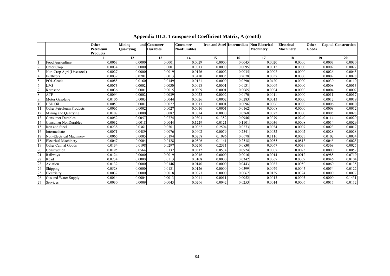|                |                                         | Other<br>Petroleum    | <b>Mining</b><br><b>Quarrying</b> | and Consumer<br><b>Durables</b> | <b>Consumer</b><br><b>NonDurables</b> |        |        | Iron and Steel Intermediate Non-Electrical<br><b>Machinery</b> | <b>Electrical</b><br><b>Machinery</b> | Other<br>Goods | Capital Construction |
|----------------|-----------------------------------------|-----------------------|-----------------------------------|---------------------------------|---------------------------------------|--------|--------|----------------------------------------------------------------|---------------------------------------|----------------|----------------------|
|                |                                         | <b>Products</b><br>11 | 12                                | 13                              | 14                                    | 15     | 16     | 17                                                             | 18                                    | 19             | 20                   |
|                | Food Agriculture                        | 0.0063                | 0.0000                            | 0.0001                          | 0.0029                                | 0.0000 | 0.0045 | 0.0020                                                         | 0.0000                                | 0.0003         | 0.0030               |
|                | Other Crop                              | 0.0034                | 0.0000                            | 0.0001                          | 0.0013                                | 0.0000 | 0.0095 | 0.0012                                                         | 0.0000                                | 0.0002         | 0.0027               |
| $\overline{2}$ |                                         | 0.0027                | 0.0000                            | 0.0019                          | 0.0176                                | 0.0002 | 0.0035 | 0.0002                                                         | 0.0000                                | 0.0026         | 0.0045               |
|                | Non-Crop Agri (Livestock)<br>Fertlizers | 0.0039                | 0.0701                            | 0.0013                          |                                       | 0.0005 | 0.2078 | 0.0057                                                         | 0.0000                                | 0.0002         |                      |
|                | POL-Crude                               | 0.0088                |                                   |                                 | 0.0410<br>0.0121                      |        |        | 0.0420                                                         |                                       |                | 0.0028<br>0.0110     |
|                |                                         |                       | 0.0160                            | 0.0149                          |                                       | 0.0000 | 0.0290 |                                                                | 0.0000                                | 0.0030         |                      |
| 6              | LPG                                     | 0.0073                | 0.0002                            | 0.0030                          | 0.0018                                | 0.0001 | 0.0131 | 0.0009                                                         | 0.0000                                | 0.0008         | 0.0013               |
|                | Kerosene                                | 0.0036                | 0.0001                            | 0.0015                          | 0.0009                                | 0.0001 | 0.0065 | 0.0004                                                         | 0.0000                                | 0.0004         | 0.0007               |
| $\overline{8}$ | ATF                                     | 0.0094                | 0.0002                            | 0.0039                          | 0.0023                                | 0.0002 | 0.0170 | 0.001                                                          | 0.0000                                | 0.001          | 0.0017               |
| $\overline{9}$ | Motor Gasolene                          | 0.0106                | 0.0003                            | 0.0044                          | 0.0026                                | 0.0002 | 0.0283 | 0.0013                                                         | 0.0000                                | 0.0012         | 0.0019               |
| 10             | <b>HSD Oil</b>                          | 0.0053                | 0.0001                            | 0.0022                          | 0.0013                                | 0.0001 | 0.0096 | 0.0006                                                         | 0.0000                                | 0.0006         | 0.0010               |
|                | Other Petroleum Products                | 0.0065                | 0.0002                            | 0.0027                          | 0.0016                                | 0.0001 | 0.0162 | 0.0008                                                         | 0.0000                                | 0.0008         | 0.0012               |
|                | Mining and Quarrying                    | 0.0107                | 0.0000                            | 0.0082                          | 0.0014                                | 0.0000 | 0.0268 | 0.0072                                                         | 0.0000                                | 0.0006         | 0.0098               |
| 13             | <b>Consumer Durables</b>                | 0.0052                | 0.0057                            | 0.0774                          | 0.0303                                | 0.1382 | 0.0946 | 0.0079                                                         | 0.0240                                | 0.0114         | 0.0020               |
| 14             | <b>Consumer NonDurables</b>             | 0.0032                | 0.0018                            | 0.0044                          | 0.1229                                | 0.0121 | 0.1101 | 0.0036                                                         | 0.0008                                | 0.0014         | 0.0029               |
| 15             | Iron and Steel                          | 0.0238                | 0.0361                            | 0.0501                          | 0.0062                                | 0.2504 | 0.0273 | 0.0034                                                         | 0.0007                                | 0.0023         | 0.0017               |
| 16             | Intermediate                            | 0.0071                | 0.0489                            | 0.0076                          | 0.0402                                | 0.0079 | 0.2541 | 0.0032                                                         | 0.0002                                | 0.0028         | 0.0028               |
|                | Non-Electrical Machinery                | 0.0065                | 0.0005                            | 0.0194                          | 0.0258                                | 0.1996 | 0.0678 | 0.1116                                                         | 0.0075                                | 0.0102         | 0.0034               |
| 18             | <b>Electrical Machinery</b>             | 0.0047                | 0.0004                            | 0.0128                          | 0.0506                                | 0.1141 | 0.2518 | 0.0055                                                         | 0.0813                                | 0.0045         | 0.0025               |
| 19             | Other Capital Goods                     | 0.0134                | 0.0198                            | 0.0297                          | 0.0250                                | 0.2331 | 0.0830 | 0.0067                                                         | 0.0039                                | 0.0368         | 0.0025               |
|                | Construction                            | 0.0195                | 0.0564                            | 0.0132                          | 0.0312                                | 0.0534 | 0.0924 | 0.0007                                                         | 0.0073                                | 0.0000         | 0.0052               |
| 21             | Railways                                | 0.0124                | 0.0000                            | 0.0019                          | 0.0016                                | 0.0000 | 0.0016 | 0.0014                                                         | 0.0012                                | 0.0988         | 0.0719               |
| 22             | Road                                    | 0.0234                | 0.0000                            | 0.0113                          | 0.0108                                | 0.0000 | 0.0342 | 0.0067                                                         | 0.0039                                | 0.0046         | 0.0104               |
| 23             | Aviation                                | 0.0132                | 0.0000                            | 0.0146                          | 0.0140                                | 0.0000 | 0.0443 | 0.0087                                                         | 0.0050                                | 0.0060         | 0.0135               |
| 24             | Shipping                                | 0.0528                | 0.0000                            | 0.0131                          | 0.0126                                | 0.0000 | 0.0399 | 0.0079                                                         | 0.0045                                | 0.0054         | 0.0122               |
| 25             | Electricity                             | 0.0037                | 0.0000                            | 0.0018                          | 0.0073                                | 0.0000 | 0.0067 | 0.0139                                                         | 0.0324                                | 0.0000         | 0.0077               |
| 26             | Gas and Water Supply                    | 0.0014                | 0.0004                            | 0.0013                          | 0.001                                 | 0.0011 | 0.0052 | 0.0013                                                         | 0.0003                                | 0.0000         | 0.1431               |
| 27             | Services                                | 0.0030                | 0.0009                            | 0.0043                          | 0.0266                                | 0.0042 | 0.0253 | 0.0014                                                         | 0.0006                                | 0.0017         | 0.0112               |

### **Appendix III.3. Transpose of Coefficient Matrix, A (contd)**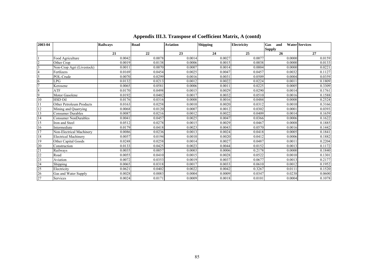| 2003-04        |                             | <b>Railways</b> | Road   | <b>Aviation</b> | <b>Shipping</b> | <b>Electricity</b> | Gas<br>and    | <b>Water Services</b> |
|----------------|-----------------------------|-----------------|--------|-----------------|-----------------|--------------------|---------------|-----------------------|
|                |                             |                 |        |                 |                 |                    | <b>Supply</b> |                       |
|                |                             | 21              | 22     | 23              | 24              | 25                 | 26            | 27                    |
|                | Food Agriculture            | 0.0042          | 0.0078 | 0.0014          | 0.0027          | 0.0077             | 0.0000        | 0.0159                |
| $\overline{c}$ | Other Crop                  | 0.0019          | 0.0138 | 0.0006          | 0.0015          | 0.0038             | 0.0000        | 0.0133                |
| 3              | Non-Crop Agri (Livestock)   | 0.0011          | 0.0070 | 0.0007          | 0.0014          | 0.0004             | 0.0000        | 0.0221                |
|                | Fertlizers                  | 0.0169          | 0.0454 | 0.0025          | 0.0047          | 0.0457             | 0.0032        | 0.1127                |
| 5              | POL-Crude                   | 0.0070          | 0.0299 | 0.0016          | 0.0031          | 0.0509             | 0.0004        | 0.0359                |
| 6              | LPG                         | 0.0132          | 0.0213 | 0.0012          | 0.0022          | 0.0224             | 0.0011        | 0.1809                |
| $\tau$         | Kerosene                    | 0.0065          | 0.0581 | 0.0006          | 0.0011          | 0.0225             | 0.0005        | 0.3309                |
| 8              | <b>ATF</b>                  | 0.0170          | 0.0498 | 0.0015          | 0.0029          | 0.0290             | 0.0014        | 0.1761                |
| $\overline{9}$ | Motor Gasolene              | 0.0192          | 0.0402 | 0.0017          | 0.0032          | 0.0510             | 0.0016        | 0.1588                |
| 10             | <b>HSD Oil</b>              | 0.0176          | 0.0316 | 0.0008          | 0.0016          | 0.0484             | 0.0008        | 0.2524                |
| 11             | Other Petroleum Products    | 0.0163          | 0.0258 | 0.0010          | 0.0020          | 0.0312             | 0.0010        | 0.3166                |
| 12             | Mining and Quarrying        | 0.0068          | 0.0120 | 0.0007          | 0.0012          | 0.0302             | 0.0001        | 0.0393                |
| 13             | <b>Consumer Durables</b>    | 0.0087          | 0.0216 | 0.0012          | 0.0022          | 0.0409             | 0.0014        | 0.1659                |
| 14             | <b>Consumer NonDurables</b> | 0.0041          | 0.0457 | 0.0025          | 0.0047          | 0.0366             | 0.0006        | 0.1622                |
| 15             | Iron and Steel              | 0.0512          | 0.0278 | 0.0015          | 0.0029          | 0.0467             | 0.0008        | 0.1885                |
| 16             | Intermediate                | 0.0179          | 0.0418 | 0.0023          | 0.0043          | 0.0570             | 0.0016        | 0.1442                |
| 17             | Non-Electrical Machinery    | 0.0086          | 0.0236 | 0.0013          | 0.0024          | 0.0418             | 0.0005        | 0.1841                |
| 18             | <b>Electrical Machinery</b> | 0.0057          | 0.0194 | 0.0010          | 0.0020          | 0.0412             | 0.0006        | 0.1882                |
| 19             | Other Capital Goods         | 0.0248          | 0.0258 | 0.0014          | 0.0027          | 0.0487             | 0.0011        | 0.2204                |
| 20             | Construction                | 0.0133          | 0.0425 | 0.0023          | 0.0044          | 0.0152             | 0.0013        | 0.1172                |
| 21             | Railways                    | 0.0035          | 0.0057 | 0.0003          | 0.0006          | 0.2178             | 0.0000        | 0.1840                |
| 22             | Road                        | 0.0055          | 0.0410 | 0.0015          | 0.0028          | 0.0522             | 0.0010        | 0.1301                |
| 23             | Aviation                    | 0.0072          | 0.0353 | 0.0019          | 0.0037          | 0.0677             | 0.0013        | 0.2177                |
| 24             | Shipping                    | 0.0065          | 0.0318 | 0.0017          | 0.0033          | 0.0610             | 0.0012        | 0.1952                |
| 25             | Electricity                 | 0.0621          | 0.0402 | 0.0022          | 0.0042          | 0.3267             | 0.0111        | 0.1520                |
| 26             | Gas and Water Supply        | 0.0028          | 0.0083 | 0.0004          | 0.0009          | 0.0347             | 0.0238        | 0.0600                |
| 27             | Services                    | 0.0024          | 0.0171 | 0.0009          | 0.0018          | 0.0101             | 0.0004        | 0.1078                |

### **Appendix III.3. Transpose of Coefficient Matrix, A (contd)**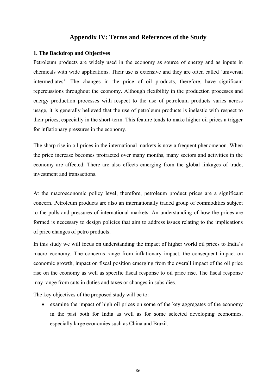### **Appendix IV: Terms and References of the Study**

### **1. The Backdrop and Objectives**

Petroleum products are widely used in the economy as source of energy and as inputs in chemicals with wide applications. Their use is extensive and they are often called 'universal intermediates'. The changes in the price of oil products, therefore, have significant repercussions throughout the economy. Although flexibility in the production processes and energy production processes with respect to the use of petroleum products varies across usage, it is generally believed that the use of petroleum products is inelastic with respect to their prices, especially in the short-term. This feature tends to make higher oil prices a trigger for inflationary pressures in the economy.

The sharp rise in oil prices in the international markets is now a frequent phenomenon. When the price increase becomes protracted over many months, many sectors and activities in the economy are affected. There are also effects emerging from the global linkages of trade, investment and transactions.

At the macroeconomic policy level, therefore, petroleum product prices are a significant concern. Petroleum products are also an internationally traded group of commodities subject to the pulls and pressures of international markets. An understanding of how the prices are formed is necessary to design policies that aim to address issues relating to the implications of price changes of petro products.

In this study we will focus on understanding the impact of higher world oil prices to India's macro economy. The concerns range from inflationary impact, the consequent impact on economic growth, impact on fiscal position emerging from the overall impact of the oil price rise on the economy as well as specific fiscal response to oil price rise. The fiscal response may range from cuts in duties and taxes or changes in subsidies.

The key objectives of the proposed study will be to:

• examine the impact of high oil prices on some of the key aggregates of the economy in the past both for India as well as for some selected developing economies, especially large economies such as China and Brazil.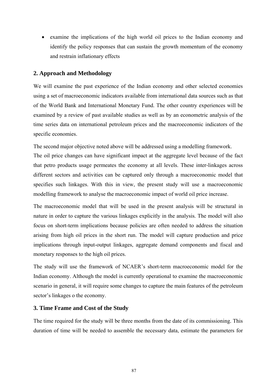• examine the implications of the high world oil prices to the Indian economy and identify the policy responses that can sustain the growth momentum of the economy and restrain inflationary effects

### **2. Approach and Methodology**

We will examine the past experience of the Indian economy and other selected economies using a set of macroeconomic indicators available from international data sources such as that of the World Bank and International Monetary Fund. The other country experiences will be examined by a review of past available studies as well as by an econometric analysis of the time series data on international petroleum prices and the macroeconomic indicators of the specific economies.

The second major objective noted above will be addressed using a modelling framework.

The oil price changes can have significant impact at the aggregate level because of the fact that petro products usage permeates the economy at all levels. These inter-linkages across different sectors and activities can be captured only through a macroeconomic model that specifies such linkages. With this in view, the present study will use a macroeconomic modelling framework to analyse the macroeconomic impact of world oil price increase.

The macroeconomic model that will be used in the present analysis will be structural in nature in order to capture the various linkages explicitly in the analysis. The model will also focus on short-term implications because policies are often needed to address the situation arising from high oil prices in the short run. The model will capture production and price implications through input-output linkages, aggregate demand components and fiscal and monetary responses to the high oil prices.

The study will use the framework of NCAER's short-term macroeconomic model for the Indian economy. Although the model is currently operational to examine the macroeconomic scenario in general, it will require some changes to capture the main features of the petroleum sector's linkages o the economy.

### **3. Time Frame and Cost of the Study**

The time required for the study will be three months from the date of its commissioning. This duration of time will be needed to assemble the necessary data, estimate the parameters for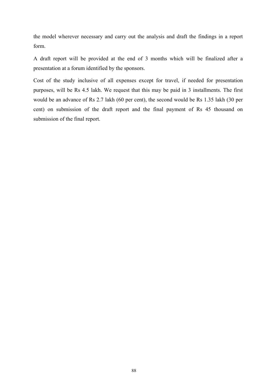the model wherever necessary and carry out the analysis and draft the findings in a report form.

A draft report will be provided at the end of 3 months which will be finalized after a presentation at a forum identified by the sponsors.

Cost of the study inclusive of all expenses except for travel, if needed for presentation purposes, will be Rs 4.5 lakh. We request that this may be paid in 3 installments. The first would be an advance of Rs 2.7 lakh (60 per cent), the second would be Rs 1.35 lakh (30 per cent) on submission of the draft report and the final payment of Rs 45 thousand on submission of the final report.